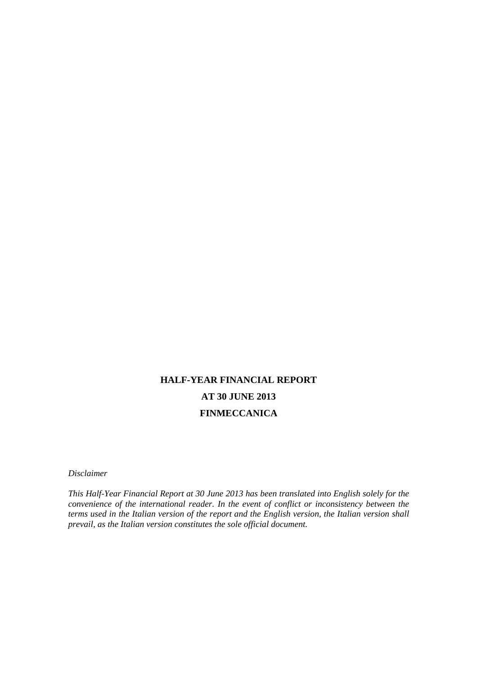# **HALF-YEAR FINANCIAL REPORT AT 30 JUNE 2013 FINMECCANICA**

*Disclaimer* 

*This Half-Year Financial Report at 30 June 2013 has been translated into English solely for the convenience of the international reader. In the event of conflict or inconsistency between the terms used in the Italian version of the report and the English version, the Italian version shall prevail, as the Italian version constitutes the sole official document.*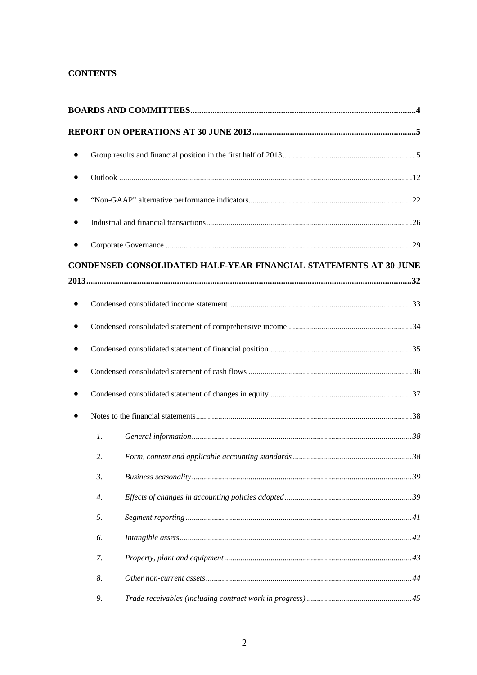### **CONTENTS**

| ٠ |    |                                                                  |  |
|---|----|------------------------------------------------------------------|--|
|   |    |                                                                  |  |
|   |    |                                                                  |  |
| ٠ |    |                                                                  |  |
|   |    |                                                                  |  |
|   |    | CONDENSED CONSOLIDATED HALF-YEAR FINANCIAL STATEMENTS AT 30 JUNE |  |
|   |    |                                                                  |  |
|   |    |                                                                  |  |
|   |    |                                                                  |  |
|   |    |                                                                  |  |
|   |    |                                                                  |  |
| ٠ |    |                                                                  |  |
|   |    |                                                                  |  |
|   | 1. |                                                                  |  |
|   | 2. |                                                                  |  |
|   | 3. |                                                                  |  |
|   | 4. |                                                                  |  |
|   | 5. |                                                                  |  |
|   | 6. |                                                                  |  |
|   | 7. |                                                                  |  |
|   | 8. |                                                                  |  |
|   | 9. |                                                                  |  |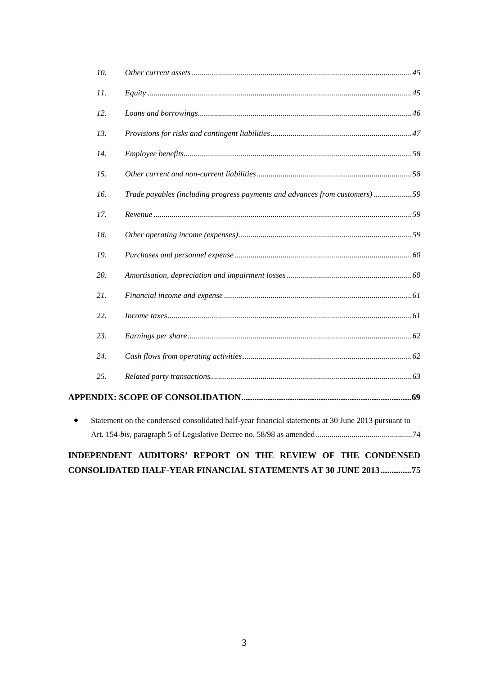|           | 10. |                                                                                                    |
|-----------|-----|----------------------------------------------------------------------------------------------------|
|           | 11. |                                                                                                    |
|           | 12. |                                                                                                    |
|           | 13. |                                                                                                    |
|           | 14. |                                                                                                    |
|           | 15. |                                                                                                    |
|           | 16. | Trade payables (including progress payments and advances from customers)59                         |
|           | 17. |                                                                                                    |
|           | 18. |                                                                                                    |
|           | 19. |                                                                                                    |
|           | 20. |                                                                                                    |
|           | 21. |                                                                                                    |
|           | 22. |                                                                                                    |
|           | 23. |                                                                                                    |
|           | 24. |                                                                                                    |
|           | 25. |                                                                                                    |
|           |     |                                                                                                    |
| $\bullet$ |     | Statement on the condensed consolidated half-year financial statements at 30 June 2013 pursuant to |
|           |     |                                                                                                    |
|           |     | INDEPENDENT AUDITORS' REPORT ON THE REVIEW OF THE CONDENSED                                        |
|           |     | <b>CONSOLIDATED HALF-YEAR FINANCIAL STATEMENTS AT 30 JUNE 2013 75</b>                              |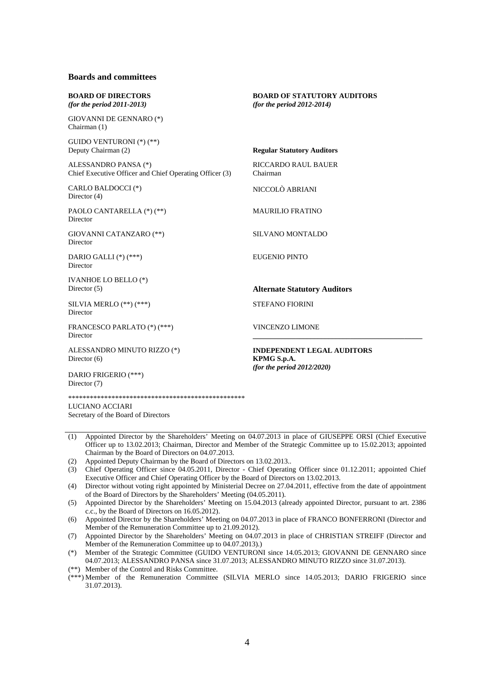### **Boards and committees**

| <b>BOARD OF DIRECTORS</b><br>(for the period $2011-2013$ )                      | <b>BOARD OF STATUTORY AUDITORS</b><br>(for the period $2012-2014$ )               |
|---------------------------------------------------------------------------------|-----------------------------------------------------------------------------------|
| GIOVANNI DE GENNARO (*)<br>Chairman (1)                                         |                                                                                   |
| GUIDO VENTURONI (*) (**)<br>Deputy Chairman (2)                                 | <b>Regular Statutory Auditors</b>                                                 |
| ALESSANDRO PANSA (*)<br>Chief Executive Officer and Chief Operating Officer (3) | <b>RICCARDO RAUL BAUER</b><br>Chairman                                            |
| CARLO BALDOCCI (*)<br>Director $(4)$                                            | NICCOLÒ ABRIANI                                                                   |
| PAOLO CANTARELLA (*) (**)<br>Director                                           | <b>MAURILIO FRATINO</b>                                                           |
| GIOVANNI CATANZARO (**)<br>Director                                             | SILVANO MONTALDO                                                                  |
| DARIO GALLI $(*)$ (***)<br>Director                                             | EUGENIO PINTO                                                                     |
| IVANHOE LO BELLO (*)<br>Director $(5)$                                          | <b>Alternate Statutory Auditors</b>                                               |
| SILVIA MERLO (**) (***)<br>Director                                             | <b>STEFANO FIORINI</b>                                                            |
| FRANCESCO PARLATO (*) (***)<br>Director                                         | <b>VINCENZO LIMONE</b>                                                            |
| ALESSANDRO MINUTO RIZZO (*)<br>Director (6)                                     | <b>INDEPENDENT LEGAL AUDITORS</b><br>KPMG S.p.A.<br>(for the period $2012/2020$ ) |
| DARIO FRIGERIO (***)<br>Director (7)                                            |                                                                                   |
|                                                                                 |                                                                                   |
| LUCIANO ACCIARI                                                                 |                                                                                   |

Secretary of the Board of Directors

- (1) Appointed Director by the Shareholders' Meeting on 04.07.2013 in place of GIUSEPPE ORSI (Chief Executive Officer up to 13.02.2013; Chairman, Director and Member of the Strategic Committee up to 15.02.2013; appointed Chairman by the Board of Directors on 04.07.2013.
- (2) Appointed Deputy Chairman by the Board of Directors on 13.02.2013..
- (3) Chief Operating Officer since 04.05.2011, Director Chief Operating Officer since 01.12.2011; appointed Chief Executive Officer and Chief Operating Officer by the Board of Directors on 13.02.2013.
- (4) Director without voting right appointed by Ministerial Decree on 27.04.2011, effective from the date of appointment of the Board of Directors by the Shareholders' Meeting (04.05.2011).
- (5) Appointed Director by the Shareholders' Meeting on 15.04.2013 (already appointed Director, pursuant to art. 2386 c.c., by the Board of Directors on 16.05.2012).
- (6) Appointed Director by the Shareholders' Meeting on 04.07.2013 in place of FRANCO BONFERRONI (Director and Member of the Remuneration Committee up to 21.09.2012).
- (7) Appointed Director by the Shareholders' Meeting on 04.07.2013 in place of CHRISTIAN STREIFF (Director and Member of the Remuneration Committee up to 04.07.2013).)
- (\*) Member of the Strategic Committee (GUIDO VENTURONI since 14.05.2013; GIOVANNI DE GENNARO since 04.07.2013; ALESSANDRO PANSA since 31.07.2013; ALESSANDRO MINUTO RIZZO since 31.07.2013).
- (\*\*) Member of the Control and Risks Committee.

(\*\*\*) Member of the Remuneration Committee (SILVIA MERLO since 14.05.2013; DARIO FRIGERIO since 31.07.2013).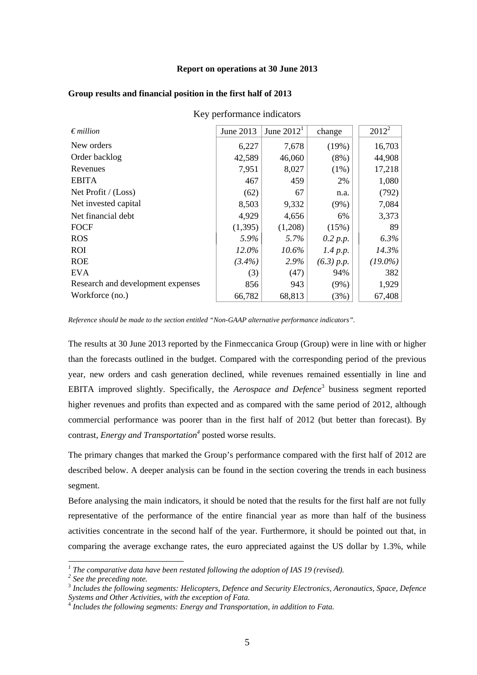#### **Report on operations at 30 June 2013**

Key performance indicators

| $\epsilon$ <i>million</i>         | June 2013 | June $20121$ | change     | $2012^2$   |
|-----------------------------------|-----------|--------------|------------|------------|
| New orders                        | 6,227     | 7,678        | (19%)      | 16,703     |
| Order backlog                     | 42,589    | 46,060       | $(8\%)$    | 44,908     |
| Revenues                          | 7,951     | 8,027        | $(1\%)$    | 17,218     |
| <b>EBITA</b>                      | 467       | 459          | 2%         | 1,080      |
| Net Profit / (Loss)               | (62)      | 67           | n.a.       | (792)      |
| Net invested capital              | 8,503     | 9,332        | $(9\%)$    | 7,084      |
| Net financial debt                | 4,929     | 4,656        | 6%         | 3,373      |
| <b>FOCF</b>                       | (1,395)   | (1,208)      | (15%)      | 89         |
| <b>ROS</b>                        | 5.9%      | 5.7%         | 0.2 p.p.   | 6.3%       |
| <b>ROI</b>                        | 12.0%     | $10.6\%$     | 1.4 p.p.   | 14.3%      |
| <b>ROE</b>                        | $(3.4\%)$ | 2.9%         | (6.3) p.p. | $(19.0\%)$ |
| <b>EVA</b>                        | (3)       | (47)         | 94%        | 382        |
| Research and development expenses | 856       | 943          | $(9\%)$    | 1,929      |
| Workforce (no.)                   | 66,782    | 68,813       | (3%)       | 67,408     |

#### **Group results and financial position in the first half of 2013**

*Reference should be made to the section entitled "Non-GAAP alternative performance indicators".* 

The results at 30 June 2013 reported by the Finmeccanica Group (Group) were in line with or higher than the forecasts outlined in the budget. Compared with the corresponding period of the previous year, new orders and cash generation declined, while revenues remained essentially in line and EBITA improved slightly. Specifically, the *Aerospace and Defence*<sup>3</sup> business segment reported higher revenues and profits than expected and as compared with the same period of 2012, although commercial performance was poorer than in the first half of 2012 (but better than forecast). By contrast, *Energy and Transportation*<sup>4</sup> posted worse results.

The primary changes that marked the Group's performance compared with the first half of 2012 are described below. A deeper analysis can be found in the section covering the trends in each business segment.

Before analysing the main indicators, it should be noted that the results for the first half are not fully representative of the performance of the entire financial year as more than half of the business activities concentrate in the second half of the year. Furthermore, it should be pointed out that, in comparing the average exchange rates, the euro appreciated against the US dollar by 1.3%, while

l

<sup>&</sup>lt;sup>1</sup> The comparative data have been restated following the adoption of IAS 19 (revised).<br><sup>2</sup> See the preceding note

<sup>&</sup>lt;sup>2</sup> See the preceding note.

<sup>3</sup> *Includes the following segments: Helicopters, Defence and Security Electronics, Aeronautics, Space, Defence Systems and Other Activities, with the exception of Fata.* <sup>4</sup> *Includes the following segments: Energy and Transportation, in addition to Fata.*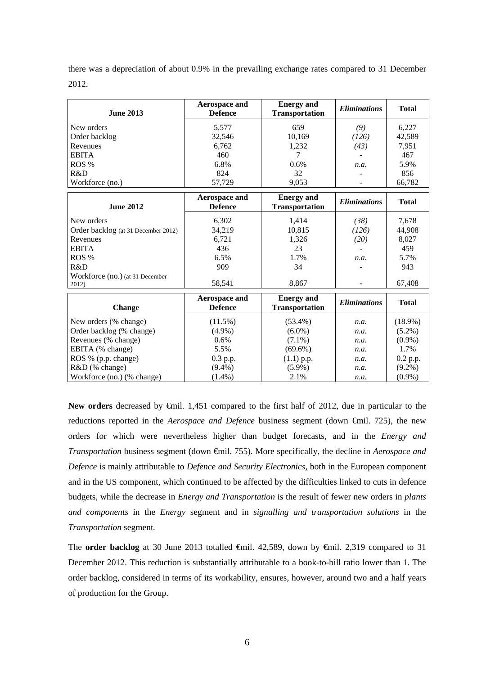there was a depreciation of about 0.9% in the prevailing exchange rates compared to 31 December 2012.

| <b>June 2013</b> | Aerospace and<br><b>Defence</b> | <b>Energy</b> and<br><b>Transportation</b> | <i>Eliminations</i> | <b>Total</b> |
|------------------|---------------------------------|--------------------------------------------|---------------------|--------------|
| New orders       | 5,577                           | 659                                        | (9)                 | 6,227        |
| Order backlog    | 32,546                          | 10,169                                     | (126)               | 42,589       |
| Revenues         | 6,762                           | 1,232                                      | (43)                | 7,951        |
| <b>EBITA</b>     | 460                             |                                            |                     | 467          |
| ROS %            | 6.8%                            | $0.6\%$                                    | n.a.                | 5.9%         |
| R&D              | 824                             | 32                                         |                     | 856          |
| Workforce (no.)  | 57,729                          | 9,053                                      |                     | 66.782       |

| <b>June 2012</b>                         | Aerospace and<br><b>Defence</b> | <b>Energy and</b><br><b>Transportation</b> | <b>Eliminations</b>      | <b>Total</b> |
|------------------------------------------|---------------------------------|--------------------------------------------|--------------------------|--------------|
| New orders                               | 6,302                           | 1,414                                      | (38)                     | 7,678        |
| Order backlog (at 31 December 2012)      | 34,219                          | 10,815                                     | (126)                    | 44,908       |
| Revenues                                 | 6,721                           | 1,326                                      | (20)                     | 8,027        |
| <b>EBITA</b>                             | 436                             | 23                                         |                          | 459          |
| ROS %                                    | 6.5%                            | 1.7%                                       | n.a.                     | 5.7%         |
| R&D                                      | 909                             | 34                                         | $\overline{\phantom{m}}$ | 943          |
| Workforce (no.) (at 31 December<br>2012) | 58.541                          | 8.867                                      |                          | 67.408       |

| <b>Change</b>              | Aerospace and<br><b>Defence</b> | <b>Energy</b> and<br><b>Transportation</b> | <i><b>Eliminations</b></i> | <b>Total</b> |
|----------------------------|---------------------------------|--------------------------------------------|----------------------------|--------------|
| New orders (% change)      | $(11.5\%)$                      | $(53.4\%)$                                 | n.a.                       | $(18.9\%)$   |
| Order backlog (% change)   | $(4.9\%)$                       | $(6.0\%)$                                  | n.a.                       | $(5.2\%)$    |
| Revenues (% change)        | $0.6\%$                         | $(7.1\%)$                                  | n.a.                       | $(0.9\%)$    |
| EBITA (% change)           | 5.5%                            | $(69.6\%)$                                 | n.a.                       | 1.7%         |
| ROS % (p.p. change)        | $0.3$ p.p.                      | $(1.1)$ p.p.                               | n.a.                       | 0.2 p.p.     |
| $R&D$ (% change)           | $(9.4\%)$                       | $(5.9\%)$                                  | n.a.                       | $(9.2\%)$    |
| Workforce (no.) (% change) | $(1.4\%)$                       | 2.1%                                       | n.a.                       | $(0.9\%)$    |

New orders decreased by <del>€</del>mil. 1,451 compared to the first half of 2012, due in particular to the reductions reported in the *Aerospace and Defence* business segment (down €mil. 725), the new orders for which were nevertheless higher than budget forecasts, and in the *Energy and Transportation* business segment (down €mil. 755). More specifically, the decline in *Aerospace and Defence* is mainly attributable to *Defence and Security Electronics,* both in the European component and in the US component, which continued to be affected by the difficulties linked to cuts in defence budgets, while the decrease in *Energy and Transportation* is the result of fewer new orders in *plants and components* in the *Energy* segment and in *signalling and transportation solutions* in the *Transportation* segment*.*

The **order backlog** at 30 June 2013 totalled €mil. 42,589, down by €mil. 2,319 compared to 31 December 2012. This reduction is substantially attributable to a book-to-bill ratio lower than 1. The order backlog, considered in terms of its workability, ensures, however, around two and a half years of production for the Group.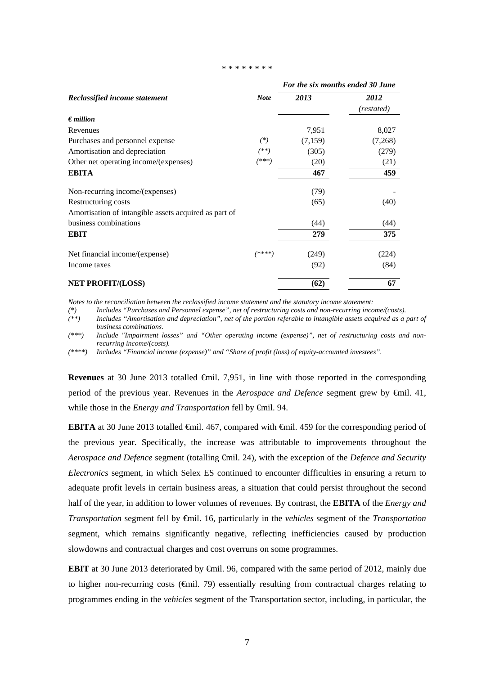#### \* \* \* \* \* \* \* \*

|                                                       |             | For the six months ended 30 June |            |
|-------------------------------------------------------|-------------|----------------------------------|------------|
| Reclassified income statement                         | <b>Note</b> | 2013                             | 2012       |
|                                                       |             |                                  | (restated) |
| $\epsilon$ <i>million</i>                             |             |                                  |            |
| Revenues                                              |             | 7,951                            | 8,027      |
| Purchases and personnel expense                       | $(*)$       | (7,159)                          | (7,268)    |
| Amortisation and depreciation                         | $^{(**)}$   | (305)                            | (279)      |
| Other net operating income/(expenses)                 | (***)       | (20)                             | (21)       |
| <b>EBITA</b>                                          |             | 467                              | 459        |
| Non-recurring income/(expenses)                       |             | (79)                             |            |
| Restructuring costs                                   |             | (65)                             | (40)       |
| Amortisation of intangible assets acquired as part of |             |                                  |            |
| business combinations                                 |             | (44)                             | (44)       |
| <b>EBIT</b>                                           |             | 279                              | 375        |
| Net financial income/(expense)                        | /****)      | (249)                            | (224)      |
| Income taxes                                          |             | (92)                             | (84)       |
| <b>NET PROFIT/(LOSS)</b>                              |             | (62)                             | 67         |

*Notes to the reconciliation between the reclassified income statement and the statutory income statement:* 

*(\*) Includes "Purchases and Personnel expense", net of restructuring costs and non-recurring income/(costs).* 

- *(\*\*) Includes "Amortisation and depreciation", net of the portion referable to intangible assets acquired as a part of business combinations.*
- *(\*\*\*) Include "Impairment losses" and "Other operating income (expense)", net of restructuring costs and nonrecurring income/(costs).*
- *(\*\*\*\*) Includes "Financial income (expense)" and "Share of profit (loss) of equity-accounted investees".*

**Revenues** at 30 June 2013 totalled **€mil.** 7,951, in line with those reported in the corresponding period of the previous year. Revenues in the *Aerospace and Defence* segment grew by €mil. 41, while those in the *Energy and Transportation* fell by €mil. 94.

**EBITA** at 30 June 2013 totalled €mil. 467, compared with €mil. 459 for the corresponding period of the previous year. Specifically, the increase was attributable to improvements throughout the *Aerospace and Defence* segment (totalling €mil. 24), with the exception of the *Defence and Security Electronics* segment*,* in which Selex ES continued to encounter difficulties in ensuring a return to adequate profit levels in certain business areas, a situation that could persist throughout the second half of the year, in addition to lower volumes of revenues. By contrast, the **EBITA** of the *Energy and Transportation* segment fell by €mil. 16, particularly in the *vehicles* segment of the *Transportation*  segment, which remains significantly negative, reflecting inefficiencies caused by production slowdowns and contractual charges and cost overruns on some programmes.

**EBIT** at 30 June 2013 deteriorated by €mil. 96, compared with the same period of 2012, mainly due to higher non-recurring costs ( $\bigoplus$ nil. 79) essentially resulting from contractual charges relating to programmes ending in the *vehicles* segment of the Transportation sector, including, in particular, the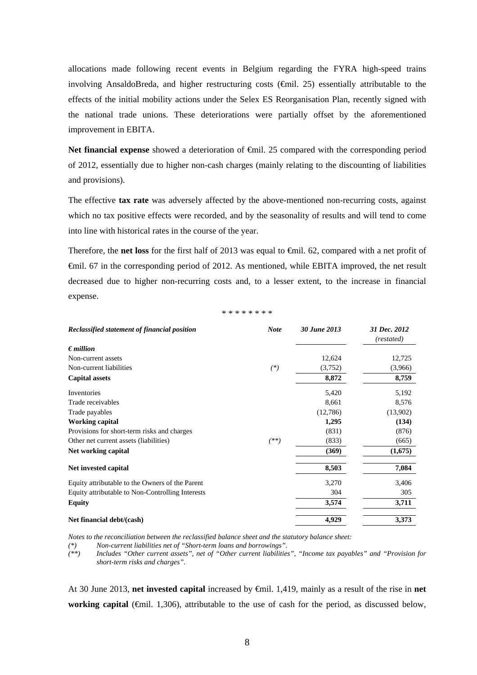allocations made following recent events in Belgium regarding the FYRA high-speed trains involving AnsaldoBreda, and higher restructuring costs  $(\text{Gmil. 25})$  essentially attributable to the effects of the initial mobility actions under the Selex ES Reorganisation Plan, recently signed with the national trade unions. These deteriorations were partially offset by the aforementioned improvement in EBITA.

Net **financial expense** showed a deterioration of €mil. 25 compared with the corresponding period of 2012, essentially due to higher non-cash charges (mainly relating to the discounting of liabilities and provisions).

The effective **tax rate** was adversely affected by the above-mentioned non-recurring costs, against which no tax positive effects were recorded, and by the seasonality of results and will tend to come into line with historical rates in the course of the year.

Therefore, the **net loss** for the first half of 2013 was equal to €mil. 62, compared with a net profit of €mil. 67 in the corresponding period of 2012. As mentioned, while EBITA improved, the net result decreased due to higher non-recurring costs and, to a lesser extent, to the increase in financial expense.

\* \* \* \* \* \* \* \*

| Reclassified statement of financial position     | <b>Note</b> | 30 June 2013 | 31 Dec. 2012<br>(restated) |
|--------------------------------------------------|-------------|--------------|----------------------------|
| $\epsilon$ <i>million</i>                        |             |              |                            |
| Non-current assets                               |             | 12,624       | 12,725                     |
| Non-current liabilities                          | $(*)$       | (3,752)      | (3,966)                    |
| <b>Capital assets</b>                            |             | 8,872        | 8,759                      |
| Inventories                                      |             | 5,420        | 5,192                      |
| Trade receivables                                |             | 8,661        | 8,576                      |
| Trade payables                                   |             | (12,786)     | (13,902)                   |
| <b>Working capital</b>                           |             | 1,295        | (134)                      |
| Provisions for short-term risks and charges      |             | (831)        | (876)                      |
| Other net current assets (liabilities)           | $^{(**)}$   | (833)        | (665)                      |
| Net working capital                              |             | (369)        | (1,675)                    |
| Net invested capital                             |             | 8,503        | 7,084                      |
| Equity attributable to the Owners of the Parent  |             | 3,270        | 3,406                      |
| Equity attributable to Non-Controlling Interests |             | 304          | 305                        |
| <b>Equity</b>                                    |             | 3,574        | 3,711                      |
| Net financial debt/(cash)                        |             | 4,929        | 3,373                      |

*Notes to the reconciliation between the reclassified balance sheet and the statutory balance sheet:* 

*(\*) Non-current liabilities net of "Short-term loans and borrowings". (\*\*) Includes "Other current assets", net of "Other current liabilities", "Income tax payables" and "Provision for short-term risks and charges".* 

At 30 June 2013, **net invested capital** increased by €mil. 1,419, mainly as a result of the rise in **net working capital** (€mil. 1,306), attributable to the use of cash for the period, as discussed below,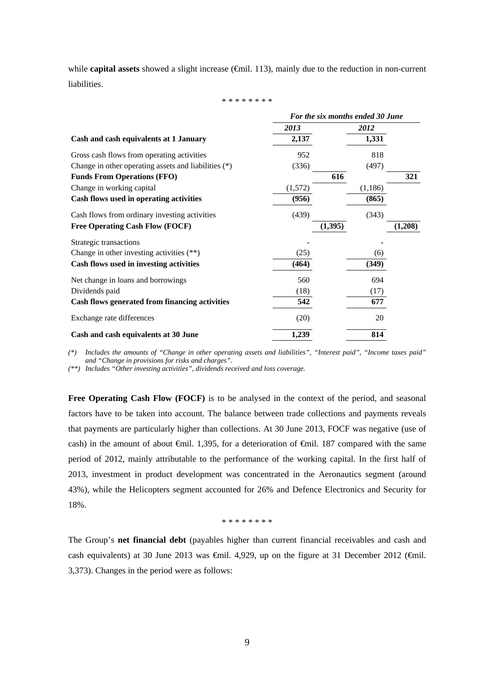while **capital assets** showed a slight increase ( $\oplus$ mil. 113), mainly due to the reduction in non-current liabilities.

\* \* \* \* \* \* \* \*

|                                                      |         |          | For the six months ended 30 June |  |  |
|------------------------------------------------------|---------|----------|----------------------------------|--|--|
|                                                      | 2013    | 2012     |                                  |  |  |
| Cash and cash equivalents at 1 January               | 2,137   | 1,331    |                                  |  |  |
| Gross cash flows from operating activities           | 952     | 818      |                                  |  |  |
| Change in other operating assets and liabilities (*) | (336)   | (497)    |                                  |  |  |
| <b>Funds From Operations (FFO)</b>                   |         | 616      | 321                              |  |  |
| Change in working capital                            | (1,572) | (1,186)  |                                  |  |  |
| Cash flows used in operating activities              | (956)   | (865)    |                                  |  |  |
| Cash flows from ordinary investing activities        | (439)   | (343)    |                                  |  |  |
| <b>Free Operating Cash Flow (FOCF)</b>               |         | (1, 395) | (1,208)                          |  |  |
| Strategic transactions                               |         |          |                                  |  |  |
| Change in other investing activities $(**)$          | (25)    | (6)      |                                  |  |  |
| Cash flows used in investing activities              | (464)   | (349)    |                                  |  |  |
| Net change in loans and borrowings                   | 560     | 694      |                                  |  |  |
| Dividends paid                                       | (18)    | (17)     |                                  |  |  |
| Cash flows generated from financing activities       | 542     | 677      |                                  |  |  |
| Exchange rate differences                            | (20)    | 20       |                                  |  |  |
| Cash and cash equivalents at 30 June                 | 1,239   | 814      |                                  |  |  |

*(\*) Includes the amounts of "Change in other operating assets and liabilities", "Interest paid", "Income taxes paid" and "Change in provisions for risks and charges".* 

*(\*\*) Includes "Other investing activities", dividends received and loss coverage.* 

**Free Operating Cash Flow (FOCF)** is to be analysed in the context of the period, and seasonal factors have to be taken into account. The balance between trade collections and payments reveals that payments are particularly higher than collections. At 30 June 2013, FOCF was negative (use of cash) in the amount of about €mil. 1,395, for a deterioration of €mil. 187 compared with the same period of 2012, mainly attributable to the performance of the working capital. In the first half of 2013, investment in product development was concentrated in the Aeronautics segment (around 43%), while the Helicopters segment accounted for 26% and Defence Electronics and Security for 18%.

\* \* \* \* \* \* \* \*

The Group's **net financial debt** (payables higher than current financial receivables and cash and cash equivalents) at 30 June 2013 was  $\epsilon$ mil. 4,929, up on the figure at 31 December 2012 ( $\epsilon$ mil. 3,373). Changes in the period were as follows: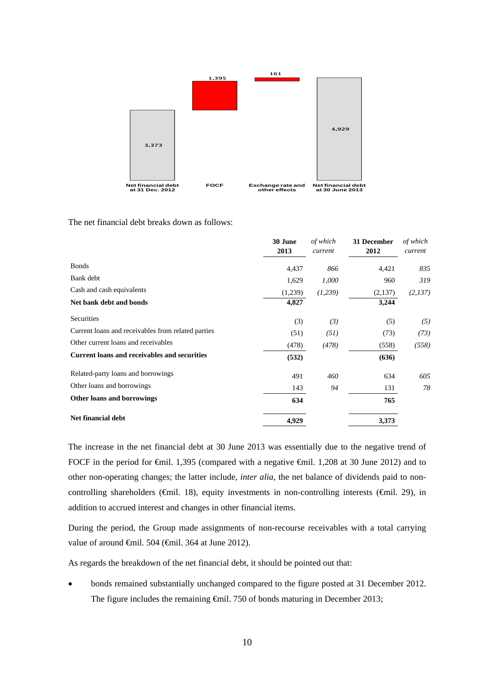

The net financial debt breaks down as follows:

|                                                     | 30 June<br>2013 | of which<br>current | 31 December<br>2012 | of which<br>current |
|-----------------------------------------------------|-----------------|---------------------|---------------------|---------------------|
| <b>Bonds</b>                                        | 4,437           | 866                 | 4,421               | 835                 |
| Bank debt                                           | 1,629           | 1,000               | 960                 | 319                 |
| Cash and cash equivalents                           | (1,239)         | (1,239)             | (2,137)             | (2,137)             |
| Net bank debt and bonds                             | 4,827           |                     | 3,244               |                     |
| Securities                                          | (3)             | (3)                 | (5)                 | (5)                 |
| Current loans and receivables from related parties  | (51)            | (51)                | (73)                | (73)                |
| Other current loans and receivables                 | (478)           | (478)               | (558)               | (558)               |
| <b>Current loans and receivables and securities</b> | (532)           |                     | (636)               |                     |
| Related-party loans and borrowings                  | 491             | 460                 | 634                 | 605                 |
| Other loans and borrowings                          | 143             | 94                  | 131                 | 78                  |
| Other loans and borrowings                          | 634             |                     | 765                 |                     |
| <b>Net financial debt</b>                           | 4,929           |                     | 3,373               |                     |

The increase in the net financial debt at 30 June 2013 was essentially due to the negative trend of FOCF in the period for €mil. 1,395 (compared with a negative €mil. 1,208 at 30 June 2012) and to other non-operating changes; the latter include, *inter alia*, the net balance of dividends paid to noncontrolling shareholders (€mil. 18), equity investments in non-controlling interests (€mil. 29), in addition to accrued interest and changes in other financial items.

During the period, the Group made assignments of non-recourse receivables with a total carrying value of around €mil. 504 (€mil. 364 at June 2012).

As regards the breakdown of the net financial debt, it should be pointed out that:

• bonds remained substantially unchanged compared to the figure posted at 31 December 2012. The figure includes the remaining €mil. 750 of bonds maturing in December 2013;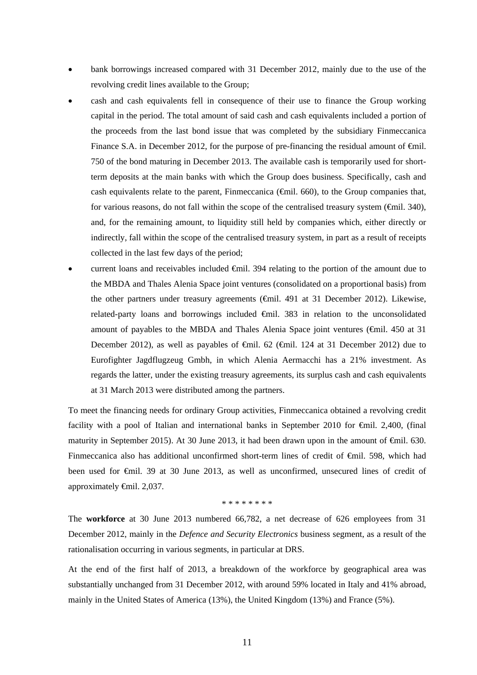- bank borrowings increased compared with 31 December 2012, mainly due to the use of the revolving credit lines available to the Group;
- cash and cash equivalents fell in consequence of their use to finance the Group working capital in the period. The total amount of said cash and cash equivalents included a portion of the proceeds from the last bond issue that was completed by the subsidiary Finmeccanica Finance S.A. in December 2012, for the purpose of pre-financing the residual amount of  $\epsilon$ mil. 750 of the bond maturing in December 2013. The available cash is temporarily used for shortterm deposits at the main banks with which the Group does business. Specifically, cash and cash equivalents relate to the parent, Finmeccanica ( $\epsilon$ mil. 660), to the Group companies that, for various reasons, do not fall within the scope of the centralised treasury system (€mil. 340), and, for the remaining amount, to liquidity still held by companies which, either directly or indirectly, fall within the scope of the centralised treasury system, in part as a result of receipts collected in the last few days of the period;
- current loans and receivables included <del>€</del>mil. 394 relating to the portion of the amount due to the MBDA and Thales Alenia Space joint ventures (consolidated on a proportional basis) from the other partners under treasury agreements ( $\epsilon$ mil. 491 at 31 December 2012). Likewise, related-party loans and borrowings included €mil. 383 in relation to the unconsolidated amount of payables to the MBDA and Thales Alenia Space joint ventures ( $\epsilon$ mil. 450 at 31 December 2012), as well as payables of €mil. 62 (€mil. 124 at 31 December 2012) due to Eurofighter Jagdflugzeug Gmbh, in which Alenia Aermacchi has a 21% investment. As regards the latter, under the existing treasury agreements, its surplus cash and cash equivalents at 31 March 2013 were distributed among the partners.

To meet the financing needs for ordinary Group activities, Finmeccanica obtained a revolving credit facility with a pool of Italian and international banks in September 2010 for  $\epsilon$ mil. 2,400, (final maturity in September 2015). At 30 June 2013, it had been drawn upon in the amount of  $\epsilon$ mil. 630. Finmeccanica also has additional unconfirmed short-term lines of credit of €mil. 598, which had been used for €mil. 39 at 30 June 2013, as well as unconfirmed, unsecured lines of credit of approximately €mil. 2,037.

\* \* \* \* \* \* \* \*

The **workforce** at 30 June 2013 numbered 66,782, a net decrease of 626 employees from 31 December 2012, mainly in the *Defence and Security Electronics* business segment, as a result of the rationalisation occurring in various segments, in particular at DRS.

At the end of the first half of 2013, a breakdown of the workforce by geographical area was substantially unchanged from 31 December 2012, with around 59% located in Italy and 41% abroad, mainly in the United States of America (13%), the United Kingdom (13%) and France (5%).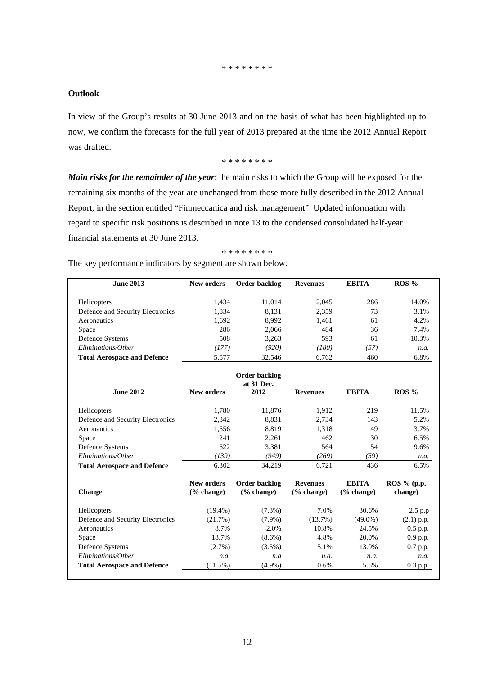#### \* \* \* \* \* \* \* \*

### **Outlook**

In view of the Group's results at 30 June 2013 and on the basis of what has been highlighted up to now, we confirm the forecasts for the full year of 2013 prepared at the time the 2012 Annual Report was drafted.

\* \* \* \* \* \* \* \*

*Main risks for the remainder of the year*: the main risks to which the Group will be exposed for the remaining six months of the year are unchanged from those more fully described in the 2012 Annual Report, in the section entitled "Finmeccanica and risk management". Updated information with regard to specific risk positions is described in note 13 to the condensed consolidated half-year financial statements at 30 June 2013.

### \* \* \* \* \* \* \* \*

The key performance indicators by segment are shown below.

| <b>June 2013</b>                                | New orders                          | Order backlog               | <b>Revenues</b>               | <b>EBITA</b>               | ROS %                  |
|-------------------------------------------------|-------------------------------------|-----------------------------|-------------------------------|----------------------------|------------------------|
|                                                 |                                     |                             |                               | 286                        | 14.0%                  |
| Helicopters                                     | 1,434                               | 11,014                      | 2,045                         | 73                         | 3.1%                   |
| Defence and Security Electronics<br>Aeronautics | 1,834<br>1,692                      | 8,131                       | 2,359                         | 61                         | 4.2%                   |
|                                                 | 286                                 | 8,992<br>2,066              | 1,461<br>484                  | 36                         | 7.4%                   |
| Space                                           | 508                                 | 3,263                       | 593                           | 61                         | 10.3%                  |
| Defence Systems<br>Eliminations/Other           | (177)                               | (920)                       | (180)                         | (57)                       |                        |
| <b>Total Aerospace and Defence</b>              | 5,577                               | 32,546                      | 6,762                         | 460                        | n.a.<br>6.8%           |
|                                                 |                                     | <b>Order backlog</b>        |                               |                            |                        |
|                                                 |                                     | at 31 Dec.                  |                               |                            |                        |
| <b>June 2012</b>                                | <b>New orders</b>                   | 2012                        | <b>Revenues</b>               | <b>EBITA</b>               | $ROS\%$                |
|                                                 |                                     |                             |                               |                            |                        |
| Helicopters                                     | 1,780                               | 11,876                      | 1,912                         | 219<br>143                 | 11.5%<br>5.2%          |
| Defence and Security Electronics                | 2,342                               | 8,831                       | 2,734                         |                            |                        |
| Aeronautics                                     | 1,556<br>241                        | 8,819                       | 1,318<br>462                  | 49<br>30                   | 3.7%<br>6.5%           |
| Space                                           | 522                                 | 2,261                       | 564                           | 54                         | 9.6%                   |
| Defence Systems<br>Eliminations/Other           |                                     | 3,381<br>(949)              |                               |                            |                        |
|                                                 | (139)<br>6,302                      | 34,219                      | (269)<br>6,721                | (59)<br>436                | n.a.<br>6.5%           |
| <b>Total Aerospace and Defence</b>              |                                     |                             |                               |                            |                        |
| Change                                          | New orders<br>$\frac{6}{6}$ change) | Order backlog<br>(% change) | <b>Revenues</b><br>(% change) | <b>EBITA</b><br>(% change) | ROS % (p.p.<br>change) |
| Helicopters                                     | $(19.4\%)$                          | $(7.3\%)$                   | 7.0%                          | 30.6%                      | $2.5$ p.p              |
| Defence and Security Electronics                | (21.7%)                             | $(7.9\%)$                   | $(13.7\%)$                    | $(49.0\%)$                 | $(2.1)$ p.p.           |
| Aeronautics                                     | 8.7%                                | 2.0%                        | 10.8%                         | 24.5%                      | $0.5$ p.p.             |
| Space                                           | 18.7%                               | $(8.6\%)$                   | 4.8%                          | 20.0%                      | 0.9 p.p.               |
| Defence Systems                                 | $(2.7\%)$                           | $(3.5\%)$                   | 5.1%                          | 13.0%                      | 0.7 p.p.               |
| Eliminations/Other                              | n.a.                                | n.a                         | n.a.                          | n.a.                       | n.a.                   |
| <b>Total Aerospace and Defence</b>              | (11.5%)                             | $(4.9\%)$                   | 0.6%                          | 5.5%                       | 0.3 p.p.               |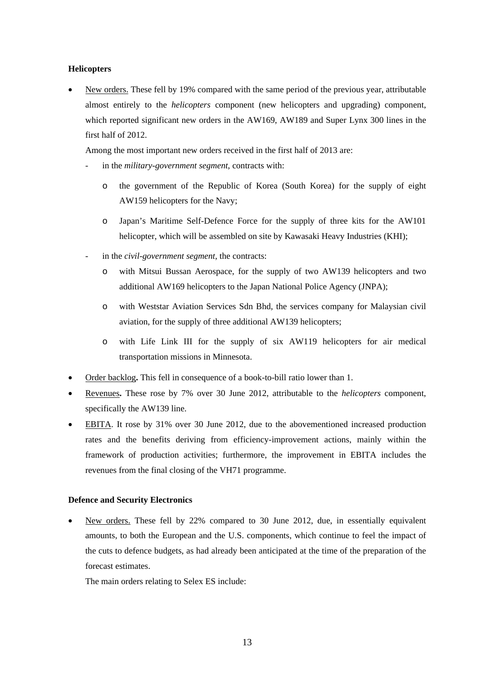### **Helicopters**

 New orders. These fell by 19% compared with the same period of the previous year, attributable almost entirely to the *helicopters* component (new helicopters and upgrading) component, which reported significant new orders in the AW169, AW189 and Super Lynx 300 lines in the first half of 2012.

Among the most important new orders received in the first half of 2013 are:

- in the *military-government segment*, contracts with:
	- o the government of the Republic of Korea (South Korea) for the supply of eight AW159 helicopters for the Navy;
	- o Japan's Maritime Self-Defence Force for the supply of three kits for the AW101 helicopter, which will be assembled on site by Kawasaki Heavy Industries (KHI);
- in the *civil-government segment*, the contracts:
	- o with Mitsui Bussan Aerospace, for the supply of two AW139 helicopters and two additional AW169 helicopters to the Japan National Police Agency (JNPA);
	- o with Weststar Aviation Services Sdn Bhd*,* the services company for Malaysian civil aviation, for the supply of three additional AW139 helicopters;
	- o with Life Link III for the supply of six AW119 helicopters for air medical transportation missions in Minnesota.
- Order backlog**.** This fell in consequence of a book-to-bill ratio lower than 1.
- Revenues**.** These rose by 7% over 30 June 2012, attributable to the *helicopters* component, specifically the AW139 line.
- **EBITA.** It rose by 31% over 30 June 2012, due to the abovementioned increased production rates and the benefits deriving from efficiency-improvement actions, mainly within the framework of production activities; furthermore, the improvement in EBITA includes the revenues from the final closing of the VH71 programme.

### **Defence and Security Electronics**

 New orders. These fell by 22% compared to 30 June 2012, due, in essentially equivalent amounts, to both the European and the U.S. components, which continue to feel the impact of the cuts to defence budgets, as had already been anticipated at the time of the preparation of the forecast estimates.

The main orders relating to Selex ES include: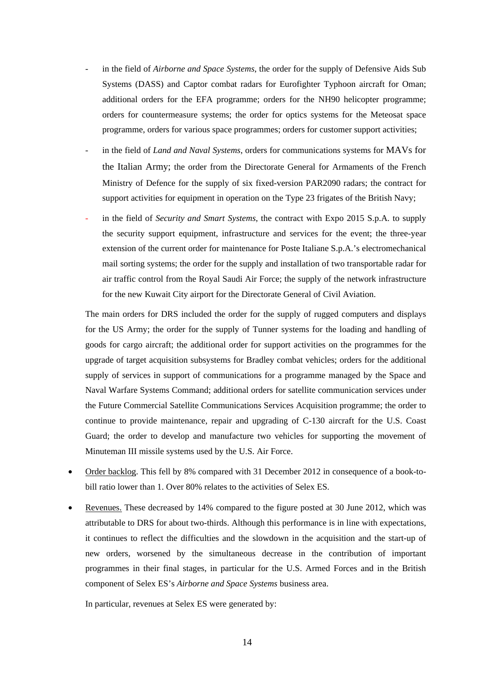- in the field of *Airborne and Space Systems*, the order for the supply of Defensive Aids Sub Systems (DASS) and Captor combat radars for Eurofighter Typhoon aircraft for Oman; additional orders for the EFA programme; orders for the NH90 helicopter programme; orders for countermeasure systems; the order for optics systems for the Meteosat space programme, orders for various space programmes; orders for customer support activities;
- in the field of *Land and Naval Systems*, orders for communications systems for MAVs for the Italian Army; the order from the Directorate General for Armaments of the French Ministry of Defence for the supply of six fixed-version PAR2090 radars; the contract for support activities for equipment in operation on the Type 23 frigates of the British Navy;
- in the field of *Security and Smart Systems*, the contract with Expo 2015 S.p.A. to supply the security support equipment, infrastructure and services for the event; the three-year extension of the current order for maintenance for Poste Italiane S.p.A.'s electromechanical mail sorting systems; the order for the supply and installation of two transportable radar for air traffic control from the Royal Saudi Air Force; the supply of the network infrastructure for the new Kuwait City airport for the Directorate General of Civil Aviation.

The main orders for DRS included the order for the supply of rugged computers and displays for the US Army; the order for the supply of Tunner systems for the loading and handling of goods for cargo aircraft; the additional order for support activities on the programmes for the upgrade of target acquisition subsystems for Bradley combat vehicles; orders for the additional supply of services in support of communications for a programme managed by the Space and Naval Warfare Systems Command; additional orders for satellite communication services under the Future Commercial Satellite Communications Services Acquisition programme; the order to continue to provide maintenance, repair and upgrading of C-130 aircraft for the U.S. Coast Guard; the order to develop and manufacture two vehicles for supporting the movement of Minuteman III missile systems used by the U.S. Air Force.

- Order backlog. This fell by 8% compared with 31 December 2012 in consequence of a book-tobill ratio lower than 1. Over 80% relates to the activities of Selex ES.
- Revenues. These decreased by 14% compared to the figure posted at 30 June 2012, which was attributable to DRS for about two-thirds. Although this performance is in line with expectations, it continues to reflect the difficulties and the slowdown in the acquisition and the start-up of new orders, worsened by the simultaneous decrease in the contribution of important programmes in their final stages, in particular for the U.S. Armed Forces and in the British component of Selex ES's *Airborne and Space Systems* business area.

In particular, revenues at Selex ES were generated by: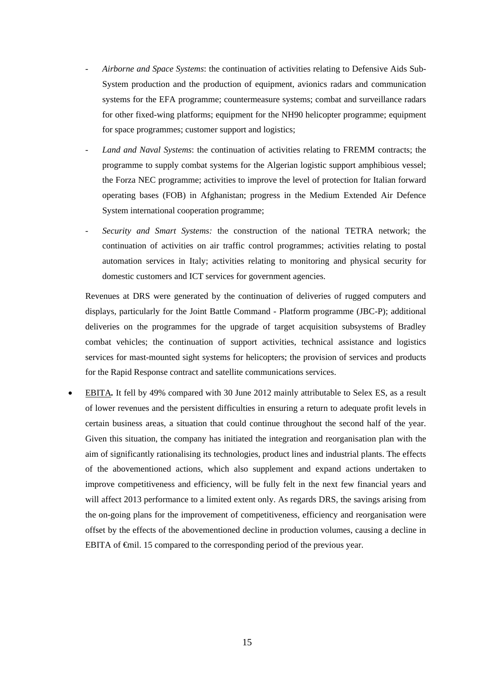- *Airborne and Space Systems*: the continuation of activities relating to Defensive Aids Sub-System production and the production of equipment, avionics radars and communication systems for the EFA programme; countermeasure systems; combat and surveillance radars for other fixed-wing platforms; equipment for the NH90 helicopter programme; equipment for space programmes; customer support and logistics;
- Land and Naval Systems: the continuation of activities relating to FREMM contracts; the programme to supply combat systems for the Algerian logistic support amphibious vessel; the Forza NEC programme; activities to improve the level of protection for Italian forward operating bases (FOB) in Afghanistan; progress in the Medium Extended Air Defence System international cooperation programme;
- *Security and Smart Systems:* the construction of the national TETRA network; the continuation of activities on air traffic control programmes; activities relating to postal automation services in Italy; activities relating to monitoring and physical security for domestic customers and ICT services for government agencies.

Revenues at DRS were generated by the continuation of deliveries of rugged computers and displays, particularly for the Joint Battle Command - Platform programme (JBC-P); additional deliveries on the programmes for the upgrade of target acquisition subsystems of Bradley combat vehicles; the continuation of support activities, technical assistance and logistics services for mast-mounted sight systems for helicopters; the provision of services and products for the Rapid Response contract and satellite communications services.

 EBITA*.* It fell by 49% compared with 30 June 2012 mainly attributable to Selex ES, as a result of lower revenues and the persistent difficulties in ensuring a return to adequate profit levels in certain business areas, a situation that could continue throughout the second half of the year. Given this situation, the company has initiated the integration and reorganisation plan with the aim of significantly rationalising its technologies, product lines and industrial plants. The effects of the abovementioned actions, which also supplement and expand actions undertaken to improve competitiveness and efficiency, will be fully felt in the next few financial years and will affect 2013 performance to a limited extent only. As regards DRS, the savings arising from the on-going plans for the improvement of competitiveness, efficiency and reorganisation were offset by the effects of the abovementioned decline in production volumes, causing a decline in EBITA of €mil. 15 compared to the corresponding period of the previous year.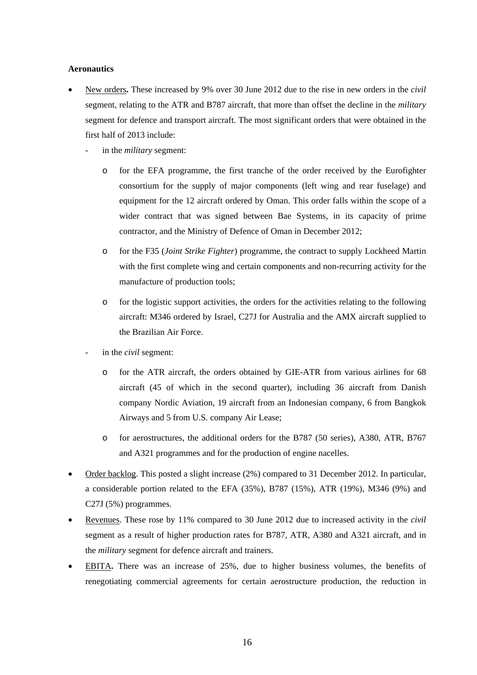### **Aeronautics**

- New orders**.** These increased by 9% over 30 June 2012 due to the rise in new orders in the *civil*  segment, relating to the ATR and B787 aircraft, that more than offset the decline in the *military* segment for defence and transport aircraft. The most significant orders that were obtained in the first half of 2013 include:
	- in the *military* segment:
		- o for the EFA programme, the first tranche of the order received by the Eurofighter consortium for the supply of major components (left wing and rear fuselage) and equipment for the 12 aircraft ordered by Oman. This order falls within the scope of a wider contract that was signed between Bae Systems, in its capacity of prime contractor*,* and the Ministry of Defence of Oman in December 2012;
		- o for the F35 (*Joint Strike Fighter*) programme, the contract to supply Lockheed Martin with the first complete wing and certain components and non-recurring activity for the manufacture of production tools;
		- o for the logistic support activities, the orders for the activities relating to the following aircraft: M346 ordered by Israel, C27J for Australia and the AMX aircraft supplied to the Brazilian Air Force.
	- in the *civil* segment:
		- o for the ATR aircraft, the orders obtained by GIE-ATR from various airlines for 68 aircraft (45 of which in the second quarter), including 36 aircraft from Danish company Nordic Aviation, 19 aircraft from an Indonesian company, 6 from Bangkok Airways and 5 from U.S. company Air Lease;
		- o for aerostructures, the additional orders for the B787 (50 series), A380, ATR, B767 and A321 programmes and for the production of engine nacelles.
- Order backlog. This posted a slight increase (2%) compared to 31 December 2012. In particular, a considerable portion related to the EFA (35%), B787 (15%), ATR (19%), M346 (9%) and C27J (5%) programmes.
- Revenues. These rose by 11% compared to 30 June 2012 due to increased activity in the *civil* segment as a result of higher production rates for B787, ATR, A380 and A321 aircraft, and in the *military* segment for defence aircraft and trainers.
- EBITA**.** There was an increase of 25%, due to higher business volumes, the benefits of renegotiating commercial agreements for certain aerostructure production, the reduction in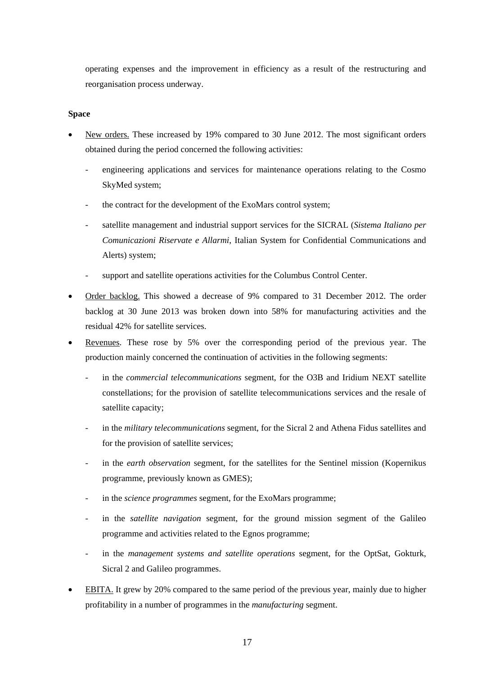operating expenses and the improvement in efficiency as a result of the restructuring and reorganisation process underway.

### **Space**

- New orders. These increased by 19% compared to 30 June 2012. The most significant orders obtained during the period concerned the following activities:
	- engineering applications and services for maintenance operations relating to the Cosmo SkyMed system;
	- the contract for the development of the ExoMars control system;
	- satellite management and industrial support services for the SICRAL (*Sistema Italiano per Comunicazioni Riservate e Allarmi*, Italian System for Confidential Communications and Alerts) system;
	- support and satellite operations activities for the Columbus Control Center.
- Order backlog. This showed a decrease of 9% compared to 31 December 2012. The order backlog at 30 June 2013 was broken down into 58% for manufacturing activities and the residual 42% for satellite services.
- Revenues. These rose by 5% over the corresponding period of the previous year. The production mainly concerned the continuation of activities in the following segments:
	- in the *commercial telecommunications* segment, for the O3B and Iridium NEXT satellite constellations; for the provision of satellite telecommunications services and the resale of satellite capacity;
	- in the *military telecommunications* segment, for the Sicral 2 and Athena Fidus satellites and for the provision of satellite services;
	- in the *earth observation* segment, for the satellites for the Sentinel mission (Kopernikus programme, previously known as GMES);
	- in the *science programmes* segment, for the ExoMars programme;
	- in the *satellite navigation* segment, for the ground mission segment of the Galileo programme and activities related to the Egnos programme;
	- in the *management systems and satellite operations* segment, for the OptSat, Gokturk, Sicral 2 and Galileo programmes.
- EBITA. It grew by 20% compared to the same period of the previous year, mainly due to higher profitability in a number of programmes in the *manufacturing* segment.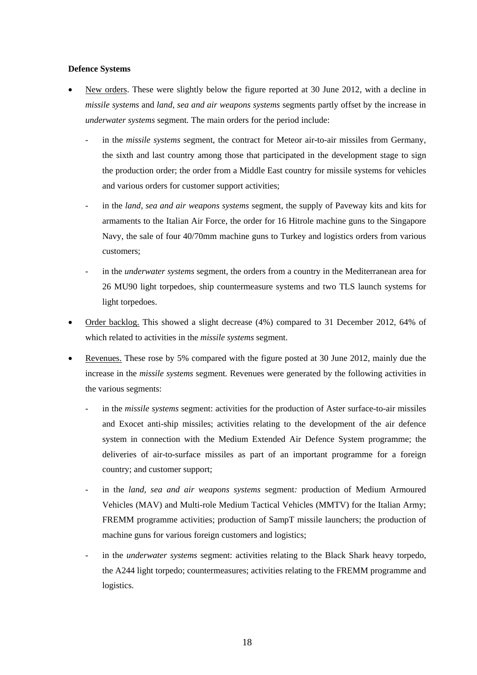### **Defence Systems**

- New orders. These were slightly below the figure reported at 30 June 2012, with a decline in *missile systems* and *land, sea and air weapons systems* segments partly offset by the increase in *underwater systems* segment*.* The main orders for the period include:
	- in the *missile systems* segment, the contract for Meteor air-to-air missiles from Germany, the sixth and last country among those that participated in the development stage to sign the production order; the order from a Middle East country for missile systems for vehicles and various orders for customer support activities;
	- in the *land, sea and air weapons systems* segment*,* the supply of Paveway kits and kits for armaments to the Italian Air Force, the order for 16 Hitrole machine guns to the Singapore Navy, the sale of four 40/70mm machine guns to Turkey and logistics orders from various customers;
	- in the *underwater systems* segment, the orders from a country in the Mediterranean area for 26 MU90 light torpedoes, ship countermeasure systems and two TLS launch systems for light torpedoes.
- Order backlog. This showed a slight decrease (4%) compared to 31 December 2012, 64% of which related to activities in the *missile systems* segment.
- Revenues. These rose by 5% compared with the figure posted at 30 June 2012, mainly due the increase in the *missile systems* segment*.* Revenues were generated by the following activities in the various segments:
	- in the *missile systems* segment: activities for the production of Aster surface-to-air missiles and Exocet anti-ship missiles; activities relating to the development of the air defence system in connection with the Medium Extended Air Defence System programme; the deliveries of air-to-surface missiles as part of an important programme for a foreign country; and customer support;
	- in the *land, sea and air weapons systems* segment*:* production of Medium Armoured Vehicles (MAV) and Multi-role Medium Tactical Vehicles (MMTV) for the Italian Army; FREMM programme activities; production of SampT missile launchers; the production of machine guns for various foreign customers and logistics;
	- in the *underwater systems* segment: activities relating to the Black Shark heavy torpedo, the A244 light torpedo; countermeasures; activities relating to the FREMM programme and logistics.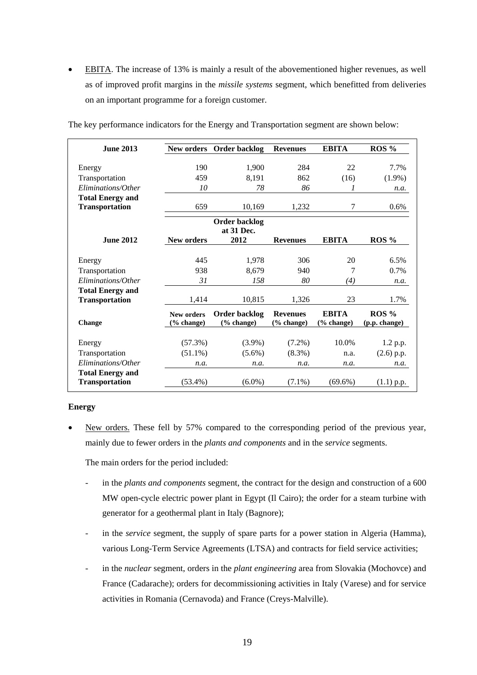EBITA. The increase of 13% is mainly a result of the abovementioned higher revenues, as well as of improved profit margins in the *missile systems* segment, which benefitted from deliveries on an important programme for a foreign customer.

| <b>June 2013</b>        | New orders                      | Order backlog                      | <b>Revenues</b>               | <b>EBITA</b>                  | ROS %                    |
|-------------------------|---------------------------------|------------------------------------|-------------------------------|-------------------------------|--------------------------|
| Energy                  | 190                             | 1,900                              | 284                           | 22                            | 7.7%                     |
| Transportation          | 459                             | 8,191                              | 862                           | (16)                          | $(1.9\%)$                |
| Eliminations/Other      | 10                              | 78                                 | 86                            | 1                             | n.a.                     |
| <b>Total Energy and</b> |                                 |                                    |                               |                               |                          |
| <b>Transportation</b>   | 659                             | 10,169                             | 1,232                         | 7                             | $0.6\%$                  |
|                         |                                 | <b>Order backlog</b><br>at 31 Dec. |                               |                               |                          |
| <b>June 2012</b>        | <b>New orders</b>               | 2012                               | <b>Revenues</b>               | <b>EBITA</b>                  | $ROS\%$                  |
| Energy                  | 445                             | 1,978                              | 306                           | 20                            | 6.5%                     |
| Transportation          | 938                             | 8.679                              | 940                           | 7                             | $0.7\%$                  |
| Eliminations/Other      | 31                              | 158                                | 80                            | (4)                           | n.a.                     |
| <b>Total Energy and</b> |                                 |                                    |                               |                               |                          |
| <b>Transportation</b>   | 1,414                           | 10,815                             | 1,326                         | 23                            | 1.7%                     |
| <b>Change</b>           | <b>New orders</b><br>(% change) | <b>Order backlog</b><br>(% change) | <b>Revenues</b><br>(% change) | <b>EBITA</b><br>$(\%$ change) | $ROS\%$<br>(p.p. change) |
| Energy                  | $(57.3\%)$                      | $(3.9\%)$                          | $(7.2\%)$                     | $10.0\%$                      | 1.2 p.p.                 |
| Transportation          | $(51.1\%)$                      | $(5.6\%)$                          | $(8.3\%)$                     | n.a.                          | $(2.6)$ p.p.             |
| Eliminations/Other      | n.a.                            | n.a.                               | n.a.                          | n.a.                          | n.a.                     |
| <b>Total Energy and</b> |                                 |                                    |                               |                               |                          |
| <b>Transportation</b>   | $(53.4\%)$                      | $(6.0\%)$                          | $(7.1\%)$                     | $(69.6\%)$                    | $(1.1)$ p.p.             |

The key performance indicators for the Energy and Transportation segment are shown below:

### **Energy**

 New orders. These fell by 57% compared to the corresponding period of the previous year, mainly due to fewer orders in the *plants and components* and in the *service* segments.

The main orders for the period included:

- in the *plants and components* segment, the contract for the design and construction of a 600 MW open-cycle electric power plant in Egypt (Il Cairo); the order for a steam turbine with generator for a geothermal plant in Italy (Bagnore);
- in the *service* segment*,* the supply of spare parts for a power station in Algeria (Hamma), various Long-Term Service Agreements (LTSA) and contracts for field service activities;
- in the *nuclear* segment, orders in the *plant engineering* area from Slovakia (Mochovce) and France (Cadarache); orders for decommissioning activities in Italy (Varese) and for service activities in Romania (Cernavoda) and France (Creys-Malville).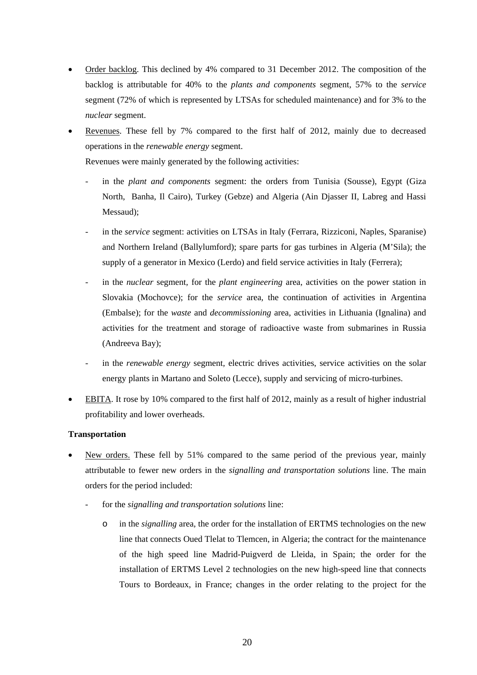- Order backlog. This declined by 4% compared to 31 December 2012. The composition of the backlog is attributable for 40% to the *plants and components* segment*,* 57% to the *service* segment (72% of which is represented by LTSAs for scheduled maintenance) and for 3% to the *nuclear* segment.
- Revenues. These fell by 7% compared to the first half of 2012, mainly due to decreased operations in the *renewable energy* segment.

Revenues were mainly generated by the following activities:

- in the *plant and components* segment: the orders from Tunisia (Sousse), Egypt (Giza North, Banha, Il Cairo), Turkey (Gebze) and Algeria (Ain Djasser II, Labreg and Hassi Messaud);
- in the *service* segment: activities on LTSAs in Italy (Ferrara, Rizziconi, Naples, Sparanise) and Northern Ireland (Ballylumford); spare parts for gas turbines in Algeria (M'Sila); the supply of a generator in Mexico (Lerdo) and field service activities in Italy (Ferrera);
- in the *nuclear* segment, for the *plant engineering* area, activities on the power station in Slovakia (Mochovce); for the *service* area*,* the continuation of activities in Argentina (Embalse); for the *waste* and *decommissioning* area*,* activities in Lithuania (Ignalina) and activities for the treatment and storage of radioactive waste from submarines in Russia (Andreeva Bay);
- in the *renewable energy* segment, electric drives activities, service activities on the solar energy plants in Martano and Soleto (Lecce), supply and servicing of micro-turbines.
- EBITA. It rose by 10% compared to the first half of 2012, mainly as a result of higher industrial profitability and lower overheads.

### **Transportation**

- New orders. These fell by 51% compared to the same period of the previous year, mainly attributable to fewer new orders in the *signalling and transportation solutions* line. The main orders for the period included:
	- for the *signalling and transportation solutions* line:
		- o in the *signalling* area*,* the order for the installation of ERTMS technologies on the new line that connects Oued Tlelat to Tlemcen, in Algeria; the contract for the maintenance of the high speed line Madrid-Puigverd de Lleida, in Spain; the order for the installation of ERTMS Level 2 technologies on the new high-speed line that connects Tours to Bordeaux, in France; changes in the order relating to the project for the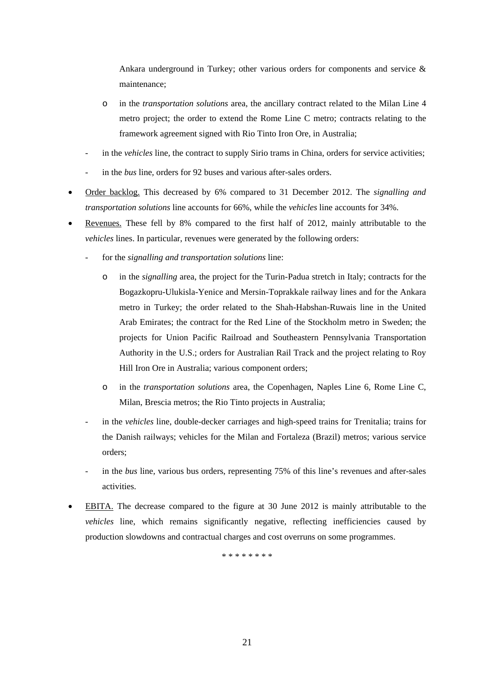Ankara underground in Turkey; other various orders for components and service  $\&$ maintenance;

- o in the *transportation solutions* area, the ancillary contract related to the Milan Line 4 metro project; the order to extend the Rome Line C metro; contracts relating to the framework agreement signed with Rio Tinto Iron Ore, in Australia;
- in the *vehicles* line, the contract to supply Sirio trams in China, orders for service activities;
- in the *bus* line*,* orders for 92 buses and various after-sales orders.
- Order backlog. This decreased by 6% compared to 31 December 2012. The *signalling and transportation solutions* line accounts for 66%, while the *vehicles* line accounts for 34%.
- Revenues. These fell by 8% compared to the first half of 2012, mainly attributable to the *vehicles* lines. In particular, revenues were generated by the following orders:
	- for the *signalling and transportation solutions* line:
		- o in the *signalling* area, the project for the Turin-Padua stretch in Italy; contracts for the Bogazkopru-Ulukisla-Yenice and Mersin-Toprakkale railway lines and for the Ankara metro in Turkey; the order related to the Shah-Habshan-Ruwais line in the United Arab Emirates; the contract for the Red Line of the Stockholm metro in Sweden; the projects for Union Pacific Railroad and Southeastern Pennsylvania Transportation Authority in the U.S.; orders for Australian Rail Track and the project relating to Roy Hill Iron Ore in Australia; various component orders;
		- o in the *transportation solutions* area, the Copenhagen, Naples Line 6, Rome Line C, Milan, Brescia metros; the Rio Tinto projects in Australia;
	- in the *vehicles* line, double-decker carriages and high-speed trains for Trenitalia; trains for the Danish railways; vehicles for the Milan and Fortaleza (Brazil) metros; various service orders;
	- in the *bus* line*,* various bus orders, representing 75% of this line's revenues and after-sales activities.
- EBITA. The decrease compared to the figure at 30 June 2012 is mainly attributable to the *vehicles* line, which remains significantly negative, reflecting inefficiencies caused by production slowdowns and contractual charges and cost overruns on some programmes.

\* \* \* \* \* \* \* \*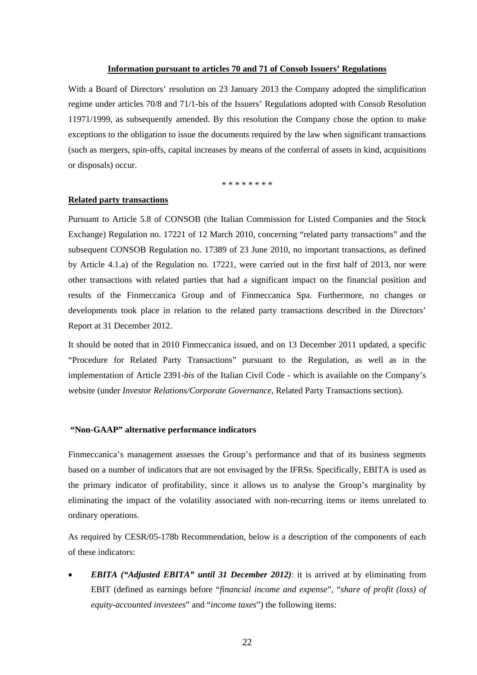### **Information pursuant to articles 70 and 71 of Consob Issuers' Regulations**

With a Board of Directors' resolution on 23 January 2013 the Company adopted the simplification regime under articles 70/8 and 71/1-bis of the Issuers' Regulations adopted with Consob Resolution 11971/1999, as subsequently amended. By this resolution the Company chose the option to make exceptions to the obligation to issue the documents required by the law when significant transactions (such as mergers, spin-offs, capital increases by means of the conferral of assets in kind, acquisitions or disposals) occur.

\* \* \* \* \* \* \*

#### **Related party transactions**

Pursuant to Article 5.8 of CONSOB (the Italian Commission for Listed Companies and the Stock Exchange) Regulation no. 17221 of 12 March 2010, concerning "related party transactions" and the subsequent CONSOB Regulation no. 17389 of 23 June 2010, no important transactions, as defined by Article 4.1.a) of the Regulation no. 17221, were carried out in the first half of 2013, nor were other transactions with related parties that had a significant impact on the financial position and results of the Finmeccanica Group and of Finmeccanica Spa. Furthermore, no changes or developments took place in relation to the related party transactions described in the Directors' Report at 31 December 2012.

It should be noted that in 2010 Finmeccanica issued, and on 13 December 2011 updated, a specific "Procedure for Related Party Transactions" pursuant to the Regulation, as well as in the implementation of Article 2391-*bis* of the Italian Civil Code - which is available on the Company's website (under *Investor Relations/Corporate Governance*, Related Party Transactions section).

#### **"Non-GAAP" alternative performance indicators**

Finmeccanica's management assesses the Group's performance and that of its business segments based on a number of indicators that are not envisaged by the IFRSs. Specifically, EBITA is used as the primary indicator of profitability, since it allows us to analyse the Group's marginality by eliminating the impact of the volatility associated with non-recurring items or items unrelated to ordinary operations.

As required by CESR/05-178b Recommendation, below is a description of the components of each of these indicators:

 *EBITA ("Adjusted EBITA" until 31 December 2012)*: it is arrived at by eliminating from EBIT (defined as earnings before "*financial income and expense*", "*share of profit (loss) of equity-accounted investees*" and "*income taxes*") the following items: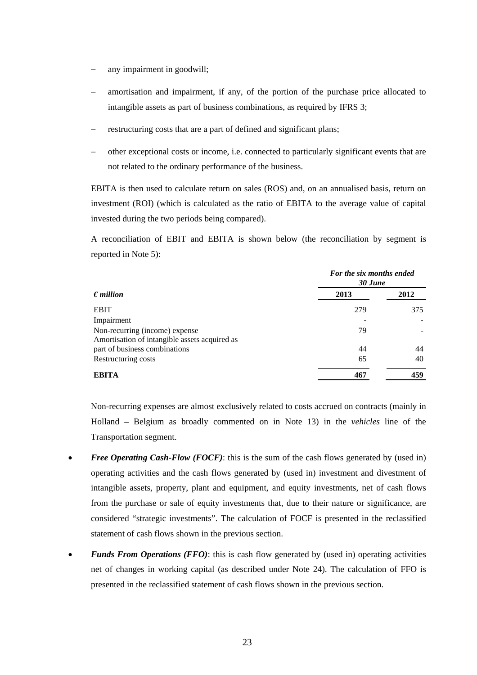- any impairment in goodwill;
- amortisation and impairment, if any, of the portion of the purchase price allocated to intangible assets as part of business combinations, as required by IFRS 3;
- restructuring costs that are a part of defined and significant plans;
- other exceptional costs or income, i.e. connected to particularly significant events that are not related to the ordinary performance of the business.

EBITA is then used to calculate return on sales (ROS) and, on an annualised basis, return on investment (ROI) (which is calculated as the ratio of EBITA to the average value of capital invested during the two periods being compared).

A reconciliation of EBIT and EBITA is shown below (the reconciliation by segment is reported in Note 5):

|                                               | For the six months ended<br>30 June |      |  |  |
|-----------------------------------------------|-------------------------------------|------|--|--|
| $\epsilon$ <i>million</i>                     | 2013                                | 2012 |  |  |
| <b>EBIT</b>                                   | 279                                 | 375  |  |  |
| Impairment                                    |                                     |      |  |  |
| Non-recurring (income) expense                | 79                                  |      |  |  |
| Amortisation of intangible assets acquired as |                                     |      |  |  |
| part of business combinations                 | 44                                  | 44   |  |  |
| Restructuring costs                           | 65                                  | 40   |  |  |
| <b>EBITA</b>                                  | 467                                 | 459  |  |  |

Non-recurring expenses are almost exclusively related to costs accrued on contracts (mainly in Holland – Belgium as broadly commented on in Note 13) in the *vehicles* line of the Transportation segment.

- Free Operating Cash-Flow (FOCF): this is the sum of the cash flows generated by (used in) operating activities and the cash flows generated by (used in) investment and divestment of intangible assets, property, plant and equipment, and equity investments, net of cash flows from the purchase or sale of equity investments that, due to their nature or significance, are considered "strategic investments". The calculation of FOCF is presented in the reclassified statement of cash flows shown in the previous section.
- *Funds From Operations (FFO)*: this is cash flow generated by (used in) operating activities net of changes in working capital (as described under Note 24). The calculation of FFO is presented in the reclassified statement of cash flows shown in the previous section.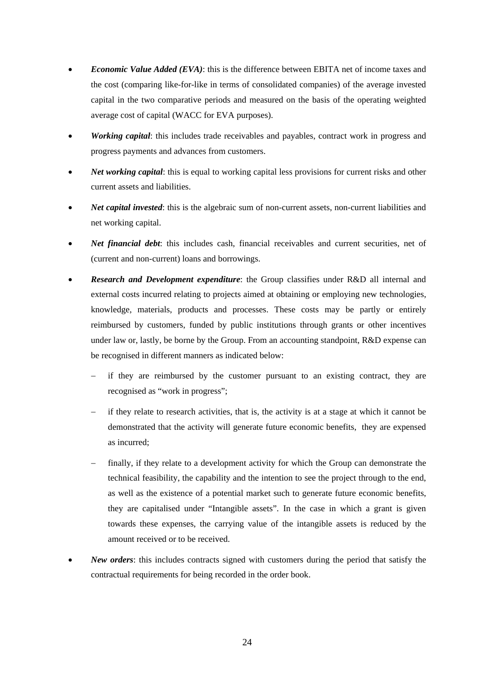- *Economic Value Added (EVA)*: this is the difference between EBITA net of income taxes and the cost (comparing like-for-like in terms of consolidated companies) of the average invested capital in the two comparative periods and measured on the basis of the operating weighted average cost of capital (WACC for EVA purposes).
- *Working capital*: this includes trade receivables and payables, contract work in progress and progress payments and advances from customers.
- *Net working capital*: this is equal to working capital less provisions for current risks and other current assets and liabilities.
- *Net capital invested*: this is the algebraic sum of non-current assets, non-current liabilities and net working capital.
- *Net financial debt*: this includes cash, financial receivables and current securities, net of (current and non-current) loans and borrowings.
- *Research and Development expenditure*: the Group classifies under R&D all internal and external costs incurred relating to projects aimed at obtaining or employing new technologies, knowledge, materials, products and processes. These costs may be partly or entirely reimbursed by customers, funded by public institutions through grants or other incentives under law or, lastly, be borne by the Group. From an accounting standpoint, R&D expense can be recognised in different manners as indicated below:
	- if they are reimbursed by the customer pursuant to an existing contract, they are recognised as "work in progress";
	- if they relate to research activities, that is, the activity is at a stage at which it cannot be demonstrated that the activity will generate future economic benefits, they are expensed as incurred;
	- finally, if they relate to a development activity for which the Group can demonstrate the technical feasibility, the capability and the intention to see the project through to the end, as well as the existence of a potential market such to generate future economic benefits, they are capitalised under "Intangible assets". In the case in which a grant is given towards these expenses, the carrying value of the intangible assets is reduced by the amount received or to be received.
- *New orders*: this includes contracts signed with customers during the period that satisfy the contractual requirements for being recorded in the order book.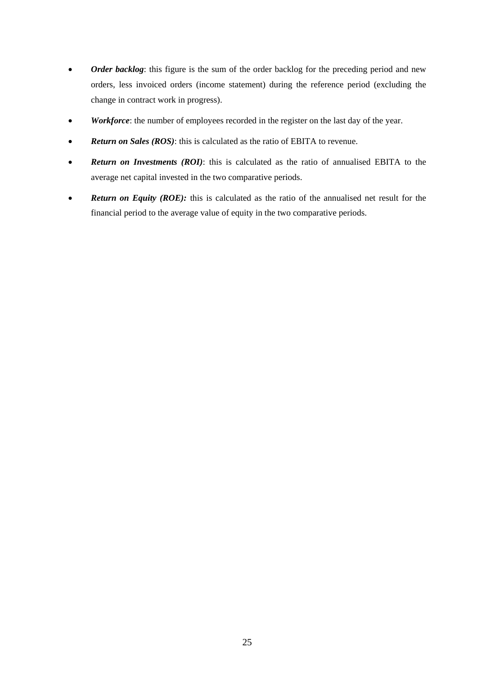- Order backlog: this figure is the sum of the order backlog for the preceding period and new orders, less invoiced orders (income statement) during the reference period (excluding the change in contract work in progress).
- *Workforce*: the number of employees recorded in the register on the last day of the year.
- *Return on Sales (ROS)*: this is calculated as the ratio of EBITA to revenue.
- *Return on Investments (ROI)*: this is calculated as the ratio of annualised EBITA to the average net capital invested in the two comparative periods.
- **Return on Equity (ROE):** this is calculated as the ratio of the annualised net result for the financial period to the average value of equity in the two comparative periods.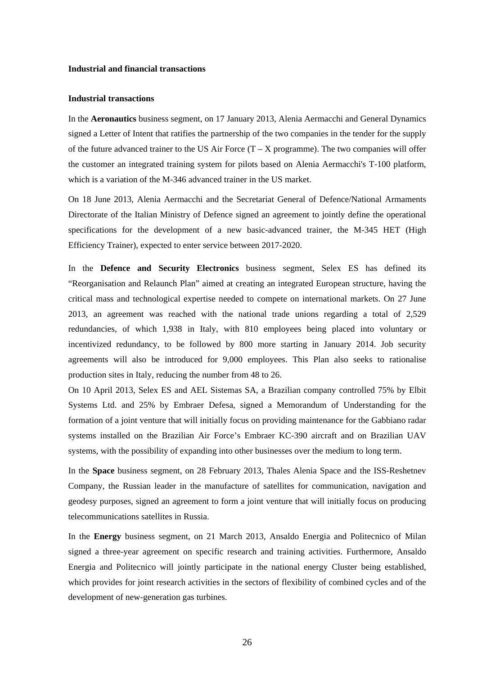#### **Industrial and financial transactions**

#### **Industrial transactions**

In the **Aeronautics** business segment, on 17 January 2013, Alenia Aermacchi and General Dynamics signed a Letter of Intent that ratifies the partnership of the two companies in the tender for the supply of the future advanced trainer to the US Air Force  $(T - X)$  programme). The two companies will offer the customer an integrated training system for pilots based on Alenia Aermacchi's T-100 platform, which is a variation of the M-346 advanced trainer in the US market.

On 18 June 2013, Alenia Aermacchi and the Secretariat General of Defence/National Armaments Directorate of the Italian Ministry of Defence signed an agreement to jointly define the operational specifications for the development of a new basic-advanced trainer, the M-345 HET (High Efficiency Trainer), expected to enter service between 2017-2020.

In the **Defence and Security Electronics** business segment, Selex ES has defined its "Reorganisation and Relaunch Plan" aimed at creating an integrated European structure, having the critical mass and technological expertise needed to compete on international markets. On 27 June 2013, an agreement was reached with the national trade unions regarding a total of 2,529 redundancies, of which 1,938 in Italy, with 810 employees being placed into voluntary or incentivized redundancy, to be followed by 800 more starting in January 2014. Job security agreements will also be introduced for 9,000 employees. This Plan also seeks to rationalise production sites in Italy, reducing the number from 48 to 26.

On 10 April 2013, Selex ES and AEL Sistemas SA, a Brazilian company controlled 75% by Elbit Systems Ltd. and 25% by Embraer Defesa, signed a Memorandum of Understanding for the formation of a joint venture that will initially focus on providing maintenance for the Gabbiano radar systems installed on the Brazilian Air Force's Embraer KC-390 aircraft and on Brazilian UAV systems, with the possibility of expanding into other businesses over the medium to long term.

In the **Space** business segment, on 28 February 2013, Thales Alenia Space and the ISS-Reshetnev Company, the Russian leader in the manufacture of satellites for communication, navigation and geodesy purposes, signed an agreement to form a joint venture that will initially focus on producing telecommunications satellites in Russia.

In the **Energy** business segment, on 21 March 2013, Ansaldo Energia and Politecnico of Milan signed a three-year agreement on specific research and training activities. Furthermore, Ansaldo Energia and Politecnico will jointly participate in the national energy Cluster being established, which provides for joint research activities in the sectors of flexibility of combined cycles and of the development of new-generation gas turbines.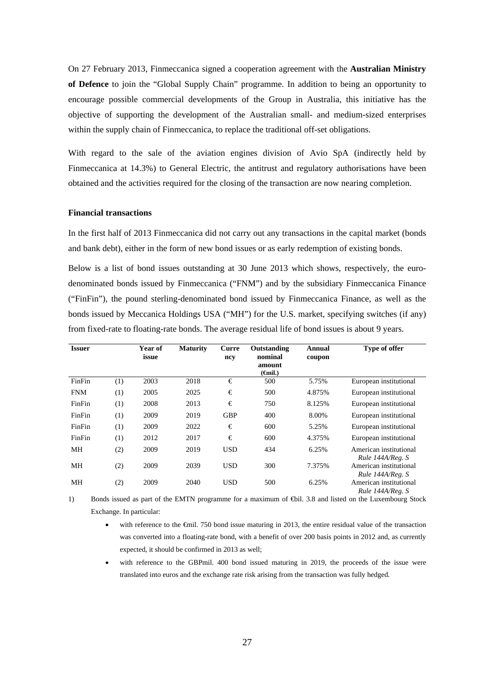On 27 February 2013, Finmeccanica signed a cooperation agreement with the **Australian Ministry of Defence** to join the "Global Supply Chain" programme. In addition to being an opportunity to encourage possible commercial developments of the Group in Australia, this initiative has the objective of supporting the development of the Australian small- and medium-sized enterprises within the supply chain of Finmeccanica, to replace the traditional off-set obligations.

With regard to the sale of the aviation engines division of Avio SpA (indirectly held by Finmeccanica at 14.3%) to General Electric, the antitrust and regulatory authorisations have been obtained and the activities required for the closing of the transaction are now nearing completion.

#### **Financial transactions**

In the first half of 2013 Finmeccanica did not carry out any transactions in the capital market (bonds and bank debt), either in the form of new bond issues or as early redemption of existing bonds.

Below is a list of bond issues outstanding at 30 June 2013 which shows, respectively, the eurodenominated bonds issued by Finmeccanica ("FNM") and by the subsidiary Finmeccanica Finance ("FinFin"), the pound sterling-denominated bond issued by Finmeccanica Finance, as well as the bonds issued by Meccanica Holdings USA ("MH") for the U.S. market, specifying switches (if any) from fixed-rate to floating-rate bonds. The average residual life of bond issues is about 9 years.

| <b>Issuer</b> |     | Year of<br>issue | <b>Maturity</b> | Curre<br>ncy | Outstanding<br>nominal<br>amount<br>( <del>G</del> nil.) | Annual<br>coupon | <b>Type of offer</b>                       |
|---------------|-----|------------------|-----------------|--------------|----------------------------------------------------------|------------------|--------------------------------------------|
| FinFin        | (1) | 2003             | 2018            | €            | 500                                                      | 5.75%            | European institutional                     |
| <b>FNM</b>    | (1) | 2005             | 2025            | €            | 500                                                      | 4.875%           | European institutional                     |
| FinFin        | (1) | 2008             | 2013            | €            | 750                                                      | 8.125%           | European institutional                     |
| FinFin        | (1) | 2009             | 2019            | <b>GBP</b>   | 400                                                      | 8.00%            | European institutional                     |
| FinFin        | (1) | 2009             | 2022            | €            | 600                                                      | 5.25%            | European institutional                     |
| FinFin        | (1) | 2012             | 2017            | €            | 600                                                      | 4.375%           | European institutional                     |
| MH            | (2) | 2009             | 2019            | <b>USD</b>   | 434                                                      | 6.25%            | American institutional<br>Rule 144A/Reg. S |
| MH            | (2) | 2009             | 2039            | <b>USD</b>   | 300                                                      | 7.375%           | American institutional<br>Rule 144A/Reg. S |
| MН            | (2) | 2009             | 2040            | <b>USD</b>   | 500                                                      | 6.25%            | American institutional<br>Rule 144A/Reg. S |

1) Bonds issued as part of the EMTN programme for a maximum of €bil. 3.8 and listed on the Luxembourg Stock Exchange. In particular:

- with reference to the €mil. 750 bond issue maturing in 2013, the entire residual value of the transaction was converted into a floating-rate bond, with a benefit of over 200 basis points in 2012 and, as currently expected, it should be confirmed in 2013 as well;
- with reference to the GBPmil. 400 bond issued maturing in 2019, the proceeds of the issue were translated into euros and the exchange rate risk arising from the transaction was fully hedged.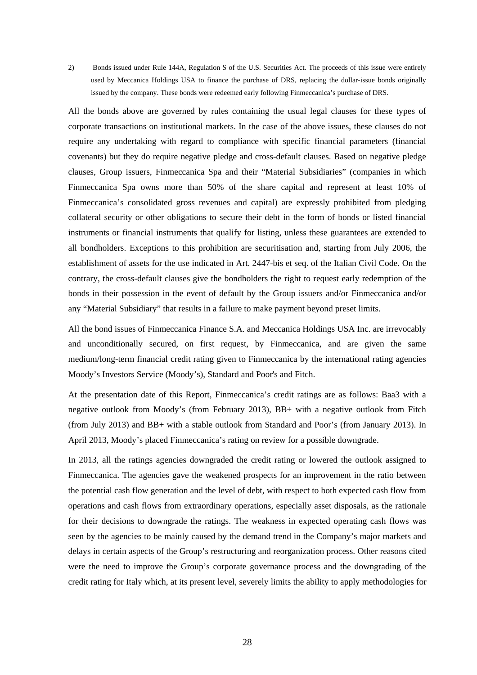2) Bonds issued under Rule 144A, Regulation S of the U.S. Securities Act. The proceeds of this issue were entirely used by Meccanica Holdings USA to finance the purchase of DRS, replacing the dollar-issue bonds originally issued by the company. These bonds were redeemed early following Finmeccanica's purchase of DRS.

All the bonds above are governed by rules containing the usual legal clauses for these types of corporate transactions on institutional markets. In the case of the above issues, these clauses do not require any undertaking with regard to compliance with specific financial parameters (financial covenants) but they do require negative pledge and cross-default clauses. Based on negative pledge clauses, Group issuers, Finmeccanica Spa and their "Material Subsidiaries" (companies in which Finmeccanica Spa owns more than 50% of the share capital and represent at least 10% of Finmeccanica's consolidated gross revenues and capital) are expressly prohibited from pledging collateral security or other obligations to secure their debt in the form of bonds or listed financial instruments or financial instruments that qualify for listing, unless these guarantees are extended to all bondholders. Exceptions to this prohibition are securitisation and, starting from July 2006, the establishment of assets for the use indicated in Art. 2447-bis et seq. of the Italian Civil Code. On the contrary, the cross-default clauses give the bondholders the right to request early redemption of the bonds in their possession in the event of default by the Group issuers and/or Finmeccanica and/or any "Material Subsidiary" that results in a failure to make payment beyond preset limits.

All the bond issues of Finmeccanica Finance S.A. and Meccanica Holdings USA Inc. are irrevocably and unconditionally secured, on first request, by Finmeccanica, and are given the same medium/long-term financial credit rating given to Finmeccanica by the international rating agencies Moody's Investors Service (Moody's), Standard and Poor's and Fitch.

At the presentation date of this Report, Finmeccanica's credit ratings are as follows: Baa3 with a negative outlook from Moody's (from February 2013), BB+ with a negative outlook from Fitch (from July 2013) and BB+ with a stable outlook from Standard and Poor's (from January 2013). In April 2013, Moody's placed Finmeccanica's rating on review for a possible downgrade.

In 2013, all the ratings agencies downgraded the credit rating or lowered the outlook assigned to Finmeccanica. The agencies gave the weakened prospects for an improvement in the ratio between the potential cash flow generation and the level of debt, with respect to both expected cash flow from operations and cash flows from extraordinary operations, especially asset disposals, as the rationale for their decisions to downgrade the ratings. The weakness in expected operating cash flows was seen by the agencies to be mainly caused by the demand trend in the Company's major markets and delays in certain aspects of the Group's restructuring and reorganization process. Other reasons cited were the need to improve the Group's corporate governance process and the downgrading of the credit rating for Italy which, at its present level, severely limits the ability to apply methodologies for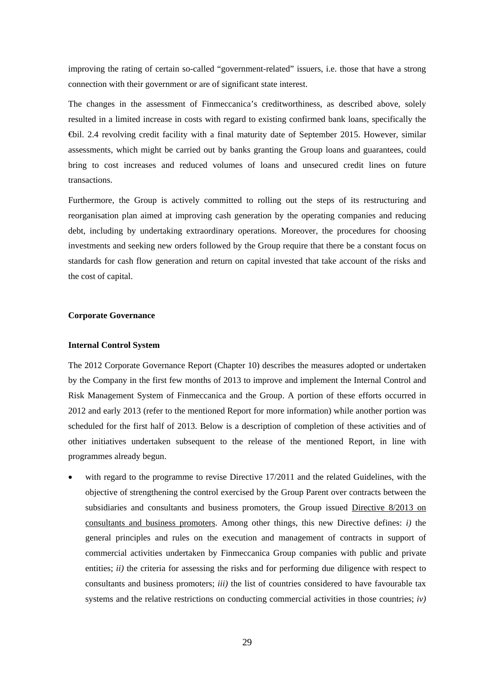improving the rating of certain so-called "government-related" issuers, i.e. those that have a strong connection with their government or are of significant state interest.

The changes in the assessment of Finmeccanica's creditworthiness, as described above, solely resulted in a limited increase in costs with regard to existing confirmed bank loans, specifically the €bil. 2.4 revolving credit facility with a final maturity date of September 2015. However, similar assessments, which might be carried out by banks granting the Group loans and guarantees, could bring to cost increases and reduced volumes of loans and unsecured credit lines on future transactions.

Furthermore, the Group is actively committed to rolling out the steps of its restructuring and reorganisation plan aimed at improving cash generation by the operating companies and reducing debt, including by undertaking extraordinary operations. Moreover, the procedures for choosing investments and seeking new orders followed by the Group require that there be a constant focus on standards for cash flow generation and return on capital invested that take account of the risks and the cost of capital.

#### **Corporate Governance**

#### **Internal Control System**

The 2012 Corporate Governance Report (Chapter 10) describes the measures adopted or undertaken by the Company in the first few months of 2013 to improve and implement the Internal Control and Risk Management System of Finmeccanica and the Group. A portion of these efforts occurred in 2012 and early 2013 (refer to the mentioned Report for more information) while another portion was scheduled for the first half of 2013. Below is a description of completion of these activities and of other initiatives undertaken subsequent to the release of the mentioned Report, in line with programmes already begun.

 with regard to the programme to revise Directive 17/2011 and the related Guidelines, with the objective of strengthening the control exercised by the Group Parent over contracts between the subsidiaries and consultants and business promoters, the Group issued Directive 8/2013 on consultants and business promoters. Among other things, this new Directive defines: *i)* the general principles and rules on the execution and management of contracts in support of commercial activities undertaken by Finmeccanica Group companies with public and private entities; *ii*) the criteria for assessing the risks and for performing due diligence with respect to consultants and business promoters; *iii)* the list of countries considered to have favourable tax systems and the relative restrictions on conducting commercial activities in those countries;  $\dot{v}$ )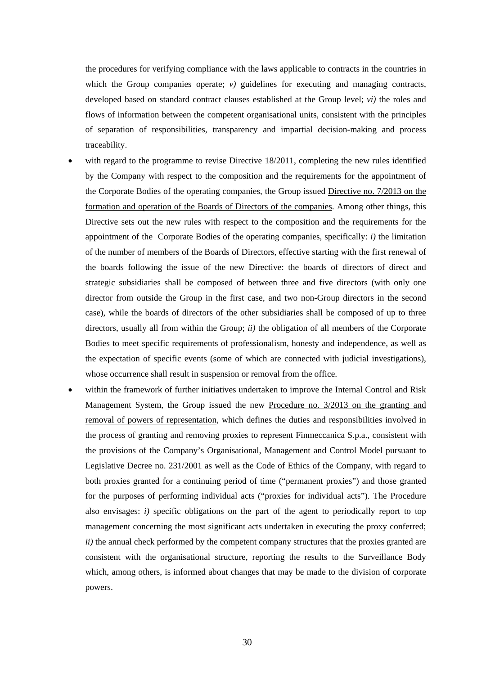the procedures for verifying compliance with the laws applicable to contracts in the countries in which the Group companies operate; *v*) guidelines for executing and managing contracts, developed based on standard contract clauses established at the Group level; *vi)* the roles and flows of information between the competent organisational units, consistent with the principles of separation of responsibilities, transparency and impartial decision-making and process traceability.

- with regard to the programme to revise Directive 18/2011, completing the new rules identified by the Company with respect to the composition and the requirements for the appointment of the Corporate Bodies of the operating companies, the Group issued Directive no. 7/2013 on the formation and operation of the Boards of Directors of the companies. Among other things, this Directive sets out the new rules with respect to the composition and the requirements for the appointment of the Corporate Bodies of the operating companies, specifically: *i)* the limitation of the number of members of the Boards of Directors, effective starting with the first renewal of the boards following the issue of the new Directive: the boards of directors of direct and strategic subsidiaries shall be composed of between three and five directors (with only one director from outside the Group in the first case, and two non-Group directors in the second case), while the boards of directors of the other subsidiaries shall be composed of up to three directors, usually all from within the Group; *ii)* the obligation of all members of the Corporate Bodies to meet specific requirements of professionalism, honesty and independence, as well as the expectation of specific events (some of which are connected with judicial investigations), whose occurrence shall result in suspension or removal from the office.
- within the framework of further initiatives undertaken to improve the Internal Control and Risk Management System, the Group issued the new Procedure no. 3/2013 on the granting and removal of powers of representation, which defines the duties and responsibilities involved in the process of granting and removing proxies to represent Finmeccanica S.p.a., consistent with the provisions of the Company's Organisational, Management and Control Model pursuant to Legislative Decree no. 231/2001 as well as the Code of Ethics of the Company, with regard to both proxies granted for a continuing period of time ("permanent proxies") and those granted for the purposes of performing individual acts ("proxies for individual acts"). The Procedure also envisages: *i)* specific obligations on the part of the agent to periodically report to top management concerning the most significant acts undertaken in executing the proxy conferred; *ii*) the annual check performed by the competent company structures that the proxies granted are consistent with the organisational structure, reporting the results to the Surveillance Body which, among others, is informed about changes that may be made to the division of corporate powers.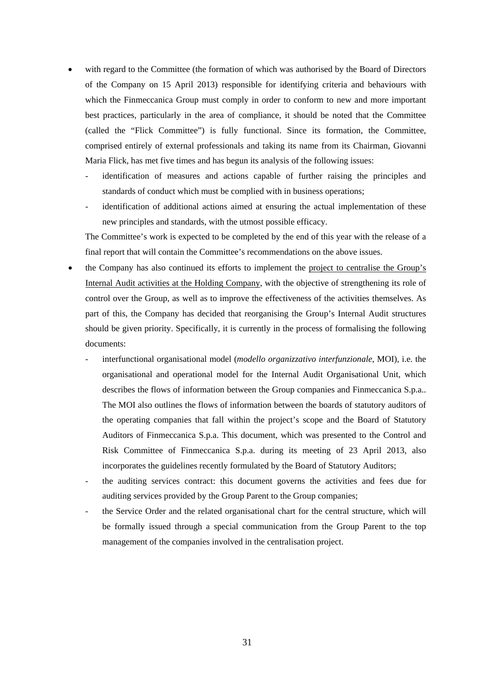- with regard to the Committee (the formation of which was authorised by the Board of Directors of the Company on 15 April 2013) responsible for identifying criteria and behaviours with which the Finmeccanica Group must comply in order to conform to new and more important best practices, particularly in the area of compliance, it should be noted that the Committee (called the "Flick Committee") is fully functional. Since its formation, the Committee, comprised entirely of external professionals and taking its name from its Chairman, Giovanni Maria Flick, has met five times and has begun its analysis of the following issues:
	- identification of measures and actions capable of further raising the principles and standards of conduct which must be complied with in business operations;
	- identification of additional actions aimed at ensuring the actual implementation of these new principles and standards, with the utmost possible efficacy.

The Committee's work is expected to be completed by the end of this year with the release of a final report that will contain the Committee's recommendations on the above issues.

- the Company has also continued its efforts to implement the project to centralise the Group's Internal Audit activities at the Holding Company, with the objective of strengthening its role of control over the Group, as well as to improve the effectiveness of the activities themselves. As part of this, the Company has decided that reorganising the Group's Internal Audit structures should be given priority. Specifically, it is currently in the process of formalising the following documents:
	- interfunctional organisational model (*modello organizzativo interfunzionale*, MOI), i.e. the organisational and operational model for the Internal Audit Organisational Unit, which describes the flows of information between the Group companies and Finmeccanica S.p.a.. The MOI also outlines the flows of information between the boards of statutory auditors of the operating companies that fall within the project's scope and the Board of Statutory Auditors of Finmeccanica S.p.a. This document, which was presented to the Control and Risk Committee of Finmeccanica S.p.a. during its meeting of 23 April 2013, also incorporates the guidelines recently formulated by the Board of Statutory Auditors;
	- the auditing services contract: this document governs the activities and fees due for auditing services provided by the Group Parent to the Group companies;
	- the Service Order and the related organisational chart for the central structure, which will be formally issued through a special communication from the Group Parent to the top management of the companies involved in the centralisation project.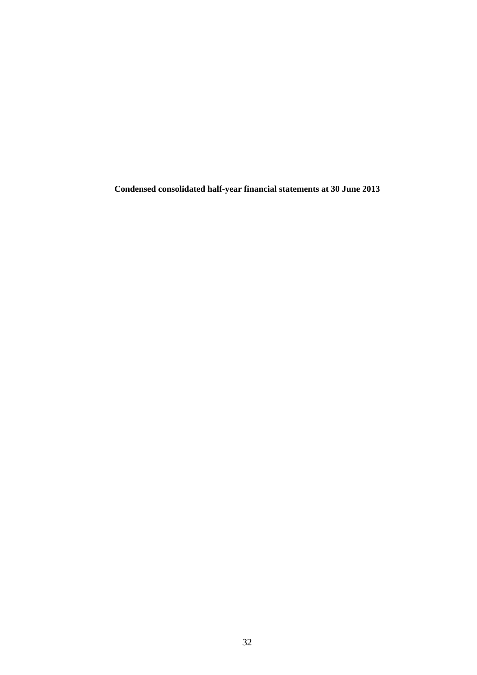**Condensed consolidated half-year financial statements at 30 June 2013**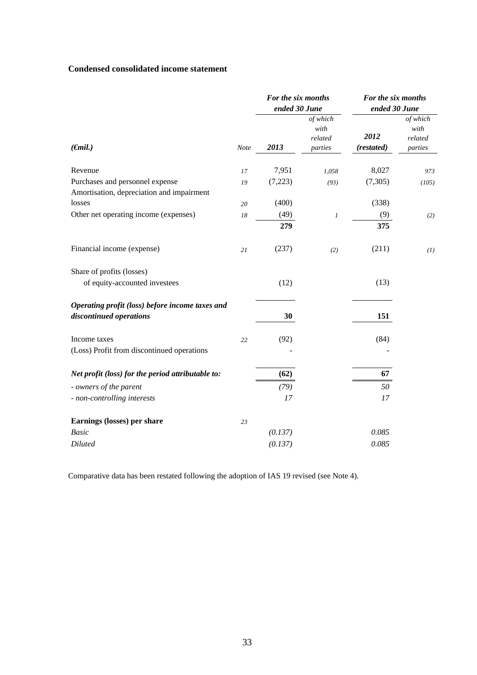### **Condensed consolidated income statement**

|                                                                              |             | For the six months<br>ended 30 June |                                        | For the six months<br>ended 30 June |                                        |  |
|------------------------------------------------------------------------------|-------------|-------------------------------------|----------------------------------------|-------------------------------------|----------------------------------------|--|
| $(\epsilon mil.)$                                                            | <b>Note</b> | 2013                                | of which<br>with<br>related<br>parties | 2012<br>(restated)                  | of which<br>with<br>related<br>parties |  |
| Revenue                                                                      | 17          | 7,951                               | 1,058                                  | 8,027                               | 973                                    |  |
| Purchases and personnel expense<br>Amortisation, depreciation and impairment | 19          | (7,223)                             | (93)                                   | (7, 305)                            | (105)                                  |  |
| losses                                                                       | 20          | (400)                               |                                        | (338)                               |                                        |  |
| Other net operating income (expenses)                                        | 18          | (49)                                | $\boldsymbol{l}$                       | (9)                                 | (2)                                    |  |
|                                                                              |             | 279                                 |                                        | 375                                 |                                        |  |
| Financial income (expense)                                                   | 21          | (237)                               | (2)                                    | (211)                               | (1)                                    |  |
| Share of profits (losses)                                                    |             |                                     |                                        |                                     |                                        |  |
| of equity-accounted investees                                                |             | (12)                                |                                        | (13)                                |                                        |  |
| Operating profit (loss) before income taxes and<br>discontinued operations   |             | 30                                  |                                        | 151                                 |                                        |  |
| Income taxes                                                                 | 22          | (92)                                |                                        | (84)                                |                                        |  |
| (Loss) Profit from discontinued operations                                   |             |                                     |                                        |                                     |                                        |  |
| Net profit (loss) for the period attributable to:                            |             | (62)                                |                                        | 67                                  |                                        |  |
| - owners of the parent                                                       |             | (79)                                |                                        | 50                                  |                                        |  |
| - non-controlling interests                                                  |             | 17                                  |                                        | 17                                  |                                        |  |
| Earnings (losses) per share                                                  | 23          |                                     |                                        |                                     |                                        |  |
| <b>Basic</b>                                                                 |             | (0.137)                             |                                        | 0.085                               |                                        |  |
| <b>Diluted</b>                                                               |             | (0.137)                             |                                        | 0.085                               |                                        |  |

Comparative data has been restated following the adoption of IAS 19 revised (see Note 4).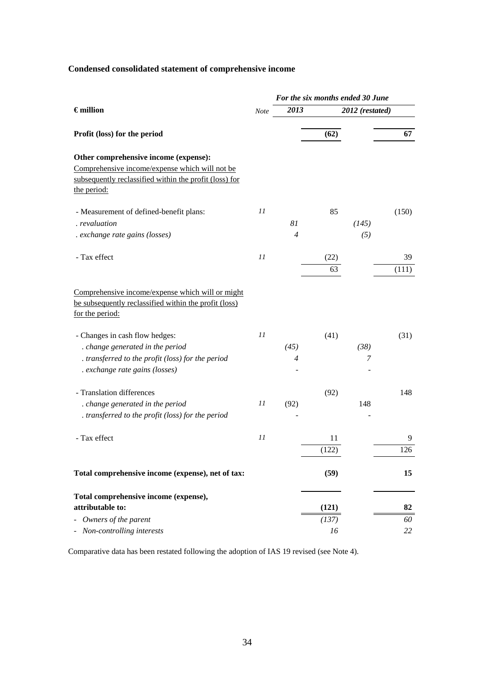# **Condensed consolidated statement of comprehensive income**

|                                                                                                                                                                  |             | For the six months ended 30 June |                 |              |       |  |
|------------------------------------------------------------------------------------------------------------------------------------------------------------------|-------------|----------------------------------|-----------------|--------------|-------|--|
| $\epsilon$ million                                                                                                                                               | <b>Note</b> | 2013                             | 2012 (restated) |              |       |  |
| Profit (loss) for the period                                                                                                                                     |             |                                  | (62)            |              | 67    |  |
| Other comprehensive income (expense):<br>Comprehensive income/expense which will not be<br>subsequently reclassified within the profit (loss) for<br>the period: |             |                                  |                 |              |       |  |
| - Measurement of defined-benefit plans:<br>. revaluation<br>. exchange rate gains (losses)                                                                       | 11          | 81<br>$\overline{4}$             | 85              | (145)<br>(5) | (150) |  |
| - Tax effect                                                                                                                                                     | 11          |                                  | (22)            |              | 39    |  |
|                                                                                                                                                                  |             |                                  | 63              |              | (111) |  |
| Comprehensive income/expense which will or might<br>be subsequently reclassified within the profit (loss)<br>for the period:                                     |             |                                  |                 |              |       |  |
| - Changes in cash flow hedges:                                                                                                                                   | $_{II}$     |                                  | (41)            |              | (31)  |  |
| . change generated in the period                                                                                                                                 |             | (45)                             |                 | (38)         |       |  |
| . transferred to the profit (loss) for the period<br>. exchange rate gains (losses)                                                                              |             | 4                                |                 | 7            |       |  |
| - Translation differences                                                                                                                                        |             |                                  | (92)            |              | 148   |  |
| . change generated in the period<br>. transferred to the profit (loss) for the period                                                                            | 11          | (92)                             |                 | 148          |       |  |
| - Tax effect                                                                                                                                                     | 11          |                                  | 11              |              | 9     |  |
|                                                                                                                                                                  |             |                                  | (122)           |              | 126   |  |
| Total comprehensive income (expense), net of tax:                                                                                                                |             |                                  | (59)            |              | 15    |  |
| Total comprehensive income (expense),<br>attributable to:                                                                                                        |             |                                  | (121)           |              | 82    |  |
| - Owners of the parent                                                                                                                                           |             |                                  | (137)           |              | 60    |  |
| Non-controlling interests                                                                                                                                        |             |                                  | 16              |              | 22    |  |

Comparative data has been restated following the adoption of IAS 19 revised (see Note 4).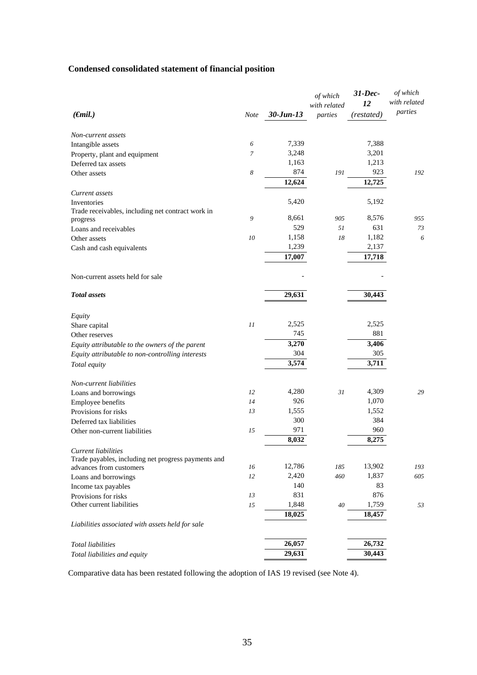# **Condensed consolidated statement of financial position**

|                                                                                |                  |              | of which     | $31$ -Dec- | of which     |
|--------------------------------------------------------------------------------|------------------|--------------|--------------|------------|--------------|
|                                                                                |                  |              | with related | 12         | with related |
| $(\epsilon$ mil.)                                                              | <b>Note</b>      | $30$ -Jun-13 | parties      | (restated) | parties      |
| Non-current assets                                                             |                  |              |              |            |              |
| Intangible assets                                                              | 6                | 7,339        |              | 7,388      |              |
| Property, plant and equipment                                                  | $\overline{7}$   | 3,248        |              | 3,201      |              |
| Deferred tax assets                                                            |                  | 1,163        |              | 1,213      |              |
| Other assets                                                                   | $\boldsymbol{8}$ | 874          | 191          | 923        | 192          |
|                                                                                |                  | 12,624       |              | 12,725     |              |
| Current assets                                                                 |                  |              |              |            |              |
| Inventories                                                                    |                  | 5,420        |              | 5,192      |              |
| Trade receivables, including net contract work in                              |                  |              |              |            |              |
| progress                                                                       | 9                | 8,661        | 905          | 8,576      | 955          |
| Loans and receivables                                                          |                  | 529          | 51           | 631        | 73           |
| Other assets                                                                   | 10               | 1,158        | 18           | 1,182      | 6            |
| Cash and cash equivalents                                                      |                  | 1,239        |              | 2,137      |              |
|                                                                                |                  | 17,007       |              | 17,718     |              |
| Non-current assets held for sale                                               |                  |              |              |            |              |
| <b>Total</b> assets                                                            |                  | 29,631       |              | 30,443     |              |
|                                                                                |                  |              |              |            |              |
| Equity                                                                         | 11               | 2,525        |              | 2,525      |              |
| Share capital                                                                  |                  | 745          |              | 881        |              |
| Other reserves                                                                 |                  | 3,270        |              | 3,406      |              |
| Equity attributable to the owners of the parent                                |                  | 304          |              | 305        |              |
| Equity attributable to non-controlling interests                               |                  |              |              |            |              |
| Total equity                                                                   |                  | 3,574        |              | 3,711      |              |
| Non-current liabilities                                                        |                  |              |              |            |              |
| Loans and borrowings                                                           | 12               | 4,280        | 31           | 4,309      | 29           |
| Employee benefits                                                              | 14               | 926          |              | 1,070      |              |
| Provisions for risks                                                           | 13               | 1,555        |              | 1,552      |              |
| Deferred tax liabilities                                                       |                  | 300          |              | 384        |              |
| Other non-current liabilities                                                  | 15               | 971          |              | 960        |              |
|                                                                                |                  | 8,032        |              | 8,275      |              |
| Current liabilities                                                            |                  |              |              |            |              |
| Trade payables, including net progress payments and<br>advances from customers | 16               | 12,786       | 185          | 13,902     | 193          |
|                                                                                | 12               | 2,420        | 460          | 1,837      | 605          |
| Loans and borrowings                                                           |                  | 140          |              | 83         |              |
| Income tax payables<br>Provisions for risks                                    | 13               | 831          |              | 876        |              |
| Other current liabilities                                                      | 15               | 1,848        | $40\,$       | 1,759      | 53           |
|                                                                                |                  |              |              |            |              |
| Liabilities associated with assets held for sale                               |                  | 18,025       |              | 18,457     |              |
|                                                                                |                  |              |              |            |              |
| <b>Total liabilities</b>                                                       |                  | 26,057       |              | 26,732     |              |
| Total liabilities and equity                                                   |                  | 29,631       |              | 30,443     |              |

Comparative data has been restated following the adoption of IAS 19 revised (see Note 4).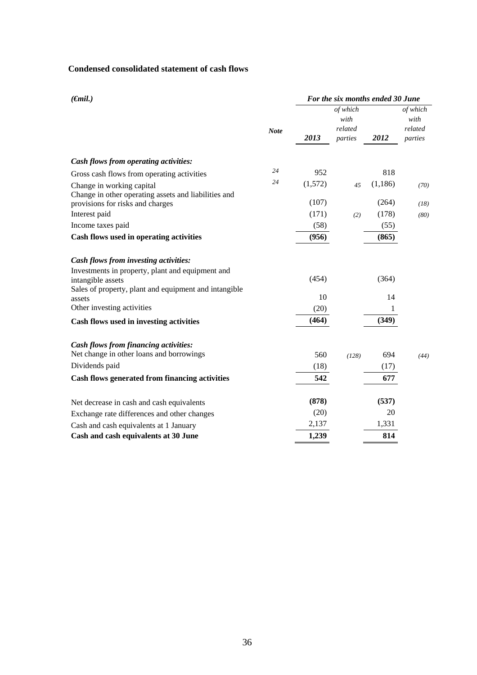### **Condensed consolidated statement of cash flows**

| $(\epsilon mil.)$                                                                 |             | For the six months ended 30 June |                                        |          |                                        |  |
|-----------------------------------------------------------------------------------|-------------|----------------------------------|----------------------------------------|----------|----------------------------------------|--|
|                                                                                   | <b>Note</b> | 2013                             | of which<br>with<br>related<br>parties | 2012     | of which<br>with<br>related<br>parties |  |
| Cash flows from operating activities:                                             |             |                                  |                                        |          |                                        |  |
| Gross cash flows from operating activities                                        | 24          | 952                              |                                        | 818      |                                        |  |
| Change in working capital<br>Change in other operating assets and liabilities and | 24          | (1,572)                          | 45                                     | (1, 186) | (70)                                   |  |
| provisions for risks and charges                                                  |             | (107)                            |                                        | (264)    | (18)                                   |  |
| Interest paid                                                                     |             | (171)                            | (2)                                    | (178)    | (80)                                   |  |
| Income taxes paid                                                                 |             | (58)                             |                                        | (55)     |                                        |  |
| Cash flows used in operating activities                                           |             | (956)                            |                                        | (865)    |                                        |  |
| Cash flows from investing activities:                                             |             |                                  |                                        |          |                                        |  |
| Investments in property, plant and equipment and<br>intangible assets             |             | (454)                            |                                        | (364)    |                                        |  |
| Sales of property, plant and equipment and intangible<br>assets                   |             | 10                               |                                        | 14       |                                        |  |
| Other investing activities                                                        |             | (20)                             |                                        | 1        |                                        |  |
| Cash flows used in investing activities                                           |             | (464)                            |                                        | (349)    |                                        |  |
| <b>Cash flows from financing activities:</b>                                      |             |                                  |                                        |          |                                        |  |
| Net change in other loans and borrowings                                          |             | 560                              | (128)                                  | 694      | (44)                                   |  |
| Dividends paid                                                                    |             | (18)                             |                                        | (17)     |                                        |  |
| Cash flows generated from financing activities                                    |             | 542                              |                                        | 677      |                                        |  |
| Net decrease in cash and cash equivalents                                         |             | (878)                            |                                        | (537)    |                                        |  |
| Exchange rate differences and other changes                                       |             | (20)                             |                                        | 20       |                                        |  |
| Cash and cash equivalents at 1 January                                            |             | 2,137                            |                                        | 1,331    |                                        |  |
| Cash and cash equivalents at 30 June                                              |             | 1,239                            |                                        | 814      |                                        |  |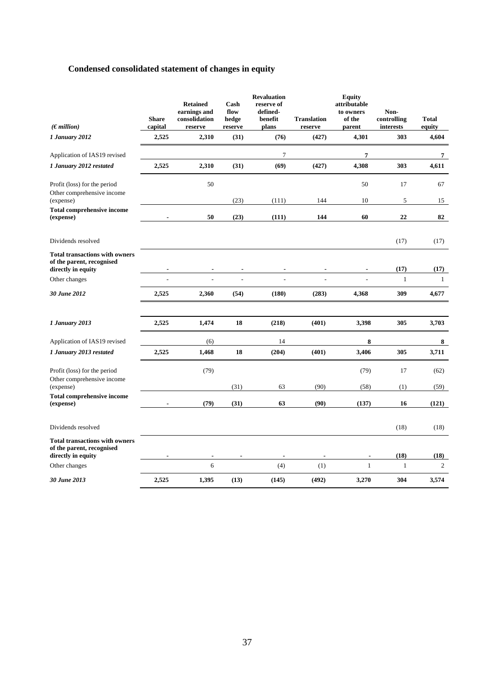# **Condensed consolidated statement of changes in equity**

| (Emillion)                                                                               | <b>Share</b><br>capital  | <b>Retained</b><br>earnings and<br>consolidation<br>reserve | Cash<br>flow<br>hedge<br>reserve | <b>Revaluation</b><br>reserve of<br>defined-<br>benefit<br>plans | <b>Translation</b><br>reserve | <b>Equity</b><br>attributable<br>to owners<br>of the<br>parent | Non-<br>controlling<br>interests | <b>Total</b><br>equity |
|------------------------------------------------------------------------------------------|--------------------------|-------------------------------------------------------------|----------------------------------|------------------------------------------------------------------|-------------------------------|----------------------------------------------------------------|----------------------------------|------------------------|
| 1 January 2012                                                                           | 2,525                    | 2,310                                                       | (31)                             | (76)                                                             | (427)                         | 4,301                                                          | 303                              | 4,604                  |
| Application of IAS19 revised                                                             |                          |                                                             |                                  | 7                                                                |                               | 7                                                              |                                  | 7                      |
| 1 January 2012 restated                                                                  | 2,525                    | 2,310                                                       | (31)                             | (69)                                                             | (427)                         | 4,308                                                          | 303                              | 4,611                  |
| Profit (loss) for the period<br>Other comprehensive income<br>(expense)                  |                          | 50                                                          | (23)                             | (111)                                                            | 144                           | 50<br>10                                                       | 17<br>5                          | 67<br>15               |
| <b>Total comprehensive income</b><br>(expense)                                           |                          | 50                                                          | (23)                             | (111)                                                            | 144                           | 60                                                             | 22                               | 82                     |
| Dividends resolved                                                                       |                          |                                                             |                                  |                                                                  |                               |                                                                | (17)                             | (17)                   |
| <b>Total transactions with owners</b><br>of the parent, recognised<br>directly in equity | $\overline{\phantom{a}}$ | $\overline{\phantom{a}}$                                    | $\overline{\phantom{a}}$         | ٠                                                                | $\overline{\phantom{a}}$      | $\blacksquare$                                                 | (17)                             | (17)                   |
| Other changes                                                                            |                          |                                                             |                                  |                                                                  |                               |                                                                | $\mathbf{1}$                     | $\mathbf{1}$           |
| 30 June 2012                                                                             | 2,525                    | 2,360                                                       | (54)                             | (180)                                                            | (283)                         | 4,368                                                          | 309                              | 4,677                  |
|                                                                                          |                          |                                                             |                                  |                                                                  |                               |                                                                |                                  |                        |
| 1 January 2013                                                                           | 2,525                    | 1,474                                                       | 18                               | (218)                                                            | (401)                         | 3,398                                                          | 305                              | 3,703                  |
| Application of IAS19 revised                                                             |                          | (6)                                                         |                                  | 14                                                               |                               | 8                                                              |                                  | 8                      |
| 1 January 2013 restated                                                                  | 2,525                    | 1,468                                                       | 18                               | (204)                                                            | (401)                         | 3,406                                                          | 305                              | 3,711                  |
| Profit (loss) for the period                                                             |                          | (79)                                                        |                                  |                                                                  |                               | (79)                                                           | 17                               | (62)                   |
| Other comprehensive income<br>(expense)                                                  |                          |                                                             | (31)                             | 63                                                               | (90)                          | (58)                                                           | (1)                              | (59)                   |
| <b>Total comprehensive income</b><br>(expense)                                           |                          | (79)                                                        | (31)                             | 63                                                               | (90)                          | (137)                                                          | 16                               | (121)                  |
| Dividends resolved                                                                       |                          |                                                             |                                  |                                                                  |                               |                                                                | (18)                             | (18)                   |
| <b>Total transactions with owners</b><br>of the parent, recognised<br>directly in equity |                          |                                                             |                                  |                                                                  |                               |                                                                | (18)                             | (18)                   |
| Other changes                                                                            |                          | 6                                                           |                                  | (4)                                                              | (1)                           | $\mathbf{1}$                                                   | $\mathbf{1}$                     | 2                      |
| 30 June 2013                                                                             | 2,525                    | 1,395                                                       | (13)                             | (145)                                                            | (492)                         | 3,270                                                          | 304                              | 3,574                  |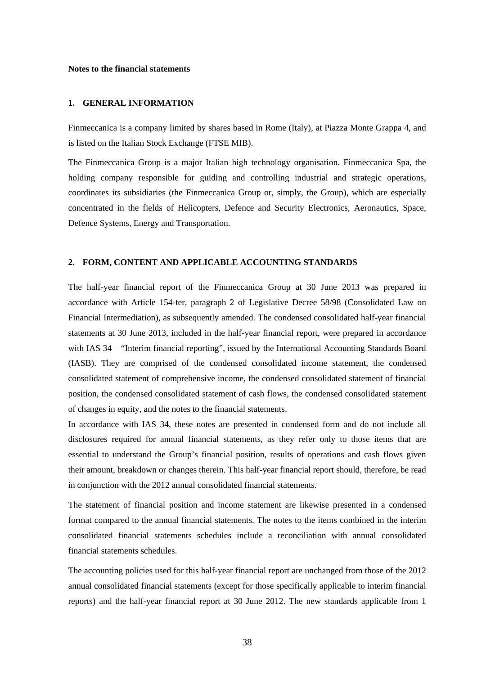#### **Notes to the financial statements**

## **1. GENERAL INFORMATION**

Finmeccanica is a company limited by shares based in Rome (Italy), at Piazza Monte Grappa 4, and is listed on the Italian Stock Exchange (FTSE MIB).

The Finmeccanica Group is a major Italian high technology organisation. Finmeccanica Spa, the holding company responsible for guiding and controlling industrial and strategic operations, coordinates its subsidiaries (the Finmeccanica Group or, simply, the Group), which are especially concentrated in the fields of Helicopters, Defence and Security Electronics, Aeronautics, Space, Defence Systems, Energy and Transportation.

### **2. FORM, CONTENT AND APPLICABLE ACCOUNTING STANDARDS**

The half-year financial report of the Finmeccanica Group at 30 June 2013 was prepared in accordance with Article 154-ter, paragraph 2 of Legislative Decree 58/98 (Consolidated Law on Financial Intermediation), as subsequently amended. The condensed consolidated half-year financial statements at 30 June 2013, included in the half-year financial report, were prepared in accordance with IAS 34 – "Interim financial reporting", issued by the International Accounting Standards Board (IASB). They are comprised of the condensed consolidated income statement, the condensed consolidated statement of comprehensive income, the condensed consolidated statement of financial position, the condensed consolidated statement of cash flows, the condensed consolidated statement of changes in equity, and the notes to the financial statements.

In accordance with IAS 34, these notes are presented in condensed form and do not include all disclosures required for annual financial statements, as they refer only to those items that are essential to understand the Group's financial position, results of operations and cash flows given their amount, breakdown or changes therein. This half-year financial report should, therefore, be read in conjunction with the 2012 annual consolidated financial statements.

The statement of financial position and income statement are likewise presented in a condensed format compared to the annual financial statements. The notes to the items combined in the interim consolidated financial statements schedules include a reconciliation with annual consolidated financial statements schedules.

The accounting policies used for this half-year financial report are unchanged from those of the 2012 annual consolidated financial statements (except for those specifically applicable to interim financial reports) and the half-year financial report at 30 June 2012. The new standards applicable from 1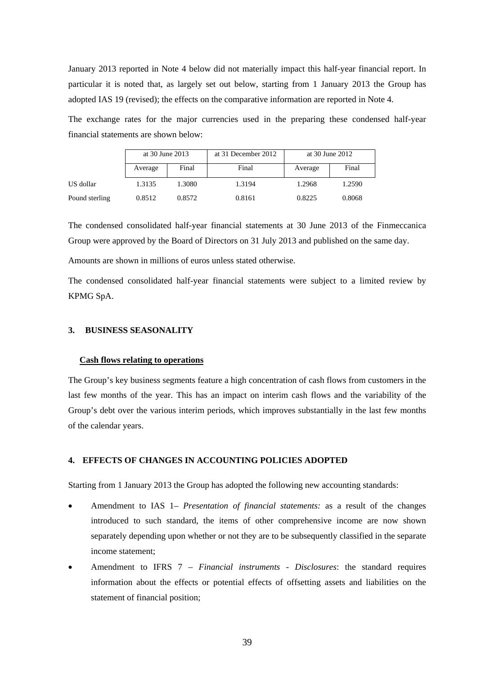January 2013 reported in Note 4 below did not materially impact this half-year financial report. In particular it is noted that, as largely set out below, starting from 1 January 2013 the Group has adopted IAS 19 (revised); the effects on the comparative information are reported in Note 4.

The exchange rates for the major currencies used in the preparing these condensed half-year financial statements are shown below:

|                | at 30 June 2013 |        | at 31 December 2012 | at 30 June 2012 |        |
|----------------|-----------------|--------|---------------------|-----------------|--------|
|                | Average         | Final  | Final               | Average         | Final  |
| US dollar      | 1.3135          | 1.3080 | 1.3194              | 1.2968          | 1.2590 |
| Pound sterling | 0.8512          | 0.8572 | 0.8161              | 0.8225          | 0.8068 |

The condensed consolidated half-year financial statements at 30 June 2013 of the Finmeccanica Group were approved by the Board of Directors on 31 July 2013 and published on the same day.

Amounts are shown in millions of euros unless stated otherwise.

The condensed consolidated half-year financial statements were subject to a limited review by KPMG SpA.

## **3. BUSINESS SEASONALITY**

#### **Cash flows relating to operations**

The Group's key business segments feature a high concentration of cash flows from customers in the last few months of the year. This has an impact on interim cash flows and the variability of the Group's debt over the various interim periods, which improves substantially in the last few months of the calendar years.

### **4. EFFECTS OF CHANGES IN ACCOUNTING POLICIES ADOPTED**

Starting from 1 January 2013 the Group has adopted the following new accounting standards:

- Amendment to IAS 1 *Presentation of financial statements:* as a result of the changes introduced to such standard, the items of other comprehensive income are now shown separately depending upon whether or not they are to be subsequently classified in the separate income statement;
- Amendment to IFRS 7 *Financial instruments Disclosures*: the standard requires information about the effects or potential effects of offsetting assets and liabilities on the statement of financial position;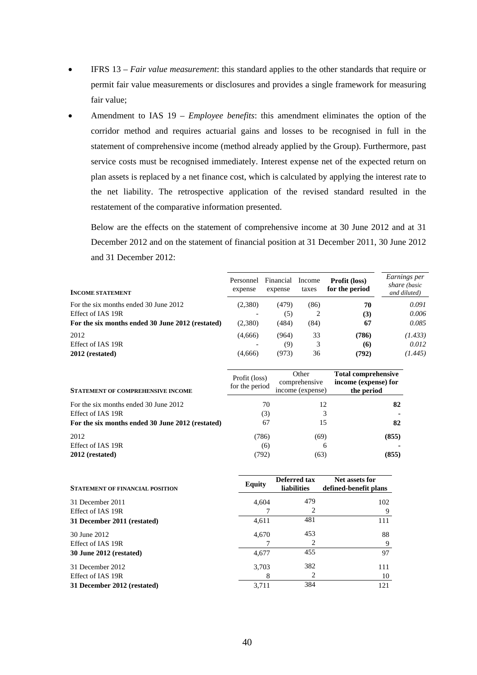- IFRS 13 *Fair value measurement*: this standard applies to the other standards that require or permit fair value measurements or disclosures and provides a single framework for measuring fair value;
- Amendment to IAS 19 *Employee benefits*: this amendment eliminates the option of the corridor method and requires actuarial gains and losses to be recognised in full in the statement of comprehensive income (method already applied by the Group). Furthermore, past service costs must be recognised immediately. Interest expense net of the expected return on plan assets is replaced by a net finance cost, which is calculated by applying the interest rate to the net liability. The retrospective application of the revised standard resulted in the restatement of the comparative information presented.

Below are the effects on the statement of comprehensive income at 30 June 2012 and at 31 December 2012 and on the statement of financial position at 31 December 2011, 30 June 2012 and 31 December 2012:

| <b>INCOME STATEMENT</b>                          | Personnel<br>expense | Financial<br>expense | Income<br>taxes | Profit (loss)<br>for the period | Earnings per<br>share (basic<br>and diluted) |
|--------------------------------------------------|----------------------|----------------------|-----------------|---------------------------------|----------------------------------------------|
| For the six months ended 30 June 2012            | (2,380)              | (479)                | (86)            | 70                              | 0.091                                        |
| Effect of IAS 19R                                |                      | (5)                  | 2               | (3)                             | 0.006                                        |
| For the six months ended 30 June 2012 (restated) | (2,380)              | (484)                | (84)            | 67                              | 0.085                                        |
| 2012                                             | (4,666)              | (964)                | 33              | (786)                           | (1.433)                                      |
| Effect of IAS 19R                                |                      | (9)                  | 3               | (6)                             | 0.012                                        |
| 2012 (restated)                                  | (4,666)              | (973)                | 36              | (792)                           | (1.445)                                      |

| <b>STATEMENT OF COMPREHENSIVE INCOME</b>         | Profit (loss)<br>for the period | Other<br>comprehensive<br>income (expense) | <b>Total comprehensive</b><br>income (expense) for<br>the period |
|--------------------------------------------------|---------------------------------|--------------------------------------------|------------------------------------------------------------------|
| For the six months ended 30 June 2012            | 70                              | 12                                         | 82                                                               |
| Effect of IAS 19R                                | (3)                             | 3                                          |                                                                  |
| For the six months ended 30 June 2012 (restated) | 67                              | 15                                         | 82                                                               |
| 2012                                             | (786)                           | (69)                                       | (855)                                                            |
| Effect of IAS 19R                                | (6)                             | 6                                          |                                                                  |
| 2012 (restated)                                  | (792)                           | (63)                                       | (855)                                                            |

| <b>STATEMENT OF FINANCIAL POSITION</b> | <b>Equity</b> | Deferred tax<br><b>liabilities</b> | Net assets for<br>defined-benefit plans |
|----------------------------------------|---------------|------------------------------------|-----------------------------------------|
| 31 December 2011                       | 4,604         | 479                                | 102                                     |
| Effect of IAS 19R                      |               | 2                                  | 9                                       |
| 31 December 2011 (restated)            | 4,611         | 481                                | 111                                     |
| 30 June 2012                           | 4,670         | 453                                | 88                                      |
| Effect of IAS 19R                      |               | 2                                  | 9                                       |
| <b>30 June 2012 (restated)</b>         | 4,677         | 455                                | 97                                      |
| 31 December 2012                       | 3,703         | 382                                | 111                                     |
| Effect of IAS 19R                      | 8             | 2                                  | 10                                      |
| 31 December 2012 (restated)            | 3.711         | 384                                | 121                                     |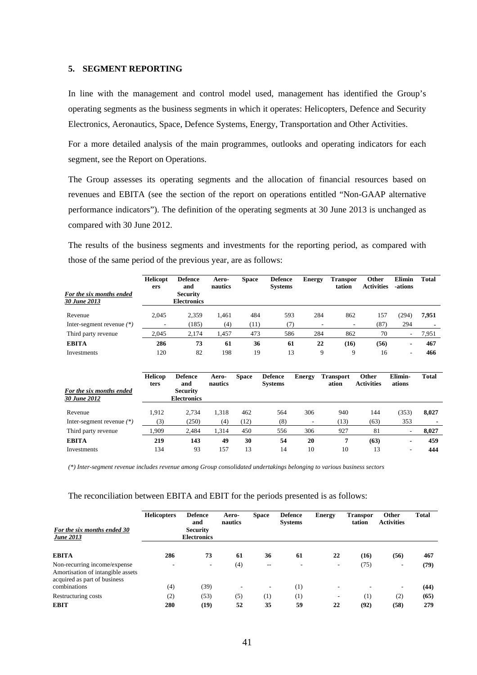#### **5. SEGMENT REPORTING**

In line with the management and control model used, management has identified the Group's operating segments as the business segments in which it operates: Helicopters, Defence and Security Electronics, Aeronautics, Space, Defence Systems, Energy, Transportation and Other Activities.

For a more detailed analysis of the main programmes, outlooks and operating indicators for each segment, see the Report on Operations.

The Group assesses its operating segments and the allocation of financial resources based on revenues and EBITA (see the section of the report on operations entitled "Non-GAAP alternative performance indicators"). The definition of the operating segments at 30 June 2013 is unchanged as compared with 30 June 2012.

The results of the business segments and investments for the reporting period, as compared with those of the same period of the previous year, are as follows:

| For the six months ended<br>30 June 2013 | <b>Helicopt</b><br>ers | <b>Defence</b><br>and<br><b>Security</b><br><b>Electronics</b> | Aero-<br>nautics | <b>Space</b> | <b>Defence</b><br><b>Systems</b> | <b>Energy</b>            | <b>Transpor</b><br>tation | Other<br>Activities        | <b>Elimin</b><br>-ations | <b>Total</b> |
|------------------------------------------|------------------------|----------------------------------------------------------------|------------------|--------------|----------------------------------|--------------------------|---------------------------|----------------------------|--------------------------|--------------|
| Revenue                                  | 2,045                  | 2,359                                                          | 1,461            | 484          | 593                              | 284                      | 862                       | 157                        | (294)                    | 7,951        |
| Inter-segment revenue $(*)$              |                        | (185)                                                          | (4)              | (11)         | (7)                              |                          |                           | (87)                       | 294                      |              |
| Third party revenue                      | 2,045                  | 2,174                                                          | 1,457            | 473          | 586                              | 284                      | 862                       | 70                         | $\overline{\phantom{a}}$ | 7,951        |
| <b>EBITA</b>                             | 286                    | 73                                                             | 61               | 36           | 61                               |                          | 22<br>(16)                | (56)                       | $\blacksquare$           | 467          |
| Investments                              | 120                    | 82                                                             | 198              | 19           | 13                               |                          | 9<br>9                    | 16                         | $\overline{\phantom{a}}$ | 466          |
| For the six months ended<br>30 June 2012 | <b>Helicop</b><br>ters | <b>Defence</b><br>and<br><b>Security</b><br><b>Electronics</b> | Aero-<br>nautics | <b>Space</b> | <b>Defence</b><br><b>Systems</b> | <b>Energy</b>            | <b>Transport</b><br>ation | Other<br><b>Activities</b> | Elimin-<br>ations        | <b>Total</b> |
| Revenue                                  | 1,912                  | 2,734                                                          | 1,318            | 462          | 564                              | 306                      | 940                       | 144                        | (353)                    | 8,027        |
| Inter-segment revenue $(*)$              | (3)                    | (250)                                                          | (4)              | (12)         | (8)                              | $\overline{\phantom{a}}$ | (13)                      | (63)                       | 353                      |              |
| Third party revenue                      | 1,909                  | 2,484                                                          | 1,314            | 450          | 556                              | 306                      | 927                       | 81                         | $\overline{\phantom{a}}$ | 8,027        |
| <b>EBITA</b>                             | 219                    | 143                                                            | 49               | 30           | 54                               | 20                       | 7                         | (63)                       | $\blacksquare$           | 459          |
| Investments                              | 134                    | 93                                                             | 157              | 13           | 14                               | 10                       | 10                        | 13                         | ۰                        | 444          |

*(\*) Inter-segment revenue includes revenue among Group consolidated undertakings belonging to various business sectors* 

The reconciliation between EBITA and EBIT for the periods presented is as follows:

| For the six months ended 30<br><b>June 2013</b>                                                   | <b>Helicopters</b>       | <b>Defence</b><br>and<br><b>Security</b><br><b>Electronics</b> | Aero-<br>nautics         | <b>Space</b>             | <b>Defence</b><br><b>Systems</b> | <b>Energy</b> | <b>Transpor</b><br>tation | <b>Other</b><br><b>Activities</b> | <b>Total</b> |
|---------------------------------------------------------------------------------------------------|--------------------------|----------------------------------------------------------------|--------------------------|--------------------------|----------------------------------|---------------|---------------------------|-----------------------------------|--------------|
| <b>EBITA</b>                                                                                      | 286                      | 73                                                             | 61                       | 36                       | 61                               | 22            | (16)                      | (56)                              | 467          |
| Non-recurring income/expense<br>Amortisation of intangible assets<br>acquired as part of business | $\overline{\phantom{a}}$ | $\overline{\phantom{a}}$                                       | (4)                      | $- -$                    | $\overline{\phantom{a}}$         | -             | (75)                      | $\overline{\phantom{a}}$          | (79)         |
| combinations                                                                                      | (4)                      | (39)                                                           | $\overline{\phantom{a}}$ | $\overline{\phantom{a}}$ | (1)                              | -             |                           | ٠.                                | (44)         |
| Restructuring costs                                                                               | (2)                      | (53)                                                           | (5)                      | (1)                      | (1)                              | -             | (1)                       | (2)                               | (65)         |
| <b>EBIT</b>                                                                                       | 280                      | (19)                                                           | 52                       | 35                       | 59                               | 22            | (92)                      | (58)                              | 279          |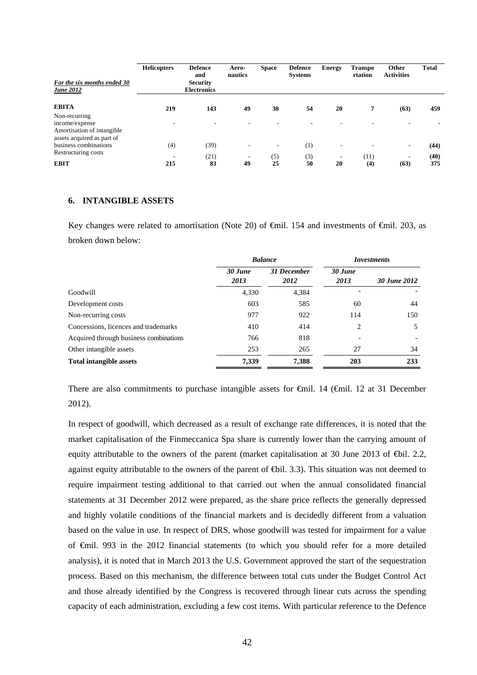| For the six months ended 30<br><b>June 2012</b> | <b>Helicopters</b> | <b>Defence</b><br>and<br><b>Security</b><br><b>Electronics</b> | Aero-<br>nautics         | <b>Space</b>             | <b>Defence</b><br><b>Systems</b> | <b>Energy</b>            | <b>Transpo</b><br>rtation | <b>Other</b><br><b>Activities</b> | <b>Total</b> |
|-------------------------------------------------|--------------------|----------------------------------------------------------------|--------------------------|--------------------------|----------------------------------|--------------------------|---------------------------|-----------------------------------|--------------|
| <b>EBITA</b>                                    | 219                | 143                                                            | 49                       | 30                       | 54                               | 20                       | 7                         | (63)                              | 459          |
| Non-recurring                                   |                    |                                                                |                          |                          |                                  |                          |                           |                                   |              |
| income/expense<br>Amortisation of intangible    |                    |                                                                |                          |                          |                                  |                          |                           |                                   |              |
| assets acquired as part of                      |                    |                                                                |                          |                          |                                  |                          |                           |                                   |              |
| business combinations                           | (4)                | (39)                                                           |                          | $\overline{\phantom{a}}$ | (1)                              | $\overline{\phantom{a}}$ |                           | $\overline{\phantom{a}}$          | (44)         |
| Restructuring costs                             |                    | (21)                                                           | $\overline{\phantom{a}}$ | (5)                      | (3)                              | $\overline{\phantom{a}}$ | (11)                      | ٠.                                | (40)         |
| <b>EBIT</b>                                     | 215                | 83                                                             | 49                       | 25                       | 50                               | 20                       | (4)                       | (63)                              | 375          |

#### **6. INTANGIBLE ASSETS**

Key changes were related to amortisation (Note 20) of  $\theta$ mil. 154 and investments of  $\theta$ mil. 203, as broken down below:

|                                        | <b>Balance</b>  |                     | <i>Investments</i> |              |
|----------------------------------------|-----------------|---------------------|--------------------|--------------|
|                                        | 30 June<br>2013 | 31 December<br>2012 | 30 June<br>2013    | 30 June 2012 |
| Goodwill                               | 4,330           | 4,384               |                    |              |
| Development costs                      | 603             | 585                 | 60                 | 44           |
| Non-recurring costs                    | 977             | 922                 | 114                | 150          |
| Concessions, licences and trademarks   | 410             | 414                 | 2                  | 5            |
| Acquired through business combinations | 766             | 818                 |                    |              |
| Other intangible assets                | 253             | 265                 | 27                 | 34           |
| <b>Total intangible assets</b>         | 7,339           | 7,388               | 203                | 233          |

There are also commitments to purchase intangible assets for  $\theta$ mil. 14 ( $\theta$ mil. 12 at 31 December 2012).

In respect of goodwill, which decreased as a result of exchange rate differences, it is noted that the market capitalisation of the Finmeccanica Spa share is currently lower than the carrying amount of equity attributable to the owners of the parent (market capitalisation at 30 June 2013 of  $\bigoplus$ il. 2.2, against equity attributable to the owners of the parent of  $\bigoplus$ il. 3.3). This situation was not deemed to require impairment testing additional to that carried out when the annual consolidated financial statements at 31 December 2012 were prepared, as the share price reflects the generally depressed and highly volatile conditions of the financial markets and is decidedly different from a valuation based on the value in use. In respect of DRS, whose goodwill was tested for impairment for a value of €mil. 993 in the 2012 financial statements (to which you should refer for a more detailed analysis), it is noted that in March 2013 the U.S. Government approved the start of the sequestration process. Based on this mechanism, the difference between total cuts under the Budget Control Act and those already identified by the Congress is recovered through linear cuts across the spending capacity of each administration, excluding a few cost items. With particular reference to the Defence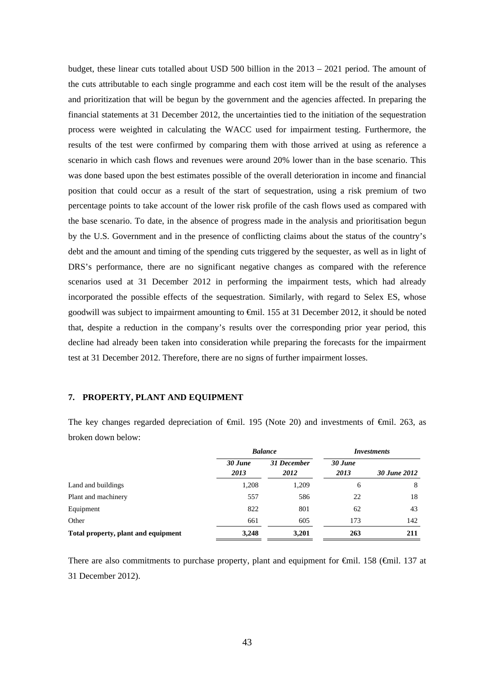budget, these linear cuts totalled about USD 500 billion in the 2013 – 2021 period. The amount of the cuts attributable to each single programme and each cost item will be the result of the analyses and prioritization that will be begun by the government and the agencies affected. In preparing the financial statements at 31 December 2012, the uncertainties tied to the initiation of the sequestration process were weighted in calculating the WACC used for impairment testing. Furthermore, the results of the test were confirmed by comparing them with those arrived at using as reference a scenario in which cash flows and revenues were around 20% lower than in the base scenario. This was done based upon the best estimates possible of the overall deterioration in income and financial position that could occur as a result of the start of sequestration, using a risk premium of two percentage points to take account of the lower risk profile of the cash flows used as compared with the base scenario. To date, in the absence of progress made in the analysis and prioritisation begun by the U.S. Government and in the presence of conflicting claims about the status of the country's debt and the amount and timing of the spending cuts triggered by the sequester, as well as in light of DRS's performance, there are no significant negative changes as compared with the reference scenarios used at 31 December 2012 in performing the impairment tests, which had already incorporated the possible effects of the sequestration. Similarly, with regard to Selex ES, whose goodwill was subject to impairment amounting to €mil. 155 at 31 December 2012, it should be noted that, despite a reduction in the company's results over the corresponding prior year period, this decline had already been taken into consideration while preparing the forecasts for the impairment test at 31 December 2012. Therefore, there are no signs of further impairment losses.

#### **7. PROPERTY, PLANT AND EQUIPMENT**

The key changes regarded depreciation of €mil. 195 (Note 20) and investments of €mil. 263, as broken down below:

|                                     |                 | <b>Balance</b>      | Investments     |              |  |
|-------------------------------------|-----------------|---------------------|-----------------|--------------|--|
|                                     | 30 June<br>2013 | 31 December<br>2012 | 30 June<br>2013 | 30 June 2012 |  |
| Land and buildings                  | 1,208           | 1,209               | 6               | 8            |  |
| Plant and machinery                 | 557             | 586                 | 22              | 18           |  |
| Equipment                           | 822             | 801                 | 62              | 43           |  |
| Other                               | 661             | 605                 | 173             | 142          |  |
| Total property, plant and equipment | 3,248           | 3,201               | 263             | 211          |  |

There are also commitments to purchase property, plant and equipment for <del>C</del>mil. 158 (∈mil. 137 at 31 December 2012).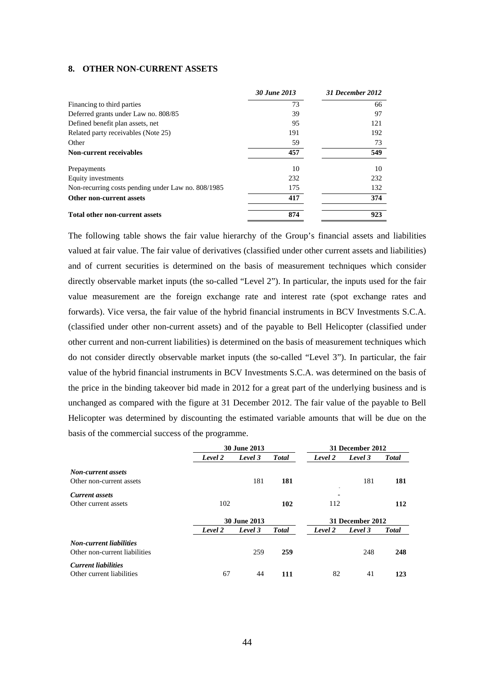#### **8. OTHER NON-CURRENT ASSETS**

|                                                    | 30 June 2013 | 31 December 2012 |
|----------------------------------------------------|--------------|------------------|
| Financing to third parties                         | 73           | 66               |
| Deferred grants under Law no. 808/85               | 39           | 97               |
| Defined benefit plan assets, net                   | 95           | 121              |
| Related party receivables (Note 25)                | 191          | 192              |
| Other                                              | 59           | 73               |
| <b>Non-current receivables</b>                     | 457          | 549              |
| Prepayments                                        | 10           | 10               |
| Equity investments                                 | 232          | 232              |
| Non-recurring costs pending under Law no. 808/1985 | 175          | 132              |
| Other non-current assets                           | 417          | 374              |
| <b>Total other non-current assets</b>              | 874          | 923              |

The following table shows the fair value hierarchy of the Group's financial assets and liabilities valued at fair value. The fair value of derivatives (classified under other current assets and liabilities) and of current securities is determined on the basis of measurement techniques which consider directly observable market inputs (the so-called "Level 2"). In particular, the inputs used for the fair value measurement are the foreign exchange rate and interest rate (spot exchange rates and forwards). Vice versa, the fair value of the hybrid financial instruments in BCV Investments S.C.A. (classified under other non-current assets) and of the payable to Bell Helicopter (classified under other current and non-current liabilities) is determined on the basis of measurement techniques which do not consider directly observable market inputs (the so-called "Level 3"). In particular, the fair value of the hybrid financial instruments in BCV Investments S.C.A. was determined on the basis of the price in the binding takeover bid made in 2012 for a great part of the underlying business and is unchanged as compared with the figure at 31 December 2012. The fair value of the payable to Bell Helicopter was determined by discounting the estimated variable amounts that will be due on the basis of the commercial success of the programme.

|                                |         | <b>30 June 2013</b> |               |                          | 31 December 2012 |               |
|--------------------------------|---------|---------------------|---------------|--------------------------|------------------|---------------|
|                                | Level 2 | Level 3             | <b>T</b> otal | Level 2                  | Level 3          | <b>Total</b>  |
| <b>Non-current assets</b>      |         |                     |               |                          |                  |               |
| Other non-current assets       |         | 181                 | 181           |                          | 181              | 181           |
| <b>Current assets</b>          |         |                     |               | $\overline{\phantom{a}}$ |                  |               |
| Other current assets           | 102     |                     | 102           | 112                      |                  | 112           |
|                                |         | <b>30 June 2013</b> |               |                          | 31 December 2012 |               |
|                                | Level 2 | Level 3             | <b>Total</b>  | Level 2                  | Level 3          | <b>T</b> otal |
| <b>Non-current liabilities</b> |         |                     |               |                          |                  |               |
| Other non-current liabilities  |         | 259                 | 259           |                          | 248              | 248           |
| <b>Current liabilities</b>     |         |                     |               |                          |                  |               |
| Other current liabilities      | 67      | 44                  | 111           | 82                       | 41               | 123           |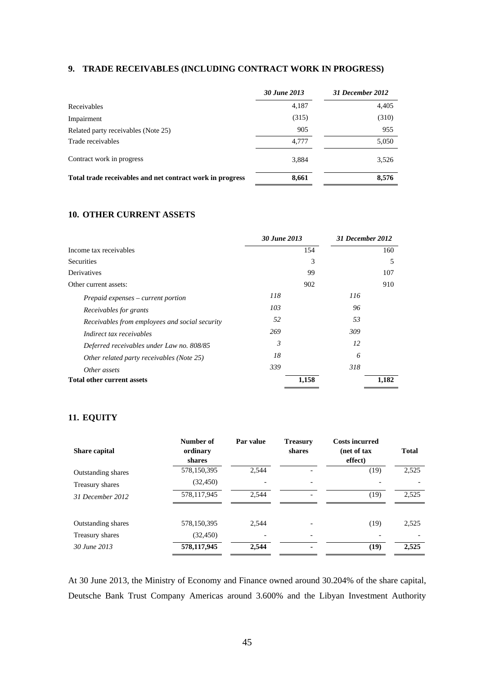# **9. TRADE RECEIVABLES (INCLUDING CONTRACT WORK IN PROGRESS)**

|                                                           | 30 June 2013 | 31 December 2012 |
|-----------------------------------------------------------|--------------|------------------|
| Receivables                                               | 4,187        | 4,405            |
| Impairment                                                | (315)        | (310)            |
| Related party receivables (Note 25)                       | 905          | 955              |
| Trade receivables                                         | 4.777        | 5,050            |
| Contract work in progress                                 | 3,884        | 3,526            |
| Total trade receivables and net contract work in progress | 8,661        | 8,576            |

## **10. OTHER CURRENT ASSETS**

|                                                | 30 June 2013 | 31 December 2012 |       |
|------------------------------------------------|--------------|------------------|-------|
| Income tax receivables                         | 154          |                  | 160   |
| <b>Securities</b>                              | 3            |                  | 5     |
| Derivatives                                    | 99           |                  | 107   |
| Other current assets:                          | 902          |                  | 910   |
| Prepaid expenses – current portion             | 118          | 116              |       |
| Receivables for grants                         | 103          | 96               |       |
| Receivables from employees and social security | 52           | 53               |       |
| Indirect tax receivables                       | 269          | 309              |       |
| Deferred receivables under Law no. 808/85      | 3            | 12               |       |
| Other related party receivables (Note 25)      | 18           | 6                |       |
| Other assets                                   | 339          | 318              |       |
| <b>Total other current assets</b>              | 1,158        |                  | 1,182 |

# **11. EQUITY**

| <b>Share capital</b>      | Number of<br>ordinary<br>shares | Par value | <b>Treasury</b><br>shares | <b>Costs incurred</b><br>(net of tax<br>effect) | <b>Total</b> |
|---------------------------|---------------------------------|-----------|---------------------------|-------------------------------------------------|--------------|
| <b>Outstanding shares</b> | 578,150,395                     | 2.544     |                           | (19)                                            | 2,525        |
| Treasury shares           | (32, 450)                       |           |                           |                                                 |              |
| 31 December 2012          | 578,117,945                     | 2,544     | ٠                         | (19)                                            | 2,525        |
| <b>Outstanding shares</b> | 578,150,395                     | 2,544     |                           | (19)                                            | 2,525        |
| Treasury shares           | (32, 450)                       |           |                           |                                                 |              |
| 30 June 2013              | 578,117,945                     | 2,544     | $\blacksquare$            | (19)                                            | 2,525        |

At 30 June 2013, the Ministry of Economy and Finance owned around 30.204% of the share capital, Deutsche Bank Trust Company Americas around 3.600% and the Libyan Investment Authority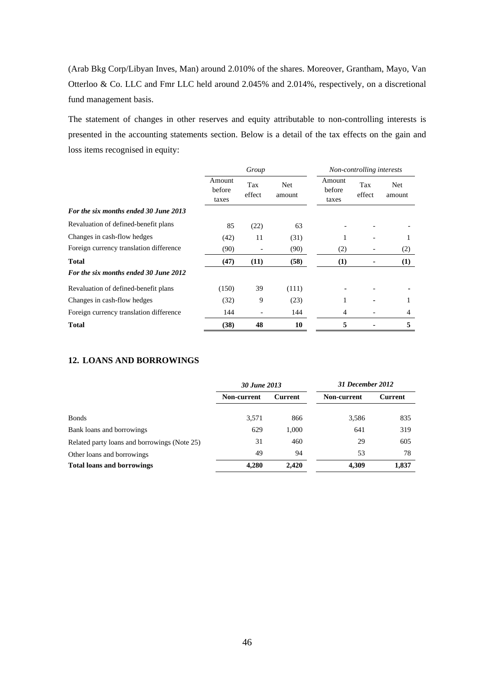(Arab Bkg Corp/Libyan Inves, Man) around 2.010% of the shares. Moreover, Grantham, Mayo, Van Otterloo & Co. LLC and Fmr LLC held around 2.045% and 2.014%, respectively, on a discretional fund management basis.

The statement of changes in other reserves and equity attributable to non-controlling interests is presented in the accounting statements section. Below is a detail of the tax effects on the gain and loss items recognised in equity:

|                                         | Group                     |               |                | Non-controlling interests |               |                      |
|-----------------------------------------|---------------------------|---------------|----------------|---------------------------|---------------|----------------------|
|                                         | Amount<br>before<br>taxes | Tax<br>effect | Net.<br>amount | Amount<br>before<br>taxes | Tax<br>effect | <b>Net</b><br>amount |
| For the six months ended 30 June 2013   |                           |               |                |                           |               |                      |
| Revaluation of defined-benefit plans    | 85                        | (22)          | 63             |                           |               |                      |
| Changes in cash-flow hedges             | (42)                      | 11            | (31)           |                           |               | 1                    |
| Foreign currency translation difference | (90)                      |               | (90)           | (2)                       |               | (2)                  |
| <b>Total</b>                            | (47)                      | (11)          | (58)           | (1)                       |               | (1)                  |
| For the six months ended 30 June 2012   |                           |               |                |                           |               |                      |
| Revaluation of defined-benefit plans    | (150)                     | 39            | (111)          |                           |               |                      |
| Changes in cash-flow hedges             | (32)                      | 9             | (23)           |                           | ۰.            | 1                    |
| Foreign currency translation difference | 144                       |               | 144            | 4                         |               | 4                    |
| <b>Total</b>                            | (38)                      | 48            | 10             | 5                         |               | 5                    |

## **12. LOANS AND BORROWINGS**

|                                              | 30 June 2013 |                | 31 December 2012 |                |
|----------------------------------------------|--------------|----------------|------------------|----------------|
|                                              | Non-current  | <b>Current</b> | Non-current      | <b>Current</b> |
| <b>Bonds</b>                                 | 3,571        | 866            | 3,586            | 835            |
| Bank loans and borrowings                    | 629          | 1,000          | 641              | 319            |
| Related party loans and borrowings (Note 25) | 31           | 460            | 29               | 605            |
| Other loans and borrowings                   | 49           | 94             | 53               | 78             |
| <b>Total loans and borrowings</b>            | 4,280        | 2.420          | 4,309            | 1,837          |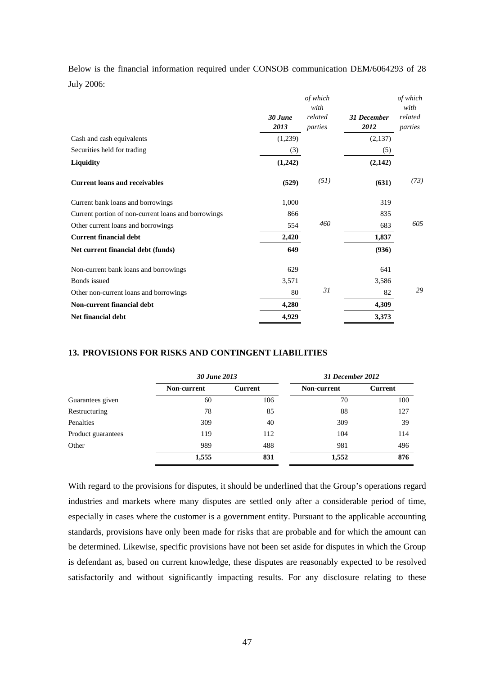|            |  |  | Below is the financial information required under CONSOB communication DEM/6064293 of 28 |  |  |
|------------|--|--|------------------------------------------------------------------------------------------|--|--|
| July 2006: |  |  |                                                                                          |  |  |

|                                                     |                 | of which<br>with   |                            | of which<br>with   |
|-----------------------------------------------------|-----------------|--------------------|----------------------------|--------------------|
|                                                     | 30 June<br>2013 | related<br>parties | <b>31 December</b><br>2012 | related<br>parties |
| Cash and cash equivalents                           | (1,239)         |                    | (2,137)                    |                    |
| Securities held for trading                         | (3)             |                    | (5)                        |                    |
| Liquidity                                           | (1,242)         |                    | (2,142)                    |                    |
| <b>Current loans and receivables</b>                | (529)           | (51)               | (631)                      | (73)               |
| Current bank loans and borrowings                   | 1,000           |                    | 319                        |                    |
| Current portion of non-current loans and borrowings | 866             |                    | 835                        |                    |
| Other current loans and borrowings                  | 554             | 460                | 683                        | 605                |
| <b>Current financial debt</b>                       | 2,420           |                    | 1,837                      |                    |
| Net current financial debt (funds)                  | 649             |                    | (936)                      |                    |
| Non-current bank loans and borrowings               | 629             |                    | 641                        |                    |
| Bonds issued                                        | 3,571           |                    | 3,586                      |                    |
| Other non-current loans and borrowings              | 80              | 31                 | 82                         | 29                 |
| Non-current financial debt                          | 4,280           |                    | 4,309                      |                    |
| Net financial debt                                  | 4,929           |                    | 3,373                      |                    |
|                                                     |                 |                    |                            |                    |

#### **13. PROVISIONS FOR RISKS AND CONTINGENT LIABILITIES**

|                    | 30 June 2013 |                | 31 December 2012 |         |  |
|--------------------|--------------|----------------|------------------|---------|--|
|                    | Non-current  | <b>Current</b> | Non-current      | Current |  |
| Guarantees given   | 60           | 106            | 70               | 100     |  |
| Restructuring      | 78           | 85             | 88               | 127     |  |
| Penalties          | 309          | 40             | 309              | 39      |  |
| Product guarantees | 119          | 112            | 104              | 114     |  |
| Other              | 989          | 488            | 981              | 496     |  |
|                    | 1,555        | 831            | 1,552            | 876     |  |

With regard to the provisions for disputes, it should be underlined that the Group's operations regard industries and markets where many disputes are settled only after a considerable period of time, especially in cases where the customer is a government entity. Pursuant to the applicable accounting standards, provisions have only been made for risks that are probable and for which the amount can be determined. Likewise, specific provisions have not been set aside for disputes in which the Group is defendant as, based on current knowledge, these disputes are reasonably expected to be resolved satisfactorily and without significantly impacting results. For any disclosure relating to these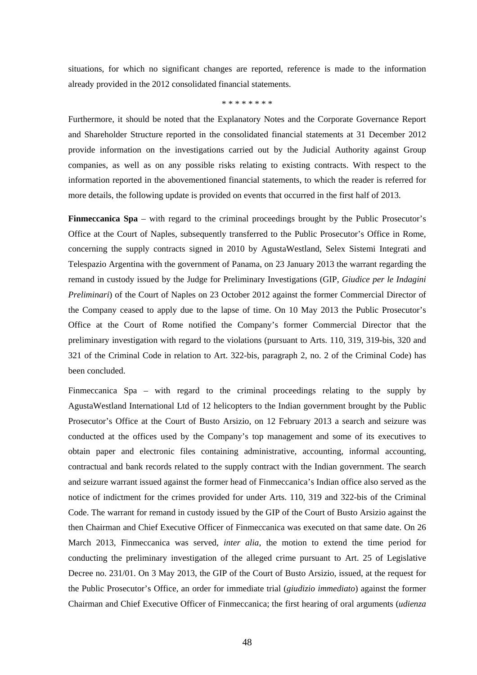situations, for which no significant changes are reported, reference is made to the information already provided in the 2012 consolidated financial statements.

#### \* \* \* \* \* \* \* \*

Furthermore, it should be noted that the Explanatory Notes and the Corporate Governance Report and Shareholder Structure reported in the consolidated financial statements at 31 December 2012 provide information on the investigations carried out by the Judicial Authority against Group companies, as well as on any possible risks relating to existing contracts. With respect to the information reported in the abovementioned financial statements, to which the reader is referred for more details, the following update is provided on events that occurred in the first half of 2013.

**Finmeccanica Spa** – with regard to the criminal proceedings brought by the Public Prosecutor's Office at the Court of Naples, subsequently transferred to the Public Prosecutor's Office in Rome, concerning the supply contracts signed in 2010 by AgustaWestland, Selex Sistemi Integrati and Telespazio Argentina with the government of Panama, on 23 January 2013 the warrant regarding the remand in custody issued by the Judge for Preliminary Investigations (GIP, *Giudice per le Indagini Preliminari*) of the Court of Naples on 23 October 2012 against the former Commercial Director of the Company ceased to apply due to the lapse of time. On 10 May 2013 the Public Prosecutor's Office at the Court of Rome notified the Company's former Commercial Director that the preliminary investigation with regard to the violations (pursuant to Arts. 110, 319, 319-bis, 320 and 321 of the Criminal Code in relation to Art. 322-bis, paragraph 2, no. 2 of the Criminal Code) has been concluded.

Finmeccanica Spa – with regard to the criminal proceedings relating to the supply by AgustaWestland International Ltd of 12 helicopters to the Indian government brought by the Public Prosecutor's Office at the Court of Busto Arsizio, on 12 February 2013 a search and seizure was conducted at the offices used by the Company's top management and some of its executives to obtain paper and electronic files containing administrative, accounting, informal accounting, contractual and bank records related to the supply contract with the Indian government. The search and seizure warrant issued against the former head of Finmeccanica's Indian office also served as the notice of indictment for the crimes provided for under Arts. 110, 319 and 322-bis of the Criminal Code. The warrant for remand in custody issued by the GIP of the Court of Busto Arsizio against the then Chairman and Chief Executive Officer of Finmeccanica was executed on that same date. On 26 March 2013, Finmeccanica was served*, inter alia*, the motion to extend the time period for conducting the preliminary investigation of the alleged crime pursuant to Art. 25 of Legislative Decree no. 231/01. On 3 May 2013, the GIP of the Court of Busto Arsizio, issued, at the request for the Public Prosecutor's Office, an order for immediate trial (*giudizio immediato*) against the former Chairman and Chief Executive Officer of Finmeccanica; the first hearing of oral arguments (*udienza*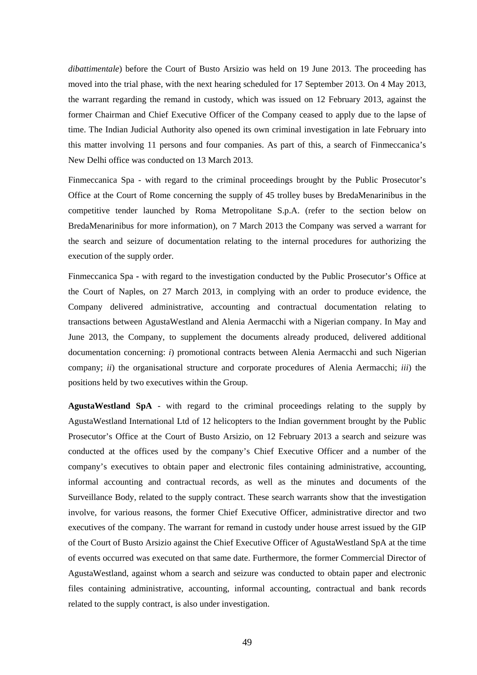*dibattimentale*) before the Court of Busto Arsizio was held on 19 June 2013. The proceeding has moved into the trial phase, with the next hearing scheduled for 17 September 2013. On 4 May 2013, the warrant regarding the remand in custody, which was issued on 12 February 2013, against the former Chairman and Chief Executive Officer of the Company ceased to apply due to the lapse of time. The Indian Judicial Authority also opened its own criminal investigation in late February into this matter involving 11 persons and four companies. As part of this, a search of Finmeccanica's New Delhi office was conducted on 13 March 2013.

Finmeccanica Spa - with regard to the criminal proceedings brought by the Public Prosecutor's Office at the Court of Rome concerning the supply of 45 trolley buses by BredaMenarinibus in the competitive tender launched by Roma Metropolitane S.p.A. (refer to the section below on BredaMenarinibus for more information), on 7 March 2013 the Company was served a warrant for the search and seizure of documentation relating to the internal procedures for authorizing the execution of the supply order.

Finmeccanica Spa **-** with regard to the investigation conducted by the Public Prosecutor's Office at the Court of Naples, on 27 March 2013, in complying with an order to produce evidence, the Company delivered administrative, accounting and contractual documentation relating to transactions between AgustaWestland and Alenia Aermacchi with a Nigerian company. In May and June 2013, the Company, to supplement the documents already produced, delivered additional documentation concerning: *i*) promotional contracts between Alenia Aermacchi and such Nigerian company; *ii*) the organisational structure and corporate procedures of Alenia Aermacchi; *iii*) the positions held by two executives within the Group.

**AgustaWestland SpA** - with regard to the criminal proceedings relating to the supply by AgustaWestland International Ltd of 12 helicopters to the Indian government brought by the Public Prosecutor's Office at the Court of Busto Arsizio, on 12 February 2013 a search and seizure was conducted at the offices used by the company's Chief Executive Officer and a number of the company's executives to obtain paper and electronic files containing administrative, accounting, informal accounting and contractual records, as well as the minutes and documents of the Surveillance Body, related to the supply contract. These search warrants show that the investigation involve, for various reasons, the former Chief Executive Officer, administrative director and two executives of the company. The warrant for remand in custody under house arrest issued by the GIP of the Court of Busto Arsizio against the Chief Executive Officer of AgustaWestland SpA at the time of events occurred was executed on that same date. Furthermore, the former Commercial Director of AgustaWestland, against whom a search and seizure was conducted to obtain paper and electronic files containing administrative, accounting, informal accounting, contractual and bank records related to the supply contract, is also under investigation.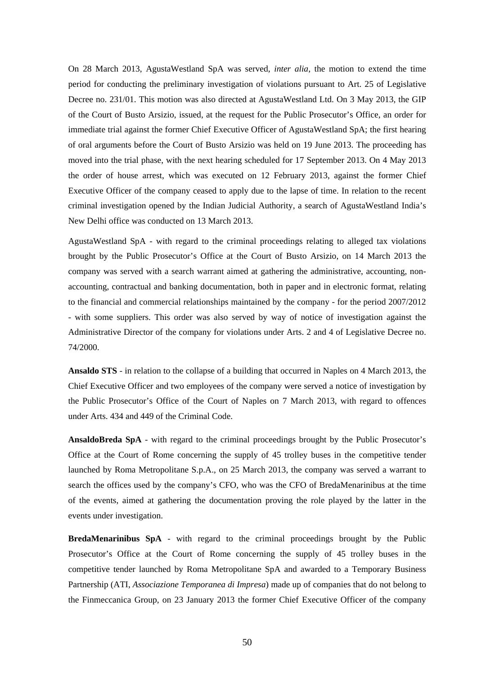On 28 March 2013, AgustaWestland SpA was served*, inter alia*, the motion to extend the time period for conducting the preliminary investigation of violations pursuant to Art. 25 of Legislative Decree no. 231/01. This motion was also directed at AgustaWestland Ltd. On 3 May 2013, the GIP of the Court of Busto Arsizio, issued, at the request for the Public Prosecutor's Office, an order for immediate trial against the former Chief Executive Officer of AgustaWestland SpA; the first hearing of oral arguments before the Court of Busto Arsizio was held on 19 June 2013. The proceeding has moved into the trial phase, with the next hearing scheduled for 17 September 2013. On 4 May 2013 the order of house arrest, which was executed on 12 February 2013, against the former Chief Executive Officer of the company ceased to apply due to the lapse of time. In relation to the recent criminal investigation opened by the Indian Judicial Authority, a search of AgustaWestland India's New Delhi office was conducted on 13 March 2013.

AgustaWestland SpA - with regard to the criminal proceedings relating to alleged tax violations brought by the Public Prosecutor's Office at the Court of Busto Arsizio, on 14 March 2013 the company was served with a search warrant aimed at gathering the administrative, accounting, nonaccounting, contractual and banking documentation, both in paper and in electronic format, relating to the financial and commercial relationships maintained by the company - for the period 2007/2012 - with some suppliers. This order was also served by way of notice of investigation against the Administrative Director of the company for violations under Arts. 2 and 4 of Legislative Decree no. 74/2000.

**Ansaldo STS** - in relation to the collapse of a building that occurred in Naples on 4 March 2013, the Chief Executive Officer and two employees of the company were served a notice of investigation by the Public Prosecutor's Office of the Court of Naples on 7 March 2013, with regard to offences under Arts. 434 and 449 of the Criminal Code.

**AnsaldoBreda SpA** - with regard to the criminal proceedings brought by the Public Prosecutor's Office at the Court of Rome concerning the supply of 45 trolley buses in the competitive tender launched by Roma Metropolitane S.p.A., on 25 March 2013, the company was served a warrant to search the offices used by the company's CFO, who was the CFO of BredaMenarinibus at the time of the events, aimed at gathering the documentation proving the role played by the latter in the events under investigation.

**BredaMenarinibus SpA** - with regard to the criminal proceedings brought by the Public Prosecutor's Office at the Court of Rome concerning the supply of 45 trolley buses in the competitive tender launched by Roma Metropolitane SpA and awarded to a Temporary Business Partnership (ATI, *Associazione Temporanea di Impresa*) made up of companies that do not belong to the Finmeccanica Group, on 23 January 2013 the former Chief Executive Officer of the company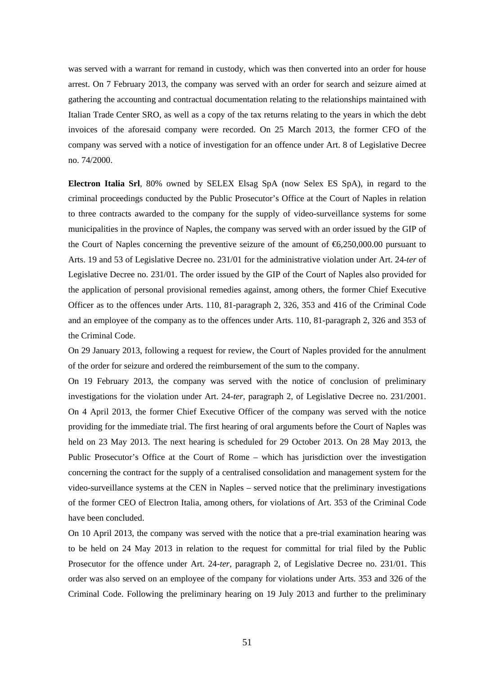was served with a warrant for remand in custody, which was then converted into an order for house arrest. On 7 February 2013, the company was served with an order for search and seizure aimed at gathering the accounting and contractual documentation relating to the relationships maintained with Italian Trade Center SRO, as well as a copy of the tax returns relating to the years in which the debt invoices of the aforesaid company were recorded. On 25 March 2013, the former CFO of the company was served with a notice of investigation for an offence under Art. 8 of Legislative Decree no. 74/2000.

**Electron Italia Srl**, 80% owned by SELEX Elsag SpA (now Selex ES SpA), in regard to the criminal proceedings conducted by the Public Prosecutor's Office at the Court of Naples in relation to three contracts awarded to the company for the supply of video-surveillance systems for some municipalities in the province of Naples, the company was served with an order issued by the GIP of the Court of Naples concerning the preventive seizure of the amount of  $\epsilon$ 6,250,000.00 pursuant to Arts. 19 and 53 of Legislative Decree no. 231/01 for the administrative violation under Art. 24-*ter* of Legislative Decree no. 231/01. The order issued by the GIP of the Court of Naples also provided for the application of personal provisional remedies against, among others, the former Chief Executive Officer as to the offences under Arts. 110, 81-paragraph 2, 326, 353 and 416 of the Criminal Code and an employee of the company as to the offences under Arts. 110, 81-paragraph 2, 326 and 353 of the Criminal Code.

On 29 January 2013, following a request for review, the Court of Naples provided for the annulment of the order for seizure and ordered the reimbursement of the sum to the company.

On 19 February 2013, the company was served with the notice of conclusion of preliminary investigations for the violation under Art. 24-*ter*, paragraph 2, of Legislative Decree no. 231/2001. On 4 April 2013, the former Chief Executive Officer of the company was served with the notice providing for the immediate trial. The first hearing of oral arguments before the Court of Naples was held on 23 May 2013. The next hearing is scheduled for 29 October 2013. On 28 May 2013, the Public Prosecutor's Office at the Court of Rome – which has jurisdiction over the investigation concerning the contract for the supply of a centralised consolidation and management system for the video-surveillance systems at the CEN in Naples – served notice that the preliminary investigations of the former CEO of Electron Italia, among others, for violations of Art. 353 of the Criminal Code have been concluded.

On 10 April 2013, the company was served with the notice that a pre-trial examination hearing was to be held on 24 May 2013 in relation to the request for committal for trial filed by the Public Prosecutor for the offence under Art. 24-*ter*, paragraph 2, of Legislative Decree no. 231/01. This order was also served on an employee of the company for violations under Arts. 353 and 326 of the Criminal Code. Following the preliminary hearing on 19 July 2013 and further to the preliminary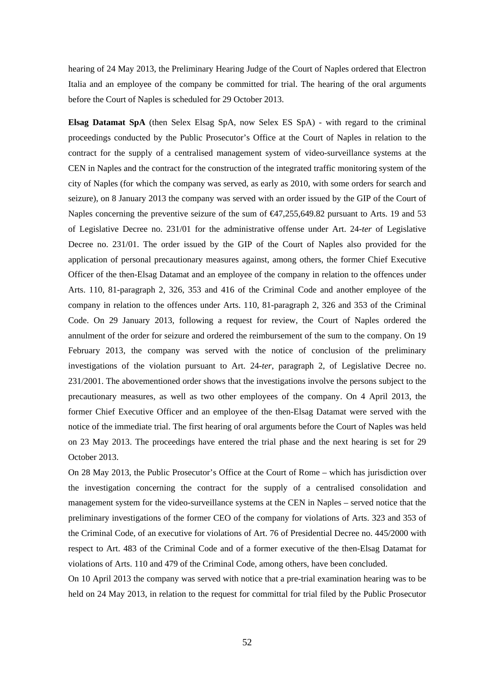hearing of 24 May 2013, the Preliminary Hearing Judge of the Court of Naples ordered that Electron Italia and an employee of the company be committed for trial. The hearing of the oral arguments before the Court of Naples is scheduled for 29 October 2013.

**Elsag Datamat SpA** (then Selex Elsag SpA, now Selex ES SpA) - with regard to the criminal proceedings conducted by the Public Prosecutor's Office at the Court of Naples in relation to the contract for the supply of a centralised management system of video-surveillance systems at the CEN in Naples and the contract for the construction of the integrated traffic monitoring system of the city of Naples (for which the company was served, as early as 2010, with some orders for search and seizure), on 8 January 2013 the company was served with an order issued by the GIP of the Court of Naples concerning the preventive seizure of the sum of €47,255,649.82 pursuant to Arts. 19 and 53 of Legislative Decree no. 231/01 for the administrative offense under Art. 24-*ter* of Legislative Decree no. 231/01. The order issued by the GIP of the Court of Naples also provided for the application of personal precautionary measures against, among others, the former Chief Executive Officer of the then-Elsag Datamat and an employee of the company in relation to the offences under Arts. 110, 81-paragraph 2, 326, 353 and 416 of the Criminal Code and another employee of the company in relation to the offences under Arts. 110, 81-paragraph 2, 326 and 353 of the Criminal Code. On 29 January 2013, following a request for review, the Court of Naples ordered the annulment of the order for seizure and ordered the reimbursement of the sum to the company. On 19 February 2013, the company was served with the notice of conclusion of the preliminary investigations of the violation pursuant to Art. 24-*ter*, paragraph 2, of Legislative Decree no. 231/2001. The abovementioned order shows that the investigations involve the persons subject to the precautionary measures, as well as two other employees of the company. On 4 April 2013, the former Chief Executive Officer and an employee of the then-Elsag Datamat were served with the notice of the immediate trial. The first hearing of oral arguments before the Court of Naples was held on 23 May 2013. The proceedings have entered the trial phase and the next hearing is set for 29 October 2013.

On 28 May 2013, the Public Prosecutor's Office at the Court of Rome – which has jurisdiction over the investigation concerning the contract for the supply of a centralised consolidation and management system for the video-surveillance systems at the CEN in Naples – served notice that the preliminary investigations of the former CEO of the company for violations of Arts. 323 and 353 of the Criminal Code, of an executive for violations of Art. 76 of Presidential Decree no. 445/2000 with respect to Art. 483 of the Criminal Code and of a former executive of the then-Elsag Datamat for violations of Arts. 110 and 479 of the Criminal Code, among others, have been concluded.

On 10 April 2013 the company was served with notice that a pre-trial examination hearing was to be held on 24 May 2013, in relation to the request for committal for trial filed by the Public Prosecutor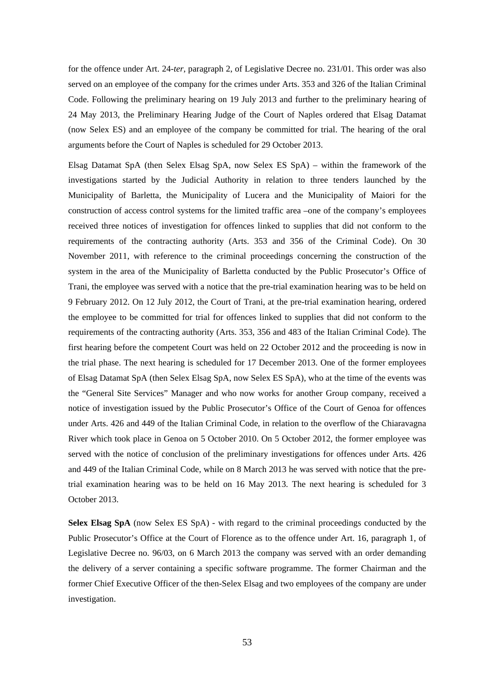for the offence under Art. 24-*ter*, paragraph 2, of Legislative Decree no. 231/01. This order was also served on an employee of the company for the crimes under Arts. 353 and 326 of the Italian Criminal Code. Following the preliminary hearing on 19 July 2013 and further to the preliminary hearing of 24 May 2013, the Preliminary Hearing Judge of the Court of Naples ordered that Elsag Datamat (now Selex ES) and an employee of the company be committed for trial. The hearing of the oral arguments before the Court of Naples is scheduled for 29 October 2013.

Elsag Datamat SpA (then Selex Elsag SpA, now Selex ES SpA) – within the framework of the investigations started by the Judicial Authority in relation to three tenders launched by the Municipality of Barletta, the Municipality of Lucera and the Municipality of Maiori for the construction of access control systems for the limited traffic area –one of the company's employees received three notices of investigation for offences linked to supplies that did not conform to the requirements of the contracting authority (Arts. 353 and 356 of the Criminal Code). On 30 November 2011, with reference to the criminal proceedings concerning the construction of the system in the area of the Municipality of Barletta conducted by the Public Prosecutor's Office of Trani, the employee was served with a notice that the pre-trial examination hearing was to be held on 9 February 2012. On 12 July 2012, the Court of Trani, at the pre-trial examination hearing, ordered the employee to be committed for trial for offences linked to supplies that did not conform to the requirements of the contracting authority (Arts. 353, 356 and 483 of the Italian Criminal Code). The first hearing before the competent Court was held on 22 October 2012 and the proceeding is now in the trial phase. The next hearing is scheduled for 17 December 2013. One of the former employees of Elsag Datamat SpA (then Selex Elsag SpA, now Selex ES SpA), who at the time of the events was the "General Site Services" Manager and who now works for another Group company, received a notice of investigation issued by the Public Prosecutor's Office of the Court of Genoa for offences under Arts. 426 and 449 of the Italian Criminal Code, in relation to the overflow of the Chiaravagna River which took place in Genoa on 5 October 2010. On 5 October 2012, the former employee was served with the notice of conclusion of the preliminary investigations for offences under Arts. 426 and 449 of the Italian Criminal Code, while on 8 March 2013 he was served with notice that the pretrial examination hearing was to be held on 16 May 2013. The next hearing is scheduled for 3 October 2013.

**Selex Elsag SpA** (now Selex ES SpA) - with regard to the criminal proceedings conducted by the Public Prosecutor's Office at the Court of Florence as to the offence under Art. 16, paragraph 1, of Legislative Decree no. 96/03, on 6 March 2013 the company was served with an order demanding the delivery of a server containing a specific software programme. The former Chairman and the former Chief Executive Officer of the then-Selex Elsag and two employees of the company are under investigation.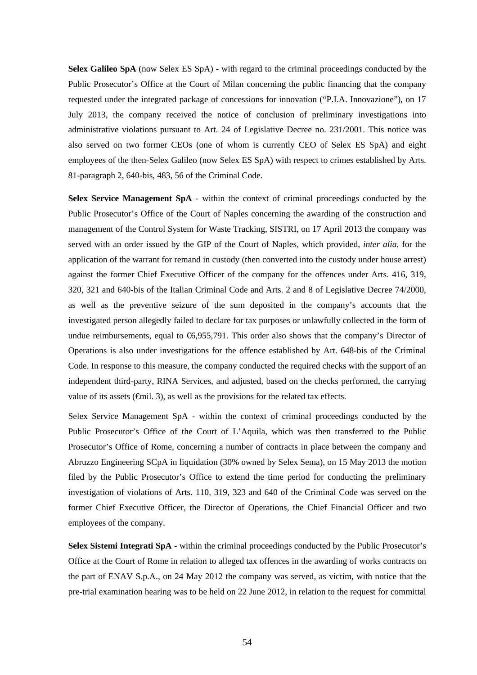**Selex Galileo SpA** (now Selex ES SpA) - with regard to the criminal proceedings conducted by the Public Prosecutor's Office at the Court of Milan concerning the public financing that the company requested under the integrated package of concessions for innovation ("P.I.A. Innovazione"), on 17 July 2013, the company received the notice of conclusion of preliminary investigations into administrative violations pursuant to Art. 24 of Legislative Decree no. 231/2001. This notice was also served on two former CEOs (one of whom is currently CEO of Selex ES SpA) and eight employees of the then-Selex Galileo (now Selex ES SpA) with respect to crimes established by Arts. 81-paragraph 2, 640-bis, 483, 56 of the Criminal Code.

**Selex Service Management SpA** - within the context of criminal proceedings conducted by the Public Prosecutor's Office of the Court of Naples concerning the awarding of the construction and management of the Control System for Waste Tracking, SISTRI, on 17 April 2013 the company was served with an order issued by the GIP of the Court of Naples, which provided, *inter alia*, for the application of the warrant for remand in custody (then converted into the custody under house arrest) against the former Chief Executive Officer of the company for the offences under Arts. 416, 319, 320, 321 and 640-bis of the Italian Criminal Code and Arts. 2 and 8 of Legislative Decree 74/2000, as well as the preventive seizure of the sum deposited in the company's accounts that the investigated person allegedly failed to declare for tax purposes or unlawfully collected in the form of undue reimbursements, equal to  $\epsilon$ 6,955,791. This order also shows that the company's Director of Operations is also under investigations for the offence established by Art. 648-bis of the Criminal Code. In response to this measure, the company conducted the required checks with the support of an independent third-party, RINA Services, and adjusted, based on the checks performed, the carrying value of its assets  $(\text{fmi1. 3})$ , as well as the provisions for the related tax effects.

Selex Service Management SpA - within the context of criminal proceedings conducted by the Public Prosecutor's Office of the Court of L'Aquila, which was then transferred to the Public Prosecutor's Office of Rome, concerning a number of contracts in place between the company and Abruzzo Engineering SCpA in liquidation (30% owned by Selex Sema), on 15 May 2013 the motion filed by the Public Prosecutor's Office to extend the time period for conducting the preliminary investigation of violations of Arts. 110, 319, 323 and 640 of the Criminal Code was served on the former Chief Executive Officer, the Director of Operations, the Chief Financial Officer and two employees of the company.

**Selex Sistemi Integrati SpA** - within the criminal proceedings conducted by the Public Prosecutor's Office at the Court of Rome in relation to alleged tax offences in the awarding of works contracts on the part of ENAV S.p.A., on 24 May 2012 the company was served, as victim, with notice that the pre-trial examination hearing was to be held on 22 June 2012, in relation to the request for committal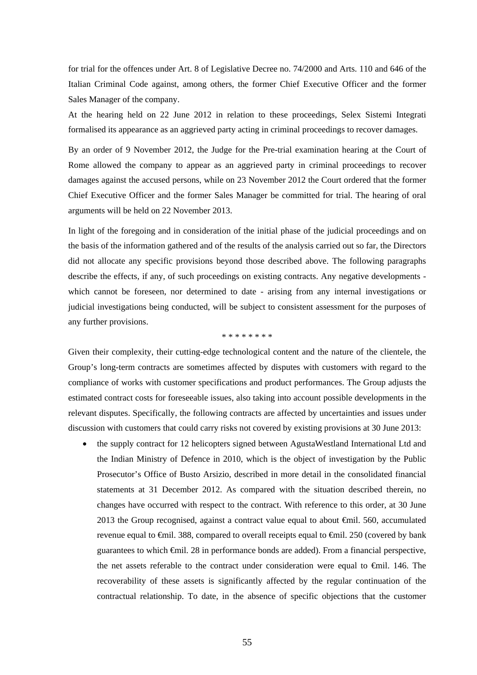for trial for the offences under Art. 8 of Legislative Decree no. 74/2000 and Arts. 110 and 646 of the Italian Criminal Code against, among others, the former Chief Executive Officer and the former Sales Manager of the company.

At the hearing held on 22 June 2012 in relation to these proceedings, Selex Sistemi Integrati formalised its appearance as an aggrieved party acting in criminal proceedings to recover damages.

By an order of 9 November 2012, the Judge for the Pre-trial examination hearing at the Court of Rome allowed the company to appear as an aggrieved party in criminal proceedings to recover damages against the accused persons, while on 23 November 2012 the Court ordered that the former Chief Executive Officer and the former Sales Manager be committed for trial. The hearing of oral arguments will be held on 22 November 2013.

In light of the foregoing and in consideration of the initial phase of the judicial proceedings and on the basis of the information gathered and of the results of the analysis carried out so far, the Directors did not allocate any specific provisions beyond those described above. The following paragraphs describe the effects, if any, of such proceedings on existing contracts. Any negative developments which cannot be foreseen, nor determined to date - arising from any internal investigations or judicial investigations being conducted, will be subject to consistent assessment for the purposes of any further provisions.

\* \* \* \* \* \* \* \*

Given their complexity, their cutting-edge technological content and the nature of the clientele, the Group's long-term contracts are sometimes affected by disputes with customers with regard to the compliance of works with customer specifications and product performances. The Group adjusts the estimated contract costs for foreseeable issues, also taking into account possible developments in the relevant disputes. Specifically, the following contracts are affected by uncertainties and issues under discussion with customers that could carry risks not covered by existing provisions at 30 June 2013:

 the supply contract for 12 helicopters signed between AgustaWestland International Ltd and the Indian Ministry of Defence in 2010, which is the object of investigation by the Public Prosecutor's Office of Busto Arsizio, described in more detail in the consolidated financial statements at 31 December 2012. As compared with the situation described therein, no changes have occurred with respect to the contract. With reference to this order, at 30 June 2013 the Group recognised, against a contract value equal to about €mil. 560, accumulated revenue equal to €mil. 388, compared to overall receipts equal to €mil. 250 (covered by bank guarantees to which €mil. 28 in performance bonds are added). From a financial perspective, the net assets referable to the contract under consideration were equal to €mil. 146. The recoverability of these assets is significantly affected by the regular continuation of the contractual relationship. To date, in the absence of specific objections that the customer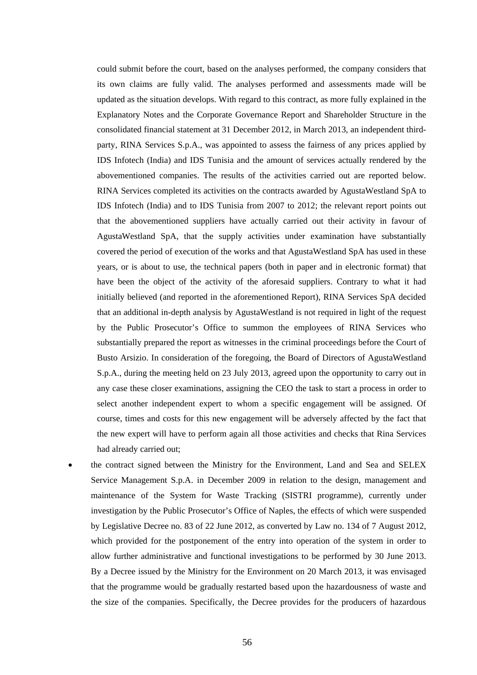could submit before the court, based on the analyses performed, the company considers that its own claims are fully valid. The analyses performed and assessments made will be updated as the situation develops. With regard to this contract, as more fully explained in the Explanatory Notes and the Corporate Governance Report and Shareholder Structure in the consolidated financial statement at 31 December 2012, in March 2013, an independent thirdparty, RINA Services S.p.A., was appointed to assess the fairness of any prices applied by IDS Infotech (India) and IDS Tunisia and the amount of services actually rendered by the abovementioned companies. The results of the activities carried out are reported below. RINA Services completed its activities on the contracts awarded by AgustaWestland SpA to IDS Infotech (India) and to IDS Tunisia from 2007 to 2012; the relevant report points out that the abovementioned suppliers have actually carried out their activity in favour of AgustaWestland SpA, that the supply activities under examination have substantially covered the period of execution of the works and that AgustaWestland SpA has used in these years, or is about to use, the technical papers (both in paper and in electronic format) that have been the object of the activity of the aforesaid suppliers. Contrary to what it had initially believed (and reported in the aforementioned Report), RINA Services SpA decided that an additional in-depth analysis by AgustaWestland is not required in light of the request by the Public Prosecutor's Office to summon the employees of RINA Services who substantially prepared the report as witnesses in the criminal proceedings before the Court of Busto Arsizio. In consideration of the foregoing, the Board of Directors of AgustaWestland S.p.A., during the meeting held on 23 July 2013, agreed upon the opportunity to carry out in any case these closer examinations, assigning the CEO the task to start a process in order to select another independent expert to whom a specific engagement will be assigned. Of course, times and costs for this new engagement will be adversely affected by the fact that the new expert will have to perform again all those activities and checks that Rina Services had already carried out;

• the contract signed between the Ministry for the Environment, Land and Sea and SELEX Service Management S.p.A. in December 2009 in relation to the design, management and maintenance of the System for Waste Tracking (SISTRI programme), currently under investigation by the Public Prosecutor's Office of Naples, the effects of which were suspended by Legislative Decree no. 83 of 22 June 2012, as converted by Law no. 134 of 7 August 2012, which provided for the postponement of the entry into operation of the system in order to allow further administrative and functional investigations to be performed by 30 June 2013. By a Decree issued by the Ministry for the Environment on 20 March 2013, it was envisaged that the programme would be gradually restarted based upon the hazardousness of waste and the size of the companies. Specifically, the Decree provides for the producers of hazardous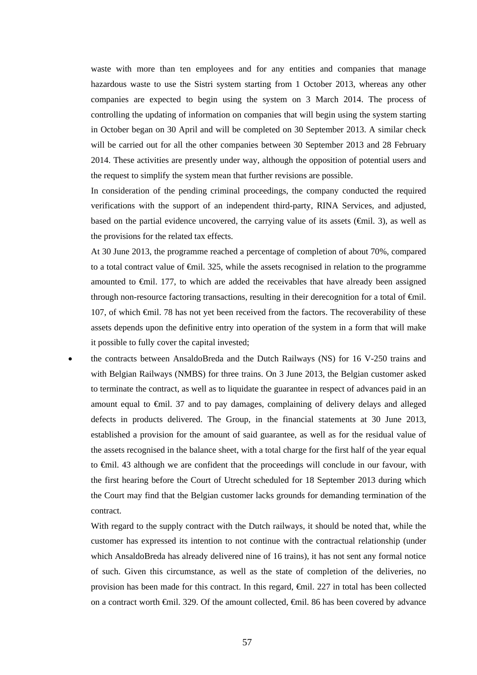waste with more than ten employees and for any entities and companies that manage hazardous waste to use the Sistri system starting from 1 October 2013, whereas any other companies are expected to begin using the system on 3 March 2014. The process of controlling the updating of information on companies that will begin using the system starting in October began on 30 April and will be completed on 30 September 2013. A similar check will be carried out for all the other companies between 30 September 2013 and 28 February 2014. These activities are presently under way, although the opposition of potential users and the request to simplify the system mean that further revisions are possible.

In consideration of the pending criminal proceedings, the company conducted the required verifications with the support of an independent third-party, RINA Services, and adjusted, based on the partial evidence uncovered, the carrying value of its assets ( $\epsilon$ mil. 3), as well as the provisions for the related tax effects.

At 30 June 2013, the programme reached a percentage of completion of about 70%, compared to a total contract value of €mil. 325, while the assets recognised in relation to the programme amounted to €mil. 177, to which are added the receivables that have already been assigned through non-resource factoring transactions, resulting in their derecognition for a total of  $\epsilon$ mil. 107, of which €mil. 78 has not yet been received from the factors. The recoverability of these assets depends upon the definitive entry into operation of the system in a form that will make it possible to fully cover the capital invested;

 the contracts between AnsaldoBreda and the Dutch Railways (NS) for 16 V-250 trains and with Belgian Railways (NMBS) for three trains. On 3 June 2013, the Belgian customer asked to terminate the contract, as well as to liquidate the guarantee in respect of advances paid in an amount equal to €mil. 37 and to pay damages, complaining of delivery delays and alleged defects in products delivered. The Group, in the financial statements at 30 June 2013, established a provision for the amount of said guarantee, as well as for the residual value of the assets recognised in the balance sheet, with a total charge for the first half of the year equal to €mil. 43 although we are confident that the proceedings will conclude in our favour, with the first hearing before the Court of Utrecht scheduled for 18 September 2013 during which the Court may find that the Belgian customer lacks grounds for demanding termination of the contract.

With regard to the supply contract with the Dutch railways, it should be noted that, while the customer has expressed its intention to not continue with the contractual relationship (under which AnsaldoBreda has already delivered nine of 16 trains), it has not sent any formal notice of such. Given this circumstance, as well as the state of completion of the deliveries, no provision has been made for this contract. In this regard, €mil. 227 in total has been collected on a contract worth €mil. 329. Of the amount collected, €mil. 86 has been covered by advance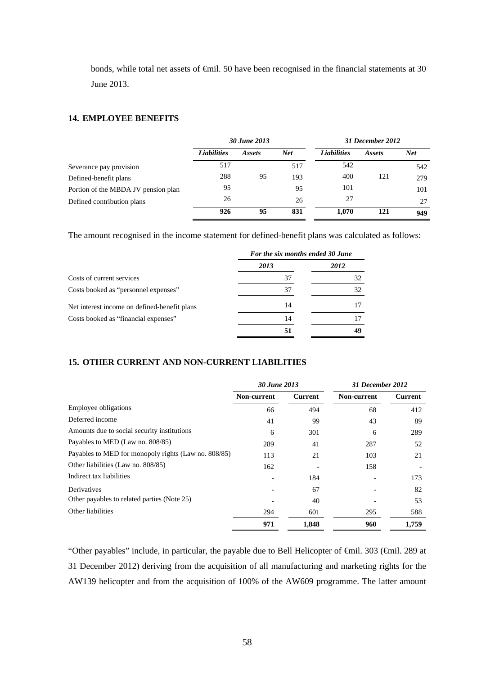bonds, while total net assets of €mil. 50 have been recognised in the financial statements at 30 June 2013.

# **14. EMPLOYEE BENEFITS**

|                                     | 30 June 2013       |        |            | 31 December 2012   |        |            |
|-------------------------------------|--------------------|--------|------------|--------------------|--------|------------|
|                                     | <b>Liabilities</b> | Assets | <b>Net</b> | <b>Liabilities</b> | Assets | <b>Net</b> |
| Severance pay provision             | 517                |        | 517        | 542                |        | 542        |
| Defined-benefit plans               | 288                | 95     | 193        | 400                | 121    | 279        |
| Portion of the MBDA JV pension plan | 95                 |        | 95         | 101                |        | 101        |
| Defined contribution plans          | 26                 |        | 26         | 27                 |        | 27         |
|                                     | 926                | 95     | 831        | 1,070              | 121    | 949        |

The amount recognised in the income statement for defined-benefit plans was calculated as follows:

|                                              | For the six months ended 30 June |      |  |
|----------------------------------------------|----------------------------------|------|--|
|                                              | 2013                             | 2012 |  |
| Costs of current services                    | 37                               | 32   |  |
| Costs booked as "personnel expenses"         | 37                               | 32   |  |
| Net interest income on defined-benefit plans | 14                               |      |  |
| Costs booked as "financial expenses"         | 14                               |      |  |
|                                              | 51                               | 49   |  |

## **15. OTHER CURRENT AND NON-CURRENT LIABILITIES**

|                                                      | 30 June 2013 |         | 31 December 2012 |         |
|------------------------------------------------------|--------------|---------|------------------|---------|
|                                                      | Non-current  | Current | Non-current      | Current |
| <b>Employee obligations</b>                          | 66           | 494     | 68               | 412     |
| Deferred income                                      | 41           | 99      | 43               | 89      |
| Amounts due to social security institutions          | 6            | 301     | 6                | 289     |
| Payables to MED (Law no. 808/85)                     | 289          | 41      | 287              | 52      |
| Payables to MED for monopoly rights (Law no. 808/85) | 113          | 21      | 103              | 21      |
| Other liabilities (Law no. 808/85)                   | 162          |         | 158              |         |
| Indirect tax liabilities                             |              | 184     |                  | 173     |
| Derivatives                                          |              | 67      |                  | 82      |
| Other payables to related parties (Note 25)          |              | 40      |                  | 53      |
| Other liabilities                                    | 294          | 601     | 295              | 588     |
|                                                      | 971          | 1.848   | 960              | 1,759   |

"Other payables" include, in particular, the payable due to Bell Helicopter of €mil. 303 (€mil. 289 at 31 December 2012) deriving from the acquisition of all manufacturing and marketing rights for the AW139 helicopter and from the acquisition of 100% of the AW609 programme. The latter amount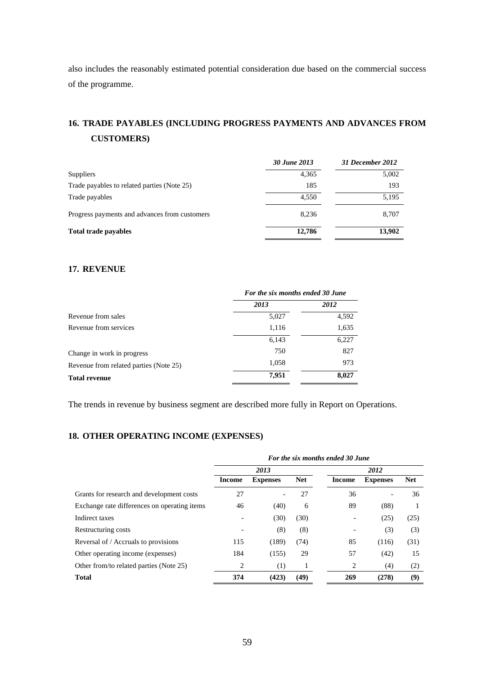also includes the reasonably estimated potential consideration due based on the commercial success of the programme.

# **16. TRADE PAYABLES (INCLUDING PROGRESS PAYMENTS AND ADVANCES FROM CUSTOMERS)**

|                                               | 30 June 2013 | 31 December 2012 |
|-----------------------------------------------|--------------|------------------|
| Suppliers                                     | 4,365        | 5,002            |
| Trade payables to related parties (Note 25)   | 185          | 193              |
| Trade payables                                | 4.550        | 5,195            |
| Progress payments and advances from customers | 8.236        | 8,707            |
| <b>Total trade payables</b>                   | 12,786       | 13,902           |

# **17. REVENUE**

|                                        | For the six months ended 30 June |       |  |  |
|----------------------------------------|----------------------------------|-------|--|--|
|                                        | 2013                             | 2012  |  |  |
| Revenue from sales                     | 5,027                            | 4,592 |  |  |
| Revenue from services                  | 1,116                            | 1,635 |  |  |
|                                        | 6,143                            | 6,227 |  |  |
| Change in work in progress             | 750                              | 827   |  |  |
| Revenue from related parties (Note 25) | 1,058                            | 973   |  |  |
| <b>Total revenue</b>                   | 7.951                            | 8,027 |  |  |

The trends in revenue by business segment are described more fully in Report on Operations.

# **18. OTHER OPERATING INCOME (EXPENSES)**

|                                              | For the six months ended 30 June |                 |            |        |                 |            |
|----------------------------------------------|----------------------------------|-----------------|------------|--------|-----------------|------------|
|                                              |                                  | 2013            |            |        | 2012            |            |
|                                              | Income                           | <b>Expenses</b> | <b>Net</b> | Income | <b>Expenses</b> | <b>Net</b> |
| Grants for research and development costs    | 27                               |                 | 27         | 36     |                 | 36         |
| Exchange rate differences on operating items | 46                               | (40)            | 6          | 89     | (88)            |            |
| Indirect taxes                               |                                  | (30)            | (30)       |        | (25)            | (25)       |
| Restructuring costs                          |                                  | (8)             | (8)        |        | (3)             | (3)        |
| Reversal of / Accruals to provisions         | 115                              | (189)           | (74)       | 85     | (116)           | (31)       |
| Other operating income (expenses)            | 184                              | (155)           | 29         | 57     | (42)            | 15         |
| Other from/to related parties (Note 25)      | 2                                | (1)             |            | 2      | (4)             | (2)        |
| <b>Total</b>                                 | 374                              | (423)           | (49)       | 269    | (278)           | (9)        |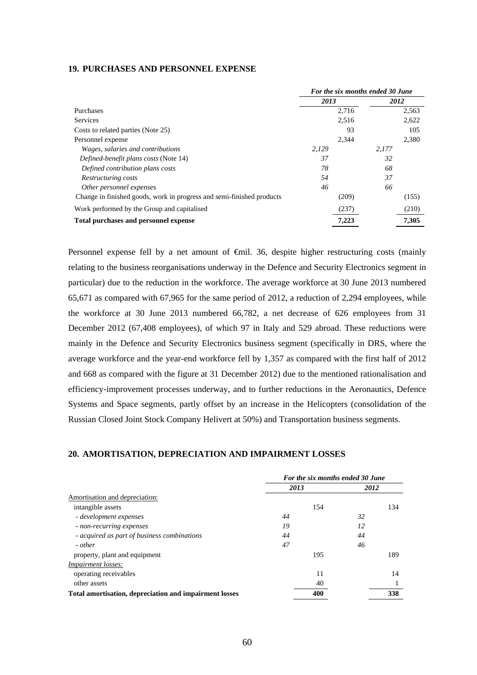#### **19. PURCHASES AND PERSONNEL EXPENSE**

|                                                                       | For the six months ended 30 June |       |       |
|-----------------------------------------------------------------------|----------------------------------|-------|-------|
|                                                                       | 2013                             | 2012  |       |
| Purchases                                                             | 2.716                            |       | 2,563 |
| Services                                                              | 2,516                            |       | 2,622 |
| Costs to related parties (Note 25)                                    | 93                               |       | 105   |
| Personnel expense                                                     | 2,344                            |       | 2,380 |
| Wages, salaries and contributions                                     | 2,129                            | 2.177 |       |
| Defined-benefit plans costs (Note 14)                                 | 37                               | 32    |       |
| Defined contribution plans costs                                      | 78                               | 68    |       |
| Restructuring costs                                                   | 54                               | 37    |       |
| Other personnel expenses                                              | 46                               | 66    |       |
| Change in finished goods, work in progress and semi-finished products | (209)                            |       | (155) |
| Work performed by the Group and capitalised                           | (237)                            |       | (210) |
| Total purchases and personnel expense                                 | 7,223                            |       | 7,305 |

Personnel expense fell by a net amount of €mil. 36, despite higher restructuring costs (mainly relating to the business reorganisations underway in the Defence and Security Electronics segment in particular) due to the reduction in the workforce. The average workforce at 30 June 2013 numbered 65,671 as compared with 67,965 for the same period of 2012, a reduction of 2,294 employees, while the workforce at 30 June 2013 numbered 66,782, a net decrease of 626 employees from 31 December 2012 (67,408 employees), of which 97 in Italy and 529 abroad. These reductions were mainly in the Defence and Security Electronics business segment (specifically in DRS, where the average workforce and the year-end workforce fell by 1,357 as compared with the first half of 2012 and 668 as compared with the figure at 31 December 2012) due to the mentioned rationalisation and efficiency-improvement processes underway, and to further reductions in the Aeronautics, Defence Systems and Space segments, partly offset by an increase in the Helicopters (consolidation of the Russian Closed Joint Stock Company Helivert at 50%) and Transportation business segments.

## **20. AMORTISATION, DEPRECIATION AND IMPAIRMENT LOSSES**

|                                                        |      | For the six months ended 30 June |    |      |  |
|--------------------------------------------------------|------|----------------------------------|----|------|--|
|                                                        | 2013 |                                  |    | 2012 |  |
| Amortisation and depreciation:                         |      |                                  |    |      |  |
| intangible assets                                      |      | 154                              |    | 134  |  |
| - development expenses                                 | 44   |                                  | 32 |      |  |
| - non-recurring expenses                               | 19   |                                  | 12 |      |  |
| - acquired as part of business combinations            | 44   |                                  | 44 |      |  |
| - other                                                | 47   |                                  | 46 |      |  |
| property, plant and equipment                          |      | 195                              |    | 189  |  |
| <i>Impairment losses:</i>                              |      |                                  |    |      |  |
| operating receivables                                  |      | 11                               |    | 14   |  |
| other assets                                           |      | 40                               |    |      |  |
| Total amortisation, depreciation and impairment losses |      | 400                              |    | 338  |  |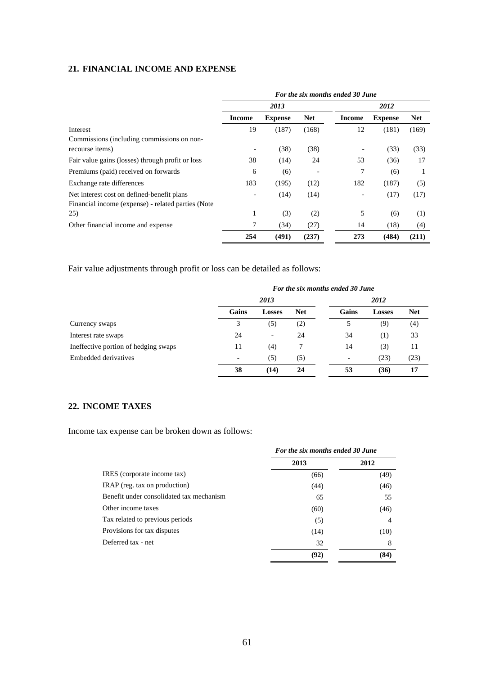# **21. FINANCIAL INCOME AND EXPENSE**

|                                                    | For the six months ended 30 June |                |            |        |                |            |
|----------------------------------------------------|----------------------------------|----------------|------------|--------|----------------|------------|
|                                                    | 2013                             |                |            |        | 2012           |            |
|                                                    | Income                           | <b>Expense</b> | <b>Net</b> | Income | <b>Expense</b> | <b>Net</b> |
| Interest                                           | 19                               | (187)          | (168)      | 12     | (181)          | (169)      |
| Commissions (including commissions on non-         |                                  |                |            |        |                |            |
| recourse items)                                    | $\overline{\phantom{a}}$         | (38)           | (38)       |        | (33)           | (33)       |
| Fair value gains (losses) through profit or loss   | 38                               | (14)           | 24         | 53     | (36)           | 17         |
| Premiums (paid) received on forwards               | 6                                | (6)            |            | 7      | (6)            |            |
| Exchange rate differences                          | 183                              | (195)          | (12)       | 182    | (187)          | (5)        |
| Net interest cost on defined-benefit plans         | $\qquad \qquad \blacksquare$     | (14)           | (14)       |        | (17)           | (17)       |
| Financial income (expense) - related parties (Note |                                  |                |            |        |                |            |
| 25)                                                | 1                                | (3)            | (2)        | 5      | (6)            | (1)        |
| Other financial income and expense                 | 7                                | (34)           | (27)       | 14     | (18)           | (4)        |
|                                                    | 254                              | (491)          | (237)      | 273    | (484)          | (211)      |

Fair value adjustments through profit or loss can be detailed as follows:

|                                      | For the six months ended 30 June |                          |            |       |               |            |  |
|--------------------------------------|----------------------------------|--------------------------|------------|-------|---------------|------------|--|
|                                      |                                  | 2013                     |            |       | 2012          |            |  |
|                                      | Gains                            | <b>Losses</b>            | <b>Net</b> | Gains | <b>Losses</b> | <b>Net</b> |  |
| Currency swaps                       | 3                                | (5)                      | (2)        | 5     | (9)           | (4)        |  |
| Interest rate swaps                  | 24                               | $\overline{\phantom{a}}$ | 24         | 34    | (1)           | 33         |  |
| Ineffective portion of hedging swaps | 11                               | (4)                      | 7          | 14    | (3)           | 11         |  |
| Embedded derivatives                 |                                  | (5)                      | (5)        |       | (23)          | (23)       |  |
|                                      | 38                               | (14)                     | 24         | 53    | (36)          | 17         |  |

# **22. INCOME TAXES**

Income tax expense can be broken down as follows:

|                                          | For the six months ended 30 June |      |  |
|------------------------------------------|----------------------------------|------|--|
|                                          | 2013                             | 2012 |  |
| IRES (corporate income tax)              | (66)                             | (49) |  |
| IRAP (reg. tax on production)            | (44)                             | (46) |  |
| Benefit under consolidated tax mechanism | 65                               | 55   |  |
| Other income taxes                       | (60)                             | (46) |  |
| Tax related to previous periods          | (5)                              | 4    |  |
| Provisions for tax disputes              | (14)                             | (10) |  |
| Deferred tax - net                       | 32                               | 8    |  |
|                                          | (92)                             | (84) |  |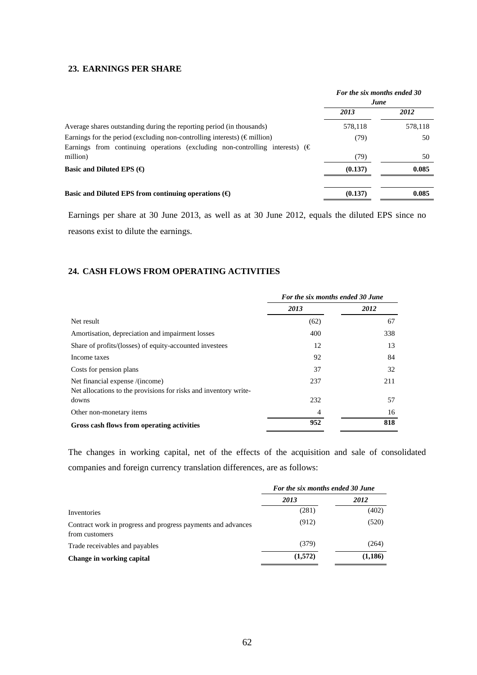# **23. EARNINGS PER SHARE**

|                                                                                        | For the six months ended 30<br>June |         |
|----------------------------------------------------------------------------------------|-------------------------------------|---------|
|                                                                                        | 2013                                | 2012    |
| Average shares outstanding during the reporting period (in thousands)                  | 578,118                             | 578,118 |
| Earnings for the period (excluding non-controlling interests) ( $\epsilon$ million)    | (79)                                | 50      |
| Earnings from continuing operations (excluding non-controlling interests) $(\epsilon)$ |                                     |         |
| million)                                                                               | (79)                                | 50      |
| Basic and Diluted EPS $(\bigoplus$                                                     | (0.137)                             | 0.085   |
|                                                                                        |                                     |         |
| Basic and Diluted EPS from continuing operations $(\Theta)$                            | (0.137)                             | 0.085   |

Earnings per share at 30 June 2013, as well as at 30 June 2012, equals the diluted EPS since no reasons exist to dilute the earnings.

# **24. CASH FLOWS FROM OPERATING ACTIVITIES**

|                                                                  | For the six months ended 30 June |      |  |
|------------------------------------------------------------------|----------------------------------|------|--|
|                                                                  | 2013                             | 2012 |  |
| Net result                                                       | (62)                             | 67   |  |
| Amortisation, depreciation and impairment losses                 | 400                              | 338  |  |
| Share of profits/(losses) of equity-accounted investees          | 12                               | 13   |  |
| Income taxes                                                     | 92                               | 84   |  |
| Costs for pension plans                                          | 37                               | 32   |  |
| Net financial expense /(income)                                  | 237                              | 211  |  |
| Net allocations to the provisions for risks and inventory write- |                                  |      |  |
| downs                                                            | 232                              | 57   |  |
| Other non-monetary items                                         | 4                                | 16   |  |
| Gross cash flows from operating activities                       | 952                              | 818  |  |

The changes in working capital, net of the effects of the acquisition and sale of consolidated companies and foreign currency translation differences, are as follows:

|                                                                                | For the six months ended 30 June |          |  |
|--------------------------------------------------------------------------------|----------------------------------|----------|--|
|                                                                                | 2013                             | 2012     |  |
| Inventories                                                                    | (281)                            | (402)    |  |
| Contract work in progress and progress payments and advances<br>from customers | (912)                            | (520)    |  |
| Trade receivables and payables                                                 | (379)                            | (264)    |  |
| Change in working capital                                                      | (1,572)                          | (1, 186) |  |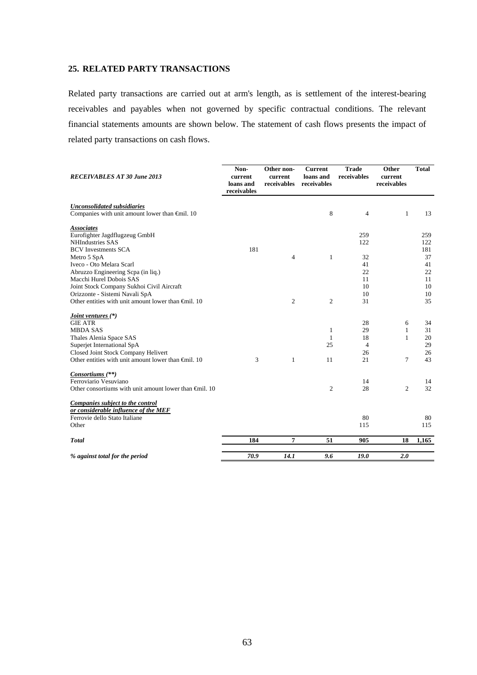# **25. RELATED PARTY TRANSACTIONS**

Related party transactions are carried out at arm's length, as is settlement of the interest-bearing receivables and payables when not governed by specific contractual conditions. The relevant financial statements amounts are shown below. The statement of cash flows presents the impact of related party transactions on cash flows.

| <b>RECEIVABLES AT 30 June 2013</b>                                                                | Non-<br>current<br>loans and<br>receivables | Other non-<br>current<br>receivables | <b>Current</b><br>loans and<br>receivables | <b>Trade</b><br>receivables | Other<br>current<br>receivables | <b>Total</b> |
|---------------------------------------------------------------------------------------------------|---------------------------------------------|--------------------------------------|--------------------------------------------|-----------------------------|---------------------------------|--------------|
| <b>Unconsolidated subsidiaries</b><br>Companies with unit amount lower than $\bigoplus$ il. 10    |                                             |                                      | 8                                          | 4                           | $\mathbf{1}$                    | 13           |
| <b>Associates</b><br>Eurofighter Jagdflugzeug GmbH<br><b>NHIndustries SAS</b>                     |                                             |                                      |                                            | 259<br>122                  |                                 | 259<br>122   |
| <b>BCV</b> Investments SCA                                                                        | 181                                         | $\overline{4}$                       | $\mathbf{1}$                               | 32                          |                                 | 181<br>37    |
| Metro 5 SpA<br>Iveco - Oto Melara Scarl<br>Abruzzo Engineering Scpa (in liq.)                     |                                             |                                      |                                            | 41<br>22                    |                                 | 41<br>22     |
| Macchi Hurel Dobois SAS<br>Joint Stock Company Sukhoi Civil Aircraft                              |                                             |                                      |                                            | 11<br>10                    |                                 | 11<br>10     |
| Orizzonte - Sistemi Navali SpA<br>Other entities with unit amount lower than $\bigoplus$ fill. 10 |                                             | $\overline{c}$                       | $\overline{c}$                             | 10<br>31                    |                                 | 10<br>35     |
| <i>Joint ventures</i> (*)                                                                         |                                             |                                      |                                            |                             |                                 |              |
| <b>GIE ATR</b>                                                                                    |                                             |                                      |                                            | 28                          | 6                               | 34           |
| <b>MBDA SAS</b>                                                                                   |                                             |                                      | 1                                          | 29                          | 1                               | 31           |
| Thales Alenia Space SAS                                                                           |                                             |                                      | 1                                          | 18                          | $\mathbf{1}$                    | 20           |
| Superjet International SpA                                                                        |                                             |                                      | 25                                         | $\overline{4}$              |                                 | 29           |
| Closed Joint Stock Company Helivert                                                               |                                             |                                      |                                            | 26                          |                                 | 26           |
| Other entities with unit amount lower than $\bigoplus$ fill. 10                                   | 3                                           | $\mathbf{1}$                         | 11                                         | 21                          | 7                               | 43           |
| Consortiums (**)<br>Ferroviario Vesuviano                                                         |                                             |                                      |                                            | 14                          |                                 | 14           |
| Other consortiums with unit amount lower than $\bigoplus$ il. 10                                  |                                             |                                      | 2                                          | 28                          | $\overline{c}$                  | 32           |
| Companies subject to the control<br>or considerable influence of the MEF                          |                                             |                                      |                                            |                             |                                 |              |
| Ferrovie dello Stato Italiane                                                                     |                                             |                                      |                                            | 80                          |                                 | 80           |
| Other                                                                                             |                                             |                                      |                                            | 115                         |                                 | 115          |
| <b>Total</b>                                                                                      | 184                                         | 7                                    | 51                                         | 905                         | 18                              | 1,165        |
| % against total for the period                                                                    | 70.9                                        | 14.1                                 | 9.6                                        | 19.0                        | 2.0                             |              |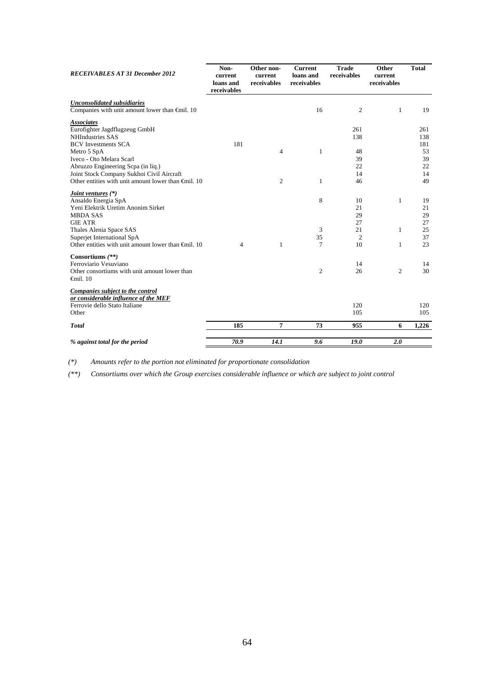| <b>RECEIVABLES AT 31 December 2012</b>                                                                                                                                                                                                                                                                   | Non-<br>current<br>loans and<br>receivables | Other non-<br>current<br>receivables | <b>Current</b><br>loans and<br>receivables | <b>Trade</b><br>receivables                        | Other<br>current<br>receivables | <b>Total</b>                                    |
|----------------------------------------------------------------------------------------------------------------------------------------------------------------------------------------------------------------------------------------------------------------------------------------------------------|---------------------------------------------|--------------------------------------|--------------------------------------------|----------------------------------------------------|---------------------------------|-------------------------------------------------|
| <b>Unconsolidated subsidiaries</b><br>Companies with unit amount lower than $\oplus$ nil. 10                                                                                                                                                                                                             |                                             |                                      | 16                                         | $\mathfrak{2}$                                     | 1                               | 19                                              |
| <b>Associates</b><br>Eurofighter Jagdflugzeug GmbH<br><b>NHIndustries SAS</b><br><b>BCV</b> Investments SCA<br>Metro 5 SpA<br>Iveco - Oto Melara Scarl<br>Abruzzo Engineering Scpa (in liq.)<br>Joint Stock Company Sukhoi Civil Aircraft<br>Other entities with unit amount lower than $\oplus$ mil. 10 | 181                                         | $\overline{4}$<br>2                  | $\mathbf{1}$<br>1                          | 261<br>138<br>48<br>39<br>22<br>14<br>46           |                                 | 261<br>138<br>181<br>53<br>39<br>22<br>14<br>49 |
| <i>Joint ventures</i> (*)<br>Ansaldo Energia SpA<br>Yeni Elektrik Uretim Anonim Sirket<br><b>MBDA SAS</b><br><b>GIE ATR</b><br>Thales Alenia Space SAS<br>Superjet International SpA<br>Other entities with unit amount lower than $\oplus$ mil. 10                                                      | $\overline{4}$                              | 1                                    | 8<br>3<br>35<br>7                          | 10<br>21<br>29<br>27<br>21<br>$\overline{2}$<br>10 | 1<br>1<br>1                     | 19<br>21<br>29<br>27<br>25<br>37<br>23          |
| Consortiums (**)<br>Ferroviario Vesuviano<br>Other consortiums with unit amount lower than<br>$\epsilon$ mil. 10                                                                                                                                                                                         |                                             |                                      | 2                                          | 14<br>26                                           | 2                               | 14<br>30                                        |
| Companies subject to the control<br>or considerable influence of the MEF<br>Ferrovie dello Stato Italiane<br>Other                                                                                                                                                                                       |                                             |                                      |                                            | 120<br>105                                         |                                 | 120<br>105                                      |
| <b>Total</b>                                                                                                                                                                                                                                                                                             | 185                                         | 7                                    | 73                                         | 955                                                | 6                               | 1,226                                           |
| % against total for the period                                                                                                                                                                                                                                                                           | 70.9                                        | 14.1                                 | 9.6                                        | 19.0                                               | 2.0                             |                                                 |

*(\*) Amounts refer to the portion not eliminated for proportionate consolidation*

*(\*\*) Consortiums over which the Group exercises considerable influence or which are subject to joint control*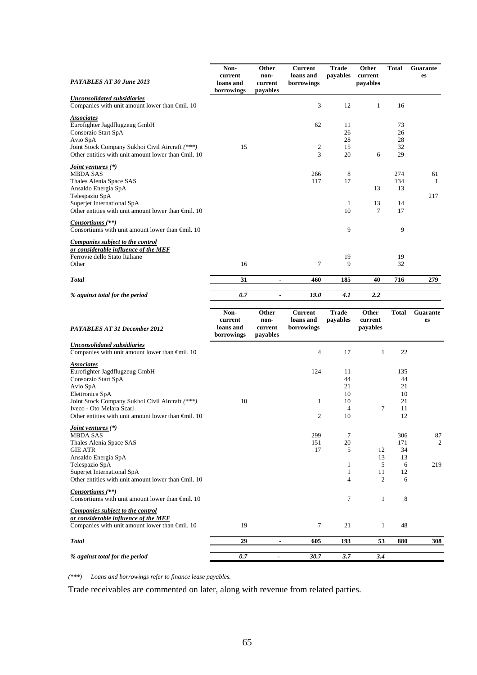| PAYABLES AT 30 June 2013                                                                                                                                                                                                                                 | Non-<br>current<br>loans and<br>borrowings | Other<br>non-<br>current<br>pavables | Current<br>loans and<br>borrowings        | <b>Trade</b><br>payables                           | Other<br>current<br>payables   | <b>Total</b>                            | Guarante<br>es |
|----------------------------------------------------------------------------------------------------------------------------------------------------------------------------------------------------------------------------------------------------------|--------------------------------------------|--------------------------------------|-------------------------------------------|----------------------------------------------------|--------------------------------|-----------------------------------------|----------------|
| <b>Unconsolidated subsidiaries</b>                                                                                                                                                                                                                       |                                            |                                      |                                           |                                                    |                                |                                         |                |
| Companies with unit amount lower than €mil. 10                                                                                                                                                                                                           |                                            |                                      | 3                                         | 12                                                 | 1                              | 16                                      |                |
| <b>Associates</b><br>Eurofighter Jagdflugzeug GmbH<br>Consorzio Start SpA<br>Avio SpA<br>Joint Stock Company Sukhoi Civil Aircraft (***)<br>Other entities with unit amount lower than $\bigoplus$ il. 10                                                | 15                                         |                                      | 62<br>2<br>3                              | 11<br>26<br>28<br>15<br>20                         | 6                              | 73<br>26<br>28<br>32<br>29              |                |
| <i>Joint ventures</i> (*)<br><b>MBDA SAS</b><br>Thales Alenia Space SAS<br>Ansaldo Energia SpA<br>Telespazio SpA<br>Superjet International SpA<br>Other entities with unit amount lower than $\oplus$ nil. 10                                            |                                            |                                      | 266<br>117                                | 8<br>17<br>$\mathbf{1}$<br>10                      | 13<br>13<br>7                  | 274<br>134<br>13<br>14<br>17            | 61<br>1<br>217 |
| Consortiums <sup>(**)</sup><br>Consortiums with unit amount lower than $\bigoplus$ il. 10                                                                                                                                                                |                                            |                                      |                                           | 9                                                  |                                | 9                                       |                |
| <b>Companies subject to the control</b><br>or considerable influence of the MEF<br>Ferrovie dello Stato Italiane<br>Other                                                                                                                                | 16                                         |                                      | 7                                         | 19<br>9                                            |                                | 19<br>32                                |                |
| <b>Total</b>                                                                                                                                                                                                                                             | 31                                         | $\blacksquare$                       | 460                                       | 185                                                | 40                             | 716                                     | 279            |
|                                                                                                                                                                                                                                                          |                                            |                                      |                                           |                                                    |                                |                                         |                |
| % against total for the period                                                                                                                                                                                                                           | 0.7                                        | ۰                                    | 19.0                                      | 4.1                                                | 2.2                            |                                         |                |
| PAYABLES AT 31 December 2012                                                                                                                                                                                                                             | Non-<br>current<br>loans and<br>borrowings | Other<br>non-<br>current<br>payables | <b>Current</b><br>loans and<br>borrowings | <b>Trade</b><br>payables                           | Other<br>current<br>payables   | <b>Total</b>                            | Guarante<br>es |
| <b>Unconsolidated subsidiaries</b><br>Companies with unit amount lower than €mil. 10                                                                                                                                                                     |                                            |                                      | $\overline{4}$                            | 17                                                 | $\mathbf{1}$                   | 22                                      |                |
| <b>Associates</b><br>Eurofighter Jagdflugzeug GmbH<br>Consorzio Start SpA<br>Avio SpA<br>Elettronica SpA<br>Joint Stock Company Sukhoi Civil Aircraft (***)<br>Iveco - Oto Melara Scarl<br>Other entities with unit amount lower than $\bigoplus$ il. 10 | 10                                         |                                      | 124<br>$\mathbf{1}$<br>$\overline{c}$     | 11<br>44<br>21<br>10<br>10<br>$\overline{4}$<br>10 | 7                              | 135<br>44<br>21<br>10<br>21<br>11<br>12 |                |
| <i>Joint ventures</i> (*)<br><b>MBDA SAS</b><br>Thales Alenia Space SAS<br>GIE ATR<br>Ansaldo Energia SpA<br>Telespazio SpA<br>Superjet International SpA                                                                                                |                                            |                                      | 299<br>151<br>17                          | 7<br>20<br>5<br>$\mathbf{1}$<br>$\mathbf{1}$       | 12<br>13<br>5<br>11            | 306<br>171<br>34<br>13<br>6<br>12       | 87<br>2<br>219 |
| Other entities with unit amount lower than $\oplus$ mil. 10<br>Consortiums (**)<br>Consortiums with unit amount lower than $\oplus$ mil. 10                                                                                                              |                                            |                                      |                                           | $\overline{4}$<br>7                                | $\mathfrak{2}$<br>$\mathbf{1}$ | 6<br>8                                  |                |
| Companies subject to the control<br>or considerable influence of the MEF<br>Companies with unit amount lower than €mil. 10                                                                                                                               | 19                                         |                                      | $\tau$                                    | 21                                                 | $\mathbf{1}$                   | 48                                      |                |
| <b>Total</b>                                                                                                                                                                                                                                             | 29                                         | $\qquad \qquad \blacksquare$         | 605                                       | 193                                                | 53                             | 880                                     | 308            |
| % against total for the period                                                                                                                                                                                                                           | 0.7                                        | $\overline{\phantom{a}}$             | 30.7                                      | 3.7                                                | 3.4                            |                                         |                |

*(\*\*\*) Loans and borrowings refer to finance lease payables.* 

Trade receivables are commented on later, along with revenue from related parties.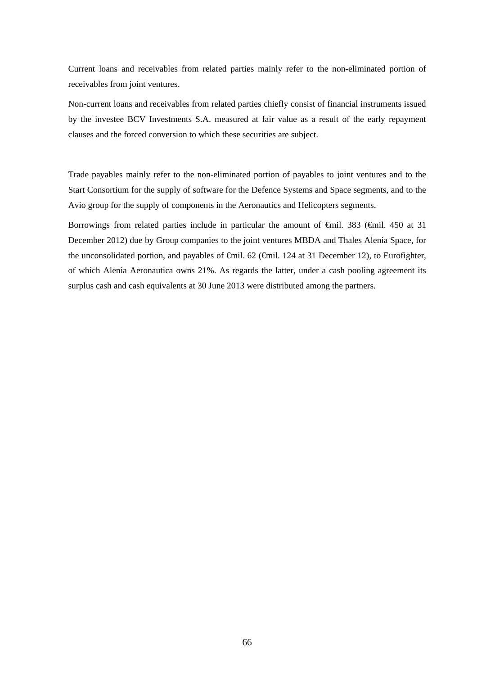Current loans and receivables from related parties mainly refer to the non-eliminated portion of receivables from joint ventures.

Non-current loans and receivables from related parties chiefly consist of financial instruments issued by the investee BCV Investments S.A. measured at fair value as a result of the early repayment clauses and the forced conversion to which these securities are subject.

Trade payables mainly refer to the non-eliminated portion of payables to joint ventures and to the Start Consortium for the supply of software for the Defence Systems and Space segments, and to the Avio group for the supply of components in the Aeronautics and Helicopters segments.

Borrowings from related parties include in particular the amount of €mil. 383 (€mil. 450 at 31 December 2012) due by Group companies to the joint ventures MBDA and Thales Alenia Space, for the unconsolidated portion, and payables of €mil. 62 (€mil. 124 at 31 December 12), to Eurofighter, of which Alenia Aeronautica owns 21%. As regards the latter, under a cash pooling agreement its surplus cash and cash equivalents at 30 June 2013 were distributed among the partners.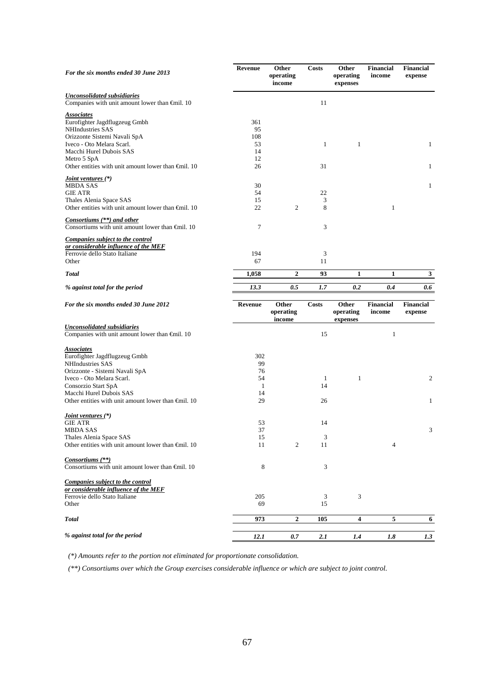| For the six months ended 30 June 2013                                                                                                                                                                                                                    | Revenue                                           | Other<br>operating<br>income | <b>Costs</b>  | Other<br>operating<br>expenses | <b>Financial</b><br>income | <b>Financial</b><br>expense |
|----------------------------------------------------------------------------------------------------------------------------------------------------------------------------------------------------------------------------------------------------------|---------------------------------------------------|------------------------------|---------------|--------------------------------|----------------------------|-----------------------------|
| <b>Unconsolidated subsidiaries</b><br>Companies with unit amount lower than €mil. 10                                                                                                                                                                     |                                                   |                              | 11            |                                |                            |                             |
| <b>Associates</b><br>Eurofighter Jagdflugzeug Gmbh<br>NHIndustries SAS<br>Orizzonte Sistemi Navali SpA<br>Iveco - Oto Melara Scarl.<br>Macchi Hurel Dubois SAS<br>Metro 5 SpA                                                                            | 361<br>95<br>108<br>53<br>14<br>12<br>26          |                              | $\mathbf{1}$  | $\mathbf{1}$                   |                            | $\mathbf{1}$                |
| Other entities with unit amount lower than $\bigoplus$ nil. 10                                                                                                                                                                                           |                                                   |                              | 31            |                                |                            | $\mathbf{1}$                |
| <i>Joint ventures</i> (*)<br><b>MBDA SAS</b><br><b>GIE ATR</b><br>Thales Alenia Space SAS<br>Other entities with unit amount lower than $\bigoplus$ il. 10                                                                                               | 30<br>54<br>15<br>22                              | $\mathfrak{2}$               | 22<br>3<br>8  |                                | $\mathbf{1}$               | $\mathbf{1}$                |
| Consortiums (**) and other<br>Consortiums with unit amount lower than $\bigoplus$ il. 10                                                                                                                                                                 | 7                                                 |                              | 3             |                                |                            |                             |
| Companies subject to the control<br>or considerable influence of the MEF<br>Ferrovie dello Stato Italiane<br>Other                                                                                                                                       | 194<br>67                                         |                              | 3<br>11       |                                |                            |                             |
| <b>Total</b>                                                                                                                                                                                                                                             | 1,058                                             | $\mathbf{2}$                 | 93            | $\mathbf{1}$                   | $\mathbf{1}$               | 3 <sup>1</sup>              |
| % against total for the period                                                                                                                                                                                                                           | 13.3                                              | 0.5                          | 1.7           | 0.2                            | 0.4                        | 0.6                         |
| For the six months ended 30 June 2012                                                                                                                                                                                                                    | <b>Revenue</b>                                    | Other<br>operating<br>income | <b>Costs</b>  | Other<br>operating<br>expenses | <b>Financial</b><br>income | <b>Financial</b><br>expense |
| <b>Unconsolidated subsidiaries</b><br>Companies with unit amount lower than €mil. 10                                                                                                                                                                     |                                                   |                              | 15            |                                | 1                          |                             |
|                                                                                                                                                                                                                                                          |                                                   |                              |               |                                |                            |                             |
| <b>Associates</b><br>Eurofighter Jagdflugzeug Gmbh<br>NHIndustries SAS<br>Orizzonte - Sistemi Navali SpA<br>Iveco - Oto Melara Scarl.<br>Consorzio Start SpA<br>Macchi Hurel Dubois SAS<br>Other entities with unit amount lower than $\bigoplus$ il. 10 | 302<br>99<br>76<br>54<br>$\mathbf{1}$<br>14<br>29 |                              | 1<br>14<br>26 | $\mathbf{1}$                   |                            | 2<br>$\mathbf{1}$           |
| <u>Joint ventures (*)</u><br><b>GIE ATR</b><br><b>MBDA SAS</b><br>Thales Alenia Space SAS<br>Other entities with unit amount lower than €mil. 10                                                                                                         | 53<br>37<br>15<br>11                              | 2                            | 14<br>3<br>11 |                                | 4                          | 3                           |
| <i>Consortiums</i> (**)<br>Consortiums with unit amount lower than $\bigoplus$ il. 10                                                                                                                                                                    | 8                                                 |                              | 3             |                                |                            |                             |
| Companies subject to the control<br>or considerable influence of the MEF                                                                                                                                                                                 |                                                   |                              |               |                                |                            |                             |
| Ferrovie dello Stato Italiane<br>Other                                                                                                                                                                                                                   | 205<br>69                                         |                              | 3<br>15       | 3                              |                            |                             |
| <b>Total</b>                                                                                                                                                                                                                                             | 973                                               | 2                            | 105           | 4                              | 5                          | 6                           |

*(\*) Amounts refer to the portion not eliminated for proportionate consolidation.* 

*(\*\*) Consortiums over which the Group exercises considerable influence or which are subject to joint control*.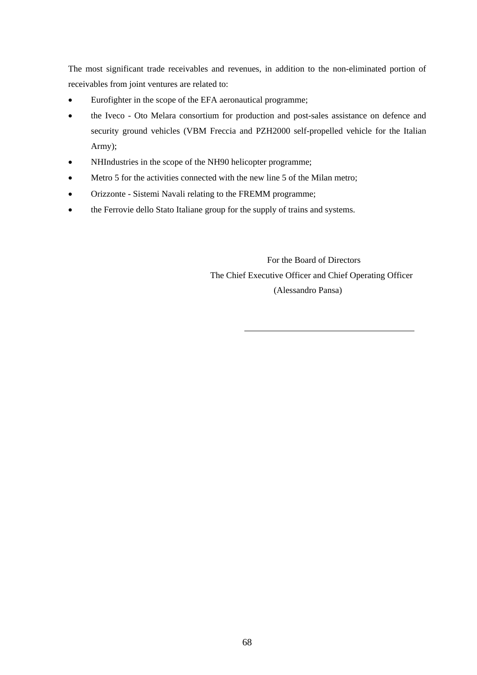The most significant trade receivables and revenues, in addition to the non-eliminated portion of receivables from joint ventures are related to:

- Eurofighter in the scope of the EFA aeronautical programme;
- the Iveco Oto Melara consortium for production and post-sales assistance on defence and security ground vehicles (VBM Freccia and PZH2000 self-propelled vehicle for the Italian Army);
- NHIndustries in the scope of the NH90 helicopter programme;
- Metro 5 for the activities connected with the new line 5 of the Milan metro;
- Orizzonte Sistemi Navali relating to the FREMM programme;
- the Ferrovie dello Stato Italiane group for the supply of trains and systems.

 For the Board of Directors The Chief Executive Officer and Chief Operating Officer (Alessandro Pansa)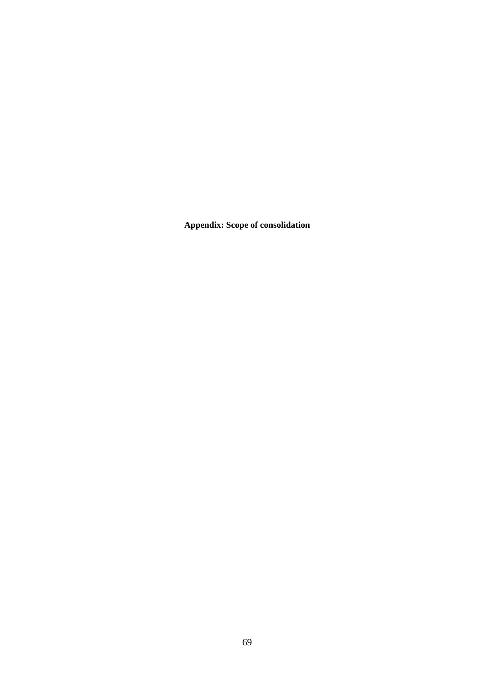**Appendix: Scope of consolidation**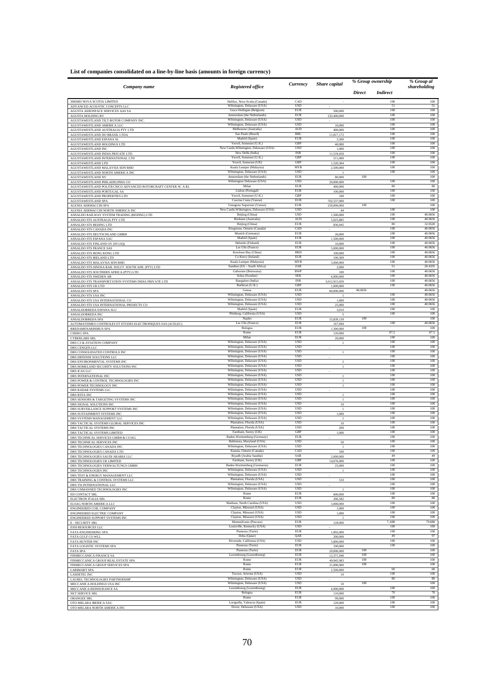|                                                                                                 |                                                                       | Currency                  |                          | % Group ownership                |             | % Group al         |  |
|-------------------------------------------------------------------------------------------------|-----------------------------------------------------------------------|---------------------------|--------------------------|----------------------------------|-------------|--------------------|--|
| Company name                                                                                    | Registered office                                                     |                           | Share capital            | <b>Direct</b><br><b>Indirect</b> |             | shareholding       |  |
| 3083683 NOVA SCOTIA LIMITED                                                                     | Halifax, Nova Scotia (Canada)                                         | CAD                       |                          |                                  | 100         | $100\,$            |  |
| ADVANCED ACOUSTIC CONCEPTS LLC<br>AGUSTA AEROSPACE SERVICES AAS SA                              | Wilmington, Delaware (USA)<br>Grace Hollogne (Belgium)                | <b>USD</b><br>EUR         | 500,000                  |                                  | 51<br>100   | 51<br>100          |  |
| <b>AGUSTA HOLDING BV</b><br>AGUSTAWESTLAND TILT-ROTOR COMPANY INC.                              | Amsterdam (the Netherlands)<br>Wilmington, Delaware (USA)             | <b>EUR</b><br><b>USD</b>  | 232,400,000              |                                  | 100<br>100  | 100<br>100         |  |
| AGUSTAWESTLAND AMERICA LLC                                                                      | Wilmington, Delaware (USA)                                            | <b>USD</b>                | 10,000                   |                                  | 100         | 100                |  |
| AGUSTAWESTLAND AUSTRALIA PTY LTD<br>AGUSTAWESTLAND DO BRASIL LTDA                               | Melbourne (Australia)<br>Sao Paulo (Brazil)                           | <b>AUD</b><br>BRI.        | 400,000<br>11,817,172    |                                  | 100<br>100  | 100<br>100         |  |
| AGUSTAWESTLAND ESPANA SL                                                                        | Madrid (Spain)                                                        | <b>EUR</b><br>GBP         | 3.300                    |                                  | 100<br>100  | 100<br>100         |  |
| AGUSTAWESTLAND HOLDINGS LTD<br>AGUSTAWESTLAND INC                                               | Yeovil, Somerset (U.K.)<br>New Castle, Wilmington, Delaware (USA)     | USD                       | 40,000<br>1,000          |                                  | 100         | 100                |  |
| AGUSTAWESTLAND INDIA PRIVATE LTD                                                                | New Delhi (India)<br>Yeovil, Somerset (U.K.)                          | <b>INR</b><br>GBP         | 11,519,450               |                                  | 100<br>100  | 100<br>100         |  |
| AGUSTAWESTLAND INTERNATIONAL LTD<br>AGUSTAWESTLAND LTD                                          | Yeovil, Somerset (UK)                                                 | GBP                       | 511,000<br>1,520,304     |                                  | 100         | 100                |  |
| AGUSTAWESTLAND MALAYSIA SDN BHD<br>AGUSTAWESTLAND NORTH AMERICA INC                             | Kuala Lumpur (Malaysia)<br>Wilmington, Delaware (USA)                 | <b>MYR</b><br><b>USD</b>  | 2,500,000                |                                  | 100<br>100  | 100<br>100         |  |
| AGUSTAWESTLAND NV                                                                               | Amsterdam (the Netherlands)                                           | <b>EUR</b>                | 80,000                   | 100                              |             | 100                |  |
| AGUSTAWESTLAND PHILADELPHIA CO<br>AGUSTAWESTLAND POLITECNICO ADVANCED ROTORCRAFT CENTER SC A RL | Wilmington Delaware (USA)<br>Milar                                    | USD<br><b>EUR</b>         | 20,000,000<br>400,000    |                                  | 100<br>80   | 100<br>80          |  |
| AGUSTAWESTLAND PORTUGAL SA                                                                      | Lisbon (Portugal)<br>Yeovil, Somerset (U.K.)                          | <b>EUR</b><br>GBP         | 100,000                  |                                  | 100<br>100  | 100<br>100         |  |
| AGUSTAWESTLAND PROPERTIES LTD<br>AGUSTAWESTLAND SPA                                             | Cascina Costa (Varese)                                                | EUR                       | 100<br>702,537,000       |                                  | 100         | 100                |  |
| ALENIA AERMACCHI SPA<br>ALENIA AERMACCHI NORTH AMERICA INC                                      | Venegono Superiore (Varese)<br>New Castle, Wilmington, Delaware (USA) | EUR<br><b>USD</b>         | 250,000,000<br>44        | 100                              | 100         | 100<br>100         |  |
| ANSALDO RAILWAY SYSTEM TRADING (BEIJING) LTD                                                    | Beijing (China)                                                       | <b>USD</b>                | 1,500,000                |                                  | 100         | 40.0656            |  |
| ANSALDO STS AUSTRALIA PTY LTD<br>ANSALDO STS BEIJING LTD                                        | Birsbane (Australia)<br>Beijing (China)                               | <b>AUD</b><br><b>EUR</b>  | 5,025,885<br>836,945     |                                  | 100<br>80   | 40.0656<br>32.0528 |  |
| ANSALDO STS CANADA INC                                                                          | Kingstone, Ontario (Canada)<br>Munich (Germany)                       | CAD<br><b>EUR</b>         |                          |                                  | 100<br>100  | 40.0656<br>40.0656 |  |
| ANSALDO STS DEUTSCHLAND GMBH<br>ANSALDO STS ESPANA SAU                                          | Madrid (Spain)                                                        | EUR                       | 26,000<br>1,500,000      |                                  | 100         | 40.0656            |  |
| ANSALDO STS FINLAND OY (IN LIQ)                                                                 | Helsinki (Finland)<br>Les Ulis (France)                               | EUR<br><b>EUR</b>         | 10,000                   |                                  | 100<br>100  | 40.0656<br>40.0656 |  |
| ANSALDO STS FRANCE SAS<br>ANSALDO STS HONG KONG LTD                                             | Kowloon Bay (China)                                                   | <b>HKD</b>                | 5,000,000<br>100,000     |                                  | 100         | 40.0656            |  |
| ANSALDO STS IRELAND LTD<br>ANSALDO STS MALAYSIA SDN BHD                                         | Co Kerry (Ireland)<br>Kuala Lumpur (Malaysia)                         | EUR<br><b>MYR</b>         | 100,309<br>3,000,000     |                                  | 100<br>100  | 40.0656<br>40.0656 |  |
| ANSALDO STS-SINOSA RAIL SOLUT. SOUTH AFR. (PTY) LTD                                             | Sandton (ZA - South Africa)                                           | ZAR                       | 2,000                    |                                  | 51          | 20.4335            |  |
| ANSALDO STS SOUTHERN AFRICA (PTY) LTD<br>ANSALDO STS SWEDEN AB                                  | Gaborone (Botswana)<br>Solna (Sweden)                                 | <b>BWF</b><br><b>SEK</b>  | $100\,$<br>4,000,000     |                                  | 100<br>100  | 40.0656<br>40.0656 |  |
| ANSALDO STS TRANSPORTATION SYSTEMS INDIA PRIVATE LTD                                            | Bangalore (India)                                                     | <b>INR</b><br><b>GBF</b>  | 3,012,915,050            |                                  | 100<br>100  | 40.0656<br>40,0656 |  |
| ANSALDO STS UK LTD<br>ANSALDO STS SPA                                                           | Barbican (U.K.)<br>Genoa                                              | EUR                       | 1,000,000<br>80,000,000  | 40,0656                          |             | 40.0656            |  |
| ANSALDO STS USA INC                                                                             | Wilmington, Delaware (USA)<br>Wilmington, Delaware (USA)              | <b>USD</b><br><b>USD</b>  |                          |                                  | 100<br>100  | 40.0656<br>40.0656 |  |
| ANSALDO STS USA INTERNATIONAL CO<br>ANSALDO STS USA INTERNATIONAL PROJECTS CO                   | Wilmington, Delaware (USA)                                            | <b>USD</b>                | 1,000<br>25,000          |                                  | 100         | 40.0656            |  |
| ANSALDOBREDA ESPANA SLU<br>ANSALDOBREDA INC                                                     | Madrid (Spain)<br>Pittsburg, California (USA)                         | EUR<br><b>USD</b>         | 3,010                    |                                  | 100<br>100  | 100<br>100         |  |
| ANSALDOBREDA SPA                                                                                | Naples                                                                | <b>EUR</b>                | 55,839,139               | 100                              |             | 100                |  |
| AUTOMATISMES CONTROLES ET ETUDES ELECTRONIQUES SAS (ACELEC)<br><b>BREDAMENARINIBUS SPA</b>      | Les Ulis (France)<br>Bologna                                          | EUR<br>EUR                | 167,694<br>1,300,000     | 100                              | 100         | 40.0656<br>100     |  |
| <b>CISDEG SPA</b>                                                                               | Rome<br>Milan                                                         | <b>EUR</b><br><b>EUR</b>  | 120,000                  |                                  | 87,5<br>100 | 87.5<br>100        |  |
| <b>CYBERLABS SRL</b><br>DRS C3 & AVIATION COMPANY                                               | Wilmington, Delaware (USA)                                            | <b>USD</b>                | 20,000                   |                                  | 100         | 100                |  |
| DRS CENGEN LLC                                                                                  | Wilmington, Delaware (USA)<br>Wilmington, Delaware (USA)              | <b>USD</b><br><b>USD</b>  |                          |                                  | 100<br>100  | 100<br>100         |  |
| DRS CONSOLIDATED CONTROLS INC<br>DRS DEFENSE SOLUTIONS LLC                                      | Wilmington, Delaware (USA)                                            | <b>USD</b>                |                          |                                  | 100         | 100                |  |
| DRS ENVIRONMENTAL SYSTEMS INC<br>DRS HOMELAND SECURITY SOLUTIONS INC                            | Wilmington, Delaware (USA)<br>Wilmington, Delaware (USA)              | <b>USD</b><br><b>TISD</b> | $\,2\,$                  |                                  | 100<br>100  | 100<br>100         |  |
| DRS ICAS LLC                                                                                    | Wilmington, Delaware (USA)                                            | <b>USD</b>                |                          |                                  | 100         | 100                |  |
| DRS INTERNATIONAL INC<br>DRS POWER & CONTROL TECHNOLOGIES INC                                   | Wilmington, Delaware (USA)<br>Wilmington, Delaware (USA)              | <b>USD</b><br><b>USD</b>  | $\mathbf{I}$             |                                  | 100<br>100  | 100<br>100         |  |
| DRS POWER TECHNOLOGY INC                                                                        | Wilmington, Delaware (USA)<br>Wilmington, Delaware (USA)              | <b>USD</b><br><b>USD</b>  | $\mathbf{1}$             |                                  | 100<br>100  | 100<br>100         |  |
| DRS RADAR SYSTEMS LLC<br>DRS RSTA INC                                                           | Wilmington, Delaware (USA)                                            | <b>USD</b>                | $\mathbf{1}$             |                                  | 100         | 100                |  |
| DRS SENSORS & TARGETING SYSTEMS INC<br>DRS SIGNAL SOLUTIONS INC                                 | Wilmington, Delaware (USA)<br>Wilmington, Delaware (USA)              | USD<br>USD                | $\mathbf{1}$<br>$10\,$   |                                  | 100<br>100  | 100<br>100         |  |
| DRS SURVEILLANCE SUPPORT SYSTEMS INC                                                            | Wilmington, Delaware (USA)                                            | <b>USD</b>                |                          |                                  | 100         | 100                |  |
| DRS SUSTAINMENT SYSTEMS INC<br>DRS SYSTEMS MANAGEMENT LLC                                       | Wilmington, Delaware (USA)<br>Wilmington, Delaware (USA)              | <b>USD</b><br><b>USD</b>  | 1,000                    |                                  | 100<br>100  | 100<br>100         |  |
| DRS TACTICAL SYSTEMS GLOBAL SERVICES INC                                                        | Plantation, Florida (USA)                                             | <b>USD</b><br><b>USD</b>  | 10                       |                                  | 100         | 100                |  |
| DRS TACTICAL SYSTEMS INC<br>DRS TACTICAL SYSTEMS LIMITED                                        | Plantation, Florida (USA)<br>Farnham, Surrey (UK)                     | GBF                       | 200<br>1,000             |                                  | 100<br>100  | 100<br>100         |  |
| DRS TECHNICAL SERVICES GMBH & CO KG<br>DRS TECHNICAL SERVICES INC                               | Baltimora, Marvland (USA)                                             | <b>USD</b>                | 50                       |                                  | 100         | 100                |  |
| DRS TECHNOLOGIES CANADA INC                                                                     | Wilmington, Delaware (USA)                                            | <b>USD</b>                |                          |                                  | 100         | 100                |  |
| DRS TECHNOLOGIES CANADA LTD<br>DRS TECHNOLOGIES SAUDI ARABIA LLC                                | Kanata, Ontario (Canada)<br>Riyadh (Arabia Saudita)                   | CAD<br>SAR                | 100<br>2.000.000         |                                  | 100<br>49   | 100<br>49          |  |
| DRS TECHNOLOGIES UK LIMITED                                                                     | Farnham, Surrey (UK)                                                  | <b>GBP</b><br><b>EUR</b>  | 14,676,000               |                                  | 100<br>100  | 100<br>100         |  |
| DRS TECHNOLOGIES VERWALTUNGS GMBH<br>DRS TECHNOLOGIES INC                                       | Baden-Wurttemberg (Germania)<br>Wilmington, Delaware (USA)            | <b>USD</b>                | 25,000                   |                                  | 100         | 100                |  |
| DRS TEST & ENERGY MANAGEMENT LLC<br>DRS TRAINING & CONTROL SYSTEMS LLC                          | Wilmington, Delaware (USA)<br>Plantation, Florida (USA)               | <b>USD</b><br><b>USD</b>  | 510                      |                                  | 100<br>100  | 100<br>100         |  |
| DRS TSI INTERNATIONAL LLC                                                                       | Wilmington, Delaware (USA)                                            | <b>USD</b>                |                          |                                  | 100         | 100                |  |
| DRS UNMANNED TECHNOLOGIES INC<br>ED CONTACT SRL                                                 | Wilmington, Delaware (USA)<br>Rome                                    | <b>USD</b><br>EUR         | 600,000                  |                                  | 100<br>100  | 100<br>100         |  |
| ELECTRON ITALIA SRL                                                                             | Rome                                                                  | <b>EUR</b>                | 206,582                  |                                  | $80\,$      | $80\,$             |  |
| ELSAG NORTH AMERICA LLC<br>ENGINEERED COIL COMPANY                                              | Madison, North Carolina (USA)<br>Clayton, Missouri (USA)              | <b>USD</b><br><b>TISD</b> | 3,000,000<br>1,000       |                                  | 100<br>100  | 100<br>100         |  |
| ENGINEERED ELECTRIC COMPANY                                                                     | Clayton, Missouri (USA)<br>Clayton, Missouri (USA)                    | <b>USD</b><br><b>USD</b>  | 1,000                    |                                  | 100<br>100  | 100<br>100         |  |
| ENGINEERED SUPPORT SYSTEMS INC<br><b>E-SECURITY SRL</b>                                         | Montesilvano (Pescara)                                                | <b>EUR</b>                | 128,000                  |                                  | 7,.688      | 79.688             |  |
| <b>ESSI RESOURCES LLC</b><br>FATA ENGINEERING SPA                                               | Louisville, Kentucky (USA)<br>Pianezza (Turin)                        | <b>USD</b><br><b>EUR</b>  | 1,092,000                |                                  | 100<br>100  | 100<br>100         |  |
| FATA GULF CO WLL                                                                                | Doha (Qatar)                                                          | QAR                       | 200,000                  |                                  | 49          | 97                 |  |
| FATA HUNTER INC<br>FATA LOGISTIC SYSTEMS SPA                                                    | Riverside, California (USA)<br>Pianezza (Turin)                       | <b>USD</b><br>EUR         | 5,800,000<br>100,000     |                                  | 100<br>100  | 100<br>100         |  |
| <b>FATA SPA</b>                                                                                 | Pianezza (Turin)                                                      | <b>EUR</b>                | 20,000,000               | 100<br>100                       |             | 100                |  |
| FINMECCANICA FINANCE SA<br>FINMECCANICA GROUP REAL ESTATE SPA                                   | Luxembourg (Luxembourg)<br>Rome                                       | EUR<br>EUR                | 12,371,940<br>49,945,983 | 100                              |             | 100<br>100         |  |
| FINMECCANICA GROUP SERVICES SPA                                                                 | Rome<br>Rome                                                          | EUR<br>${\rm EUR}$        | 21,000,000               | 100                              | 60          | 100<br>60          |  |
| <b>LARIMART SPA</b><br><b>LASERTEL INC</b>                                                      | Tucson, Arizona (USA)                                                 | <b>USD</b>                | 2,500,000<br>10          |                                  | 100         | 100                |  |
| LAUREL TECHNOLOGIES PARTNERSHIP<br>MECCANICA HOLDINGS USA INC                                   | Wilmington, Delaware (USA)<br>Wilmington, Delaware (USA)              | <b>USD</b><br><b>USD</b>  | 10                       | 100                              | 80          | 80<br>100          |  |
| MECCANICA REINSURANCE SA                                                                        | Luxembourg (Luxembourg)                                               | <b>EUR</b>                | 4,000,000                |                                  | 100         | 100                |  |
| NET SERVICE SRL<br>ORANGEE SRL                                                                  | Bologna<br>Rome                                                       | <b>EUR</b><br><b>EUR</b>  | 110,000<br>99,000        |                                  | 70<br>100   | 70<br>100          |  |
| OTO MELARA IBERICA SAU                                                                          | Loriguilla, Valencia (Spain)<br>Dover, Delaware (USA)                 | <b>EUR</b><br><b>USD</b>  | 120,000                  |                                  | 100<br>100  | 100<br>100         |  |
| OTO MELARA NORTH AMERICA INC                                                                    |                                                                       |                           | 10,000                   |                                  |             |                    |  |

#### **List of companies consolidated on a line-by-line basis (amounts in foreign currency)**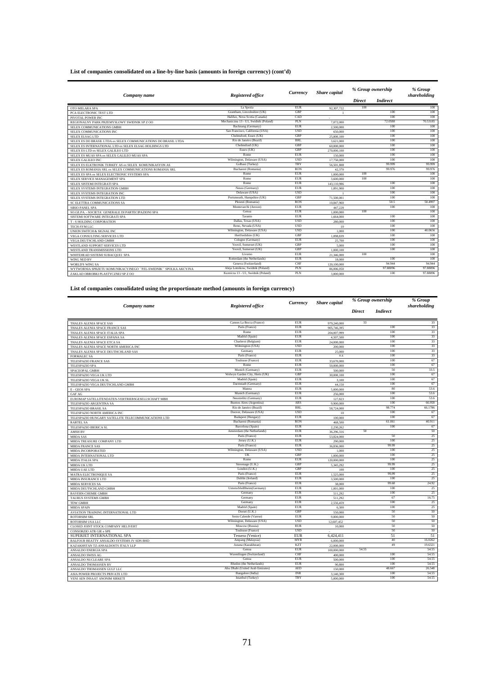| Company name                                                   | <b>Registered office</b>              | Currency    | Share capital |               | % Group ownership | % Group<br>shareholding |
|----------------------------------------------------------------|---------------------------------------|-------------|---------------|---------------|-------------------|-------------------------|
|                                                                |                                       |             |               | <b>Direct</b> | <b>Indirect</b>   |                         |
| OTO MELARA SPA                                                 | La Spezia                             | <b>EUR</b>  | 92,307,722    | 100           |                   | 100                     |
| PCA ELECTRONIC TEST LTD                                        | Grantham, Lincolnshire (UK)           | GBP         |               |               | 100               | 100                     |
| PIVOTAL POWER INC                                              | Halifax, Nova Scotia (Canada)         | CAD         |               |               | 100               | 100                     |
| REGIONALNY PARK PRZEMYSLOWY SWIDNIK SP Z OO                    | Mechaniczna 13 - U1. Swidnik (Poland) | PLN         | 7.072.000     |               | 72,0588           | 70.53185                |
| SELEX COMMUNICATIONS GMBH                                      | Backnang (Germany)                    | <b>EUR</b>  | 2,500,000     |               | 100               | 100                     |
| SELEX COMMUNICATIONS INC                                       | San Francisco, California (USA)       | <b>USD</b>  | 650,000       |               | 100               | 100                     |
| <b>SELEX ELSAG LTD</b>                                         | Chelmsford, Essex (UK)                | <b>GBP</b>  | 25,800,100    |               | 100               | 100                     |
| SELEX ES DO BRASIL LTDA ex SELEX COMMUNICATIONS DO BRASIL LTDA | Rio de Janeiro (Brazil)               | <b>BRL</b>  | 3.621.000     |               | 100               | 100                     |
| SELEX ES INTERNATIONAL LTD ex SELEX ELSAG HOLDINGS LTD         | Chelmsford (UK)                       | <b>GBP</b>  | 60,000,000    |               | 100               | 100                     |
| SELEX ES LTD ex SELEX GALILEO LTD                              | Essex (UK)                            | <b>GBP</b>  | 270,000.100   |               | 100               | 100                     |
| SELEX ES MUAS SPA ex SELEX GALILEO MUAS SPA                    | Rome                                  | <b>EUR</b>  | 150,000       |               | 100               | 100                     |
| SELEX GALILEO INC                                              | Wilmington, Delaware (USA)            | <b>USD</b>  | 17,750,000    |               | 100               | 100                     |
| SELEX ES ELKTRONIK TURKEY AS ex SELEX KOMUNIKASYON AS          | Golbasi (Turkey)                      | <b>TRY</b>  | 56,501,808    |               | 99.999            | 99.999                  |
| SELEX ES ROMANIA SRL ex SELEX COMMUNICATIONS ROMANIA SRL       | Bucharest (Romania)                   | <b>RON</b>  | 42.370        |               | 99.976            | 99.976                  |
| SELEX ES SPA ex SELEX ELECTRONIC SYSTEMS SPA                   | Rome                                  | <b>EUR</b>  | 1,000,000     | 100           |                   | 100                     |
| SELEX SERVICE MANAGEMENT SPA                                   | Rome                                  | <b>EUR</b>  | 3,600,000     | 100           |                   | 100                     |
| SELEX SISTEMI INTEGRATI SPA                                    | Rome                                  | EUR         | 143,110,986   |               | 100               | 100                     |
| SELEX SYSTEMS INTEGRATION GMBH                                 | Neuss (Germany)                       | <b>EUR</b>  | 1.891.900     |               | 100               | 100                     |
| SELEX SYSTEMS INTEGRATION INC                                  | Delaware (USA)                        | <b>USD</b>  |               |               | 100               | 100                     |
| SELEX SYSTEMS INTEGRATION LTD                                  | Portsmouth, Hampshire (UK)            | <b>GBP</b>  | 71,500,001    |               | 100               | 100                     |
| SC ELETTRA COMMUNICATIONS SA                                   | Ploiesti (Romania)                    | <b>RON</b>  | 10.847.960    |               | 50.5              | 50.4997                 |
| <b>SIRIO PANEL SPA</b>                                         | Montevarchi (Arezzo)                  | ${\rm EUR}$ | 447.228       |               | 100               | 100                     |
| SO.GE.PA. - SOCIETA' GENERALE DI PARTECIPAZIONI SPA            | Genoa                                 | ${\rm EUR}$ | 1.000.000     | 100           |                   | 100                     |
| SISTEMI SOFTWARE INTEGRATI SPA                                 | Taranto                               | <b>EUR</b>  | 1.664.000     |               | 100               | 100                     |
| T - S HOLDING CORPORATION                                      | Dallas, Texas (USA)                   | <b>USD</b>  | 280,000       |               | 100               | 100                     |
| TECH-SYM LLC                                                   | Reno, Nevada (USA)                    | <b>USD</b>  | 10            |               | 100               | 100                     |
| UNION SWITCH & SIGNAL INC                                      | Wilmington, Delaware (USA)            | <b>USD</b>  | 1.000         |               | 100               | 40.0656                 |
| <b>VEGA CONSULTING SERVICES LTD</b>                            | Hertfordshire (UK)                    | <b>GBP</b>  | 1.098.839     |               | 100               | 100                     |
| VEGA DEUTSCHLAND GMBH                                          | Cologne (Germany)                     | <b>EUR</b>  | 25,700        |               | 100               | 100                     |
| WESTLAND SUPPORT SERVICES LTD                                  | Yeovil, Somerset (UK)                 | <b>GBP</b>  | 5.000         |               | 100               | 100                     |
| <b>WESTLAND TRANSMISSIONS LTD</b>                              | Yeovil, Somerset (UK)                 | <b>GBP</b>  | 1,000,100     |               | 100               | 100                     |
| WHITEHEAD SISTEMI SUBACQUEI SPA                                | Livomo                                | <b>EUR</b>  | 21,346,000    | 100           |                   | 100                     |
| WING NED BV                                                    | Rotterdam (the Netherlands)           | <b>EUR</b>  | 18,000        |               | 100               | 100                     |
| <b>WORLD'S WING SA</b>                                         | Geneva (Switzerland)                  | CHF         | 120,100,000   |               | 94.944            | 94.944                  |
| WYTWORNIA SPRZETU KOMUNIKACYJNEGO "PZL-SWIDNIK" SPOLKA AKCYJNA | Aleia Lotnikow, Swidnik (Poland)      | PLN         | 86,006,050    |               | 97.88096          | 97.88096                |
| ZAKLAD OBROBKI PLASTYCZNEJ SP Z OO                             | Kuznicza 13 - U1, Swidnik (Poland)    | <b>PLN</b>  | 3,800,000     |               | 100               | 97.88096                |

#### **List of companies consolidated on a line-by-line basis (amounts in foreign currency) (cont'd)**

**List of companies consolidated using the proportionate method (amounts in foreign currency)** 

|                                                                                     |                                       | Currency                 | Share capital     | % Group ownership |                 | $\overline{\%}$ Group |
|-------------------------------------------------------------------------------------|---------------------------------------|--------------------------|-------------------|-------------------|-----------------|-----------------------|
| Company name                                                                        | Registered office                     |                          |                   |                   |                 | shareholding          |
|                                                                                     |                                       |                          |                   | Direct            | <b>Indirect</b> |                       |
| THALES ALENIA SPACE SAS                                                             | Cannes La Bocca (France)              | <b>EUR</b>               | 979.240.000       | 33                |                 | 33                    |
| THALES ALENIA SPACE FRANCE SAS                                                      | Paris (France)                        | <b>EUR</b>               | 905,746,395       |                   | 100             | 33                    |
| THALES ALENIA SPACE ITALIA SPA                                                      | Rome                                  | <b>EUR</b>               | 204,007,999       |                   | 100             | 33                    |
| THALES ALENIA SPACE ESPANA SA                                                       | Madrid (Spain)                        | <b>EUR</b>               | 4,507,500         |                   | 100             | 33                    |
| THALES ALENIA SPACE ETCA SA                                                         | Charleroi (Belgium)                   | <b>EUR</b>               | 24,000,000        |                   | 100             | 33                    |
| THALES ALENIA SPACE NORTH AMERICA INC                                               | Wilmington (USA)                      | <b>USD</b>               | 200,000           |                   | 100             | 33                    |
| THALES ALENIA SPACE DEUTHCHLAND SAS                                                 | Germany                               | <b>EUR</b>               | 25,000            |                   | 100             | 33                    |
| <b>FORMALEC SA</b>                                                                  | Paris (France)                        | <b>EUR</b>               | n.a.              |                   | 100             | 33                    |
| TELESPAZIO FRANCE SAS                                                               | Toulouse (France)                     | <b>EUR</b>               | 33,670,000        |                   | 100             | 67                    |
| <b>TELESPAZIO SPA</b>                                                               | Rome                                  | <b>EUR</b>               | 50,000,000        |                   | 100             | 67                    |
| SPACEOPAL GMBH                                                                      | Munich (Germany)                      | <b>EUR</b>               | 500,000           |                   | 50              | 33.5                  |
| TELESPAZIO VEGA UK LTD                                                              | Welwyn Garden City, Herts (UK)        | <b>GBP</b>               | 30,000,100        |                   | 100             | 67                    |
| TELESPAZIO VEGA UK SL                                                               | Madrid (Spain)<br>Darmstadt (Germany) | <b>EUR</b><br><b>EUR</b> | 3,100             |                   | 100<br>100      | 67<br>67              |
| TELESPAZIO VEGA DEUTSCHLAND GMBH                                                    | Matera                                | <b>EUR</b>               | 44,150            |                   | 80              | 53.6                  |
| E - GEOS SPA                                                                        | Munich (Germany)                      | <b>EUR</b>               | 5,000,000         |                   | 100             | 53.6                  |
| <b>GAF AG</b>                                                                       | Neustrelitz (Germany)                 | <b>EUR</b>               | 256,000           |                   | 100             | 53.6                  |
| EUROMAP SATELLITENDATEN-VERTRIEBSGESELLSCHAFT MBH                                   | Buenos Aires (Argentina)              | ARS                      | 127,823           |                   | 100             | 66.958                |
| TELESPAZIO ARGENTINA SA                                                             | Rio de Janeiro (Brazil)               | <b>BRL</b>               | 9,900,000         |                   | 98.774          | 66.1786               |
| TELESPAZIO BRASIL SA                                                                | Doover, Delaware (USA)                | <b>USD</b>               | 58,724,000        |                   | 100             | 67                    |
| TELESPAZIO NORTH AMERICA INC<br>TELESPAZIO HUNGARY SATELLITE TELECOMMUNICATIONS LTD | Budapest (Hungary)                    | <b>EUR</b>               | 10<br>100,000     |                   | 100             | 67                    |
| <b>RARTEL SA</b>                                                                    | Bucharest (Romania)                   | <b>RON</b>               | 468,500           |                   | 61.061          | 40.911                |
| TELESPAZIO IBERICA SL                                                               | Barcelona (Spain)                     | <b>EUR</b>               | 2,230,262         |                   | 100             | 67                    |
| <b>AMSH BV</b>                                                                      | Amsterdam (the Netherlands)           | <b>EUR</b>               | 36,296,316        | 50                |                 | 50                    |
| <b>MBDA SAS</b>                                                                     | Paris (France)                        | <b>EUR</b>               | 53.824,000        |                   | 50              | 25                    |
| MBDA TREASURE COMPANY LTD                                                           | Jersey (U.K.)                         | <b>EUR</b>               | 290,000           |                   | 100             | 25                    |
| <b>MBDA FRANCE SAS</b>                                                              | Paris (France)                        | <b>EUR</b>               | 36,836,000        |                   | 99.99           | 25                    |
| MBDA INCORPORATED                                                                   | Wilmington, Delaware (USA)            | <b>USD</b>               | 1.000             |                   | 100             | 25                    |
| MBDA INTERNATIONAL LTD                                                              | UK                                    | GBP                      | 1,000,000         |                   | 100             | 25                    |
| <b>MBDA ITALIA SPA</b>                                                              | Rome                                  | <b>EUR</b>               | 120,000,000       |                   | 100             | 25                    |
| <b>MBDA UK LTD</b>                                                                  | Stevenage (U.K.)                      | GBP                      | 5,345,292         |                   | 99.99           | 25                    |
| <b>MBDA UAE LTD</b>                                                                 | London (U.K.)                         | <b>GBP</b>               | 100               |                   | 100             | 25                    |
| MATRA ELECTRONIQUE SA                                                               | Paris (France)                        | <b>EUR</b>               | 1.525,000         |                   | 99.99           | 25                    |
| <b>MBDA INSURANCE LTD</b>                                                           | Dublin (Ireland)                      | <b>EUR</b>               | 3,500,000         |                   | 100             | 25                    |
| <b>MBDA SERVICES SA</b>                                                             | Paris (France)                        | <b>EUR</b>               | 38,000            |                   | 99.68           | 24.92                 |
| MBDA DEUTSCHLAND GMBH                                                               | UnterschleiBheim(Germany)             | <b>EUR</b>               | 1,001,000         |                   | 100             | 25                    |
| <b>BAYERN-CHEMIE GMBH</b>                                                           | Germany                               | <b>EUR</b>               | 511.292           |                   | 100             | 25                    |
| <b>TAURUS SYSTEMS GMBH</b>                                                          | Germany                               | <b>EUR</b>               | 511.292           |                   | 67              | 16.75                 |
| <b>TDW GMBH</b>                                                                     | Germany                               | <b>EUR</b>               | 2,556,459         |                   | 100             | 25                    |
| <b>MBDA SPAIN</b>                                                                   | Madrid (Spain)                        | <b>EUR</b>               | 6,300             |                   | 100             | 25                    |
| AVIATION TRAINING INTERNATIONAL LTD                                                 | Dorset (U.K.)                         | GBP                      | 550,000           |                   | 50              | 50                    |
| <b>ROTORSIM SRL</b>                                                                 | Sesto Calende (Varese)                | <b>EUR</b>               | 9,800,000         |                   | 50              | 50                    |
| ROTORSIM USA LLC                                                                    | Wilmington, Delaware (USA)            | <b>USD</b>               | 12,607,452        |                   | 50              | 50<br>50              |
| CLOSED JOINT STOCK COMPANY HELIVERT                                                 | Moscow (Russia)<br>Toulouse (France)  | <b>RUR</b><br><b>USD</b> | 10,000            |                   | 50<br>50        | 50                    |
| CONSORZIO ATR GIE e SPE                                                             |                                       |                          |                   |                   |                 |                       |
| SUPERJET INTERNATIONAL SPA                                                          | Tessera (Venice)<br>Ampang (Malaysia) | <b>EUR</b><br><b>MYR</b> | 6,424,411         |                   | 51<br>40        | 51<br>16.0262         |
| BALFOUR BEATTY ANSALDO SYSTEMS JV SDN BHD                                           | Astana (Kazakhstan)                   | KZT                      | 6,000,000         |                   | 49              | 19.6321               |
| KAZAKHSTAN TZ-ANSALDOSTS ITALY LLP                                                  | Genoa                                 | <b>EUR</b>               | 22.000.000        | 54.55             |                 | 54.55                 |
| ANSALDO ENERGIA SPA                                                                 | Wurenlingen (Switzerland)             | CHF                      | 100,000,000       |                   | 100             | 54.55                 |
| ANSALDO SWISS AG                                                                    | Genoa                                 | <b>EUR</b>               | 400,000           |                   | 100             | 54.55                 |
| ANSALDO NUCLEARE SPA<br>ANSALDO THOMASSEN BV                                        | Rheden (the Netherlands)              | <b>EUR</b>               | 500,000<br>90,800 |                   | 100             | 54.55                 |
| ANSALDO THOMASSEN GULF LLC                                                          | Abu Dhabi (United Arab Emirates)      | <b>AED</b>               | 150,000           |                   | 48.667          | 26.548                |
| ASIA POWER PROJECTS PRIVATE LTD                                                     | Bangalore (India)                     | <b>INR</b>               | 3.140.300         |                   | 100             | 54.55                 |
| YENI AEN INSAAT ANONIM SIRKETI                                                      | Istanbul (Turkey)                     | <b>TRY</b>               | 5,000,000         |                   | 100             | 54.55                 |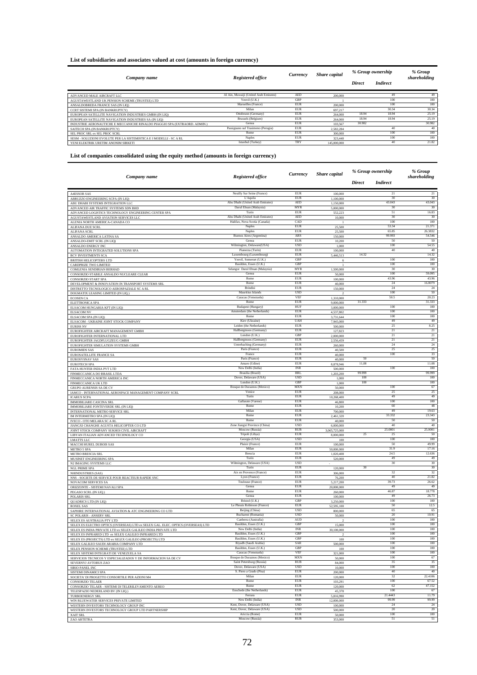#### **List of subsidiaries and associates valued at cost (amounts in foreign currency)**

|                                                                            | Registered office                      | Currency   | Share capital | % Group ownership |                 | % Group<br>shareholding |
|----------------------------------------------------------------------------|----------------------------------------|------------|---------------|-------------------|-----------------|-------------------------|
| Company name                                                               |                                        |            |               | <b>Direct</b>     | <b>Indirect</b> |                         |
| ADVANCED MALE AIRCRAFT LLC                                                 | Al Ain, Muwaiji (United Arab Emirates) | AED        | 200,000       |                   | 49              | 49                      |
| AGUSTAWESTLAND UK PENSION SCHEME (TRUSTEE) LTD                             | Yeovil (U.K.)                          | GBP        |               |                   | 100             | 100                     |
| ANSALDOBREDA FRANCE SAS (IN LIO)                                           | Marseilles (France)                    | <b>EUR</b> | 200,000       |                   | 100             | 100                     |
| CCRT SISTEMI SPA (IN BANKRUPTCY)                                           | Milan                                  | <b>EUR</b> | 697.217       |                   | 30.34           | 30.34                   |
| EUROPEAN SATELLITE NAVIGATION INDUSTRIES GMBH (IN LIO)                     | Ottobrunn (Germany)                    | <b>EUR</b> | 264,000       | 18.94             | 18.94           | 25.19                   |
| EUROPEAN SATELLITE NAVIGATION INDUSTRIES SA (IN LIQ)                       | Brussels (Belgium)                     | <b>EUR</b> | 264,000       | 18.94             | 18.94           | 25.19                   |
| INDUSTRIE AERONAUTICHE E MECCANICHE RINALDO PIAGGIO SPA (EXTRAORD, ADMIN.) | Genoa                                  | <b>EUR</b> | 103,567       | 30.982            |                 | 30.982                  |
| SAITECH SPA (IN BANKRUPTCY)                                                | Passignano sul Trasimeno (Perugia)     | <b>EUR</b> | 2.582.284     |                   | 40              | 40                      |
| SEL PROC SRL ex SEL PROC SCRL                                              | Rome                                   | <b>EUR</b> | 300,000       |                   | 100             | 100                     |
| SESM - SOLUZIONI EVOLUTE PER LA SISTEMISTICA E I MODELLI - SC A RL         | <b>Naples</b>                          | <b>EUR</b> | 323,440       |                   | 100             | 100                     |
| YENI ELEKTRIK URETIM ANONIM SIRKETI                                        | Istanbul (Turkey)                      | <b>TRY</b> | 145,000,000   |                   | 40              | 21.82                   |
|                                                                            |                                        |            |               |                   |                 |                         |

#### **List of companies consolidated using the equity method (amounts in foreign currency)**

|                                                                                                                  |                                                            | Currency                 | <b>Share</b> capital       | % Group ownership |                   | % Group<br>shareholding |
|------------------------------------------------------------------------------------------------------------------|------------------------------------------------------------|--------------------------|----------------------------|-------------------|-------------------|-------------------------|
| Company name                                                                                                     | Registered office                                          |                          |                            | Direct            | <b>Indirect</b>   |                         |
|                                                                                                                  | Neuilly Sur Seine (France)                                 | EUR                      |                            |                   | 21                | $21\,$                  |
| <b>A4ESSOR SAS</b><br>ABRUZZO ENGINEERING SCPA (IN LIQ)                                                          | L'Aquila                                                   | EUR                      | 100,000<br>1,100,000       |                   | 30                | 30                      |
| ABU DHABI SYSTEMS INTEGRATION LLC                                                                                | Abu Dhabi (United Arab Emirates)                           | AED                      | 1,150,000                  |                   | 43.043            | 43.043                  |
| ADVANCED AIR TRAFFIC SYSTEMS SDN BHD<br>ADVANCED LOGISTICS TECHNOLOGY ENGINEERING CENTER SPA                     | Darul Ehsan (Malaysia)<br>Turin                            | MYR<br>EUR               | 5,000,000                  |                   | 30<br>51          | 30<br>16.83             |
| AGUSTAWESTLAND AVIATION SERVICES LLC                                                                             | Abu Dhabi (United Arab Emirates)                           | <b>AED</b>               | 552,223<br>10,000          |                   | 30                | 30                      |
| ALENIA NORTH AMERICA-CANADA CO                                                                                   | Halifax, Nova Scotia (Canada)                              | CAD                      | I                          |                   | 100               | 100                     |
| ALIFANA DUE SCRL                                                                                                 | Naples<br>Naples                                           | EUR<br><b>EUR</b>        | 25,500<br>25,500           |                   | 53.34<br>65.85    | 21.371<br>26.3832       |
| ALIFANA SCRL<br>ANSALDO AMERICA LATINA SA                                                                        | Buenos Aires (Argentina)                                   | <b>ARS</b>               | 150,000                    |                   | 99.993            | 54.546                  |
| ANSALDO-EMIT SCRL (IN LIQ)                                                                                       | Genoa                                                      | EUR                      | 10,200                     |                   | 50                | 50                      |
| ANSALDO ENERGY INC<br>AUTOMATION INTEGRATED SOLUTIONS SPA                                                        | Wilmington, Delaware(USA)<br>Pianezza (Turin)              | <b>USD</b><br>EUR        | 1,000<br>100,000           |                   | 100<br>40         | 54.55<br>40             |
| <b>BCV INVESTMENTS SCA</b>                                                                                       | Luxembourg (Luxembourg)                                    | EUR                      | 5,446,513                  | 14.32             |                   | 14.32                   |
| BRITISH HELICOPTERS LTD                                                                                          | Yeovil, Somerset (U.K.)                                    | <b>GBF</b>               |                            |                   | 100               | 100                     |
| CARDPRIZE TWO LIMITED                                                                                            | Basildon, Essex (U.K.)<br>Selangor Darul Ehsan (Malaysia)  | GBP<br><b>MYR</b>        | 1,500,000                  |                   | 100<br>30         | 100<br>30               |
| COMLENIA SENDIRIAN BERHAD<br>CONSORZIO STABILE ANSALDO NUCLEARE CLEAR                                            | Genoa                                                      | EUR                      | 50,000                     |                   | 100               | 59.095                  |
| <b>CONSORZIO START SPA</b>                                                                                       | Rome                                                       | EUR                      | 100,000                    |                   | 43.96             | 43.96                   |
| DEVELOPMENT & INNOVATION IN TRANSPORT SYSTEMS SRL                                                                | Rome<br>Brindisi                                           | <b>EUR</b><br><b>EUR</b> | 40,000<br>150,000          |                   | 24<br>$\sqrt{24}$ | 16.8079<br>$\sqrt{24}$  |
| DISTRETTO TECNOLOGICO AEROSPAZIALE SC A RL<br>DOGMATIX LEASING LIMITED (IN LIQ.)                                 | Mauritius Islands                                          | <b>TISD</b>              | 2                          |                   | 100               | 50                      |
| <b>ECOSEN CA</b>                                                                                                 | Caracas (Venezuela)                                        | VFF                      | 1,310,000                  |                   | 50.5              | 20.23                   |
| ELETTRONICA SPA                                                                                                  | Rome<br><b>Budapest</b> (Hungary)                          | <b>EUR</b><br>HUF        | 9,000,000                  | 31.333            | 100               | 31.333<br>100           |
| ELSACOM HUNGARIA KFT (IN LIQ)<br><b>ELSACOM NV</b>                                                               | Amsterdam (the Netherlands)                                | EUR                      | 3,000,000<br>4,537,802     |                   | 100               | 100                     |
| ELSACOM SPA (IN LIQ)                                                                                             | Rome                                                       | EUR                      | 3,731,644                  |                   | 100               | 100                     |
| ELSACOM - UKRAINE JOINT STOCK COMPANY                                                                            | Kiev (Ukraine)                                             | <b>UAH</b>               | 7,945,000                  |                   | 49                | 49                      |
| <b>EURISS NV</b><br>EUROFIGHTER AIRCRAFT MANAGEMENT GMBH                                                         | Leiden (the Netherlands)<br>Hallbergmoos (Germany)         | <b>EUR</b><br>EUR        | 500,000<br>127,823         |                   | 25<br>21          | 8.25<br>21              |
| EUROFIGHTER INTERNATIONAL LTD                                                                                    | London (U.K.                                               | GBP                      | 2,000,000                  |                   | $21\,$            | 21                      |
| EUROFIGHTER JAGDFLUGZEUG GMBH                                                                                    | Hallbergmoos (Germany)                                     | EUR                      | 2,556,459                  |                   | 21                | 21                      |
| EUROFIGHTER SIMULATION SYSTEMS GMBH                                                                              | Unterhaching (Germany)<br>Paris (France)                   | EUR<br>EUR               | 260,000                    |                   | 24<br>25          | 24<br>25                |
| <b>EUROMIDS SAS</b><br>EUROSATELLITE FRANCE SA                                                                   | France                                                     | EUR                      | 40,500<br>40,000           |                   | 100               | 33                      |
| EUROSYSNAV SAS                                                                                                   | Paris (France)                                             | <b>EUR</b>               | 40,000                     | 50                |                   | 50                      |
| <b>EUROTECH SPA</b><br>FATA HUNTER INDIA PVT LTD                                                                 | Amaro (Udine)<br>New Delhi (India)                         | <b>EUR</b><br><b>INR</b> | 8.878.946                  | 11.08             | 100               | 11.08<br>100            |
| FINMECCANICA DO BRASIL LTDA                                                                                      | Brasilia (Brazil)                                          | BRL                      | 500,000<br>1,203,200       | 99.999            |                   | 99 999                  |
| FINMECCANICA NORTH AMERICA INC                                                                                   | Dover, Delaware (USA)                                      | <b>USD</b>               | 1,000                      | $100\,$           |                   | 100                     |
| FINMECCANICA UK LTD                                                                                              | London (U.K.)<br>Bosque de Duraznos (Mexico)               | GBP<br><b>MXN</b>        | 1,000                      | 100               | 100               | 100<br>67               |
| GRUPO AURENSIS SA DE CV<br>IAMCO - INTERNATIONAL AEROSPACE MANAGEMENT COMPANY SCRI                               | Venice                                                     | EUR                      | 50,000<br>208,000          |                   | 25                | 25                      |
| <b>ICARUS SCPA</b>                                                                                               | Turin                                                      | <b>EUR</b>               | 10,268,400                 |                   | 49                | 49                      |
| <b>IMMOBILIARE CASCINA SRL</b>                                                                                   | Gallarate (Varese)<br>Rome                                 | EUR                      | 46,800                     |                   | 100<br>60         | 100<br>48               |
| IMMOBILIARE FONTEVERDE SRL (IN LIQ)<br>INTERNATIONAL METRO SERVICE SRI                                           | Milan                                                      | EUR<br>EUR               | 10,200<br>700,000          |                   | 49                | 19.63                   |
| IM INTERMETRO SPA (IN LIQ)                                                                                       | Rome                                                       | EUR                      | 2,461,320                  |                   | 33.332            | 23.343                  |
| IVECO - OTO MELARA SC A RL                                                                                       | Rome                                                       | EUR                      | 40,000                     |                   | 50                | 50                      |
| JIANGXI CHANGHE AGUSTA HELICOPTER CO LTD                                                                         | Zone Jiangxi Province (China)<br>Moscow (Russia)           | <b>USD</b><br>RUB        | 6,000,000                  |                   | 40<br>25.0001     | 40<br>25.0001           |
| JOINT STOCK COMPANY SUKHOI CIVIL AIRCRAFT<br>LIBYAN ITALIAN ADVANCED TECHNOLOGY CO                               | Tripoli (Libya)                                            | <b>EUR</b>               | 3,065,725,000<br>8,000,000 | 25                | 25                | 50                      |
| <b>LMATTS LLC</b>                                                                                                | Georgia (USA)                                              | <b>TISD</b>              | 100                        |                   | 100               | 100                     |
| MACCHI HUREL DUBOIS SAS                                                                                          | Plaisir (France)<br>Milan                                  | <b>EUR</b><br><b>EUR</b> | 100,000                    |                   | 50<br>31.9        | 49.99<br>17.16          |
| <b>METRO 5 SPA</b><br>METRO BRESCIA SRL                                                                          | <b>Brescia</b>                                             | EUR                      | 50,000,000<br>1,020,408    |                   | 24.5              | 12.636                  |
| MUSINET ENGINEERING SPA                                                                                          | Turin                                                      | EUR                      | 520,000                    |                   | 49                | 49                      |
| N2 IMAGING SYSTEMS LLC                                                                                           | Wilmington, Delaware (USA)                                 | <b>USD</b><br>EUR        |                            | 30                | 30                | 30<br>30                |
| <b>NGL PRIME SPA</b><br>NHINDUSTRIES (SAS)                                                                       | Turin<br>Aix en Provence (France)                          | EUR                      | 120,000<br>306,000         |                   | 32                | 32                      |
| NNS - SOCIETE DE SERVICE POUR REACTEUR RAPIDE SNC                                                                | Lyon (France)                                              | EUR                      | 76,200                     |                   | 40                | 21.82                   |
| NOVACOM SERVICES SA                                                                                              | Toulouse (France)                                          | EUR                      | 5,217,200                  |                   | 39.73             | 26.62                   |
| ORIZZONTE - SISTEMI NAVALI SPA<br>PEGASO SCRL (IN LIQ.)                                                          | Genoa<br>Romo                                              | EUR<br>EUR               | 20,000,000<br>260,000      |                   | 49<br>46.87       | 49<br>18.778            |
| POLARIS SRL                                                                                                      | Genoa                                                      | EUR                      | 100,000                    |                   | 49                | 26.73                   |
| QUADRICS LTD (IN LIQ)                                                                                            | Bristol (U.K.)                                             | GBP                      | 3,250,000                  |                   | 100               | 100                     |
| <b>ROXEL SAS</b>                                                                                                 | Le Plessis Robinson (France)<br>Beijing (China)            | EUR<br><b>USD</b>        | 52,595,100<br>800,000      |                   | 50<br>65          | 12.5<br>65              |
| SAPHIRE INTERNATIONAL AVIATION & ATC ENGINEERING CO LTD<br><b>SC POLARIS - ANSERV SRL</b>                        | Bucharest (Romania)                                        | <b>USD</b>               | 50,000                     |                   | 20                | 10.91                   |
| SELEX ES AUSTRALIA PTY LTD                                                                                       | Canberra (Australia)                                       | AUD                      |                            |                   | 100               | 100                     |
| SELEX ES ELECTRO OPTICS (OVERSEAS) LTD ex SELEX GAL. ELEC. OPTICS (OVERSEAS) LTD                                 | Basildon, Essex (U.K.)                                     | GBP                      | 15,000                     |                   | 100               | 100                     |
| SELEX ES INDIA PRIVATE LTD ex SELEX GALILEO INDIA PRIVATE<br>SELEX ES INFRARED LTD ex SELEX GALILEO INFRARED LTD | Basildon, Essex (U.K.)                                     | GBP                      |                            |                   | 100               | 100                     |
| SELEX ES (PROJECTS) LTD ex SELEX GALILEO (PROJECTS) LTD                                                          | Basildon, Essex (U.K.)                                     | GBP                      | 100                        |                   | 100               | 100                     |
| SELEX GALILEO SAUDI ARABIA COMPANY LTD                                                                           | Riyadh (Saudi Arabia)<br>Basildon, Essex (U.K.)            | SAR<br>GBP               | 500,000                    |                   | 100<br>100        | 100<br>100              |
| SELEX PENSION SCHEME (TRUSTEE) LTD<br>SELEX SISTEMI INTEGRATI DE VENEZUELA SA                                    | Caracas (Venezuela)                                        | VEF                      | 100<br>321,000             |                   | 100               | 100                     |
| SERVICIOS TECNICOS Y ESPECIALIZADOS Y DE INFORMACION SA DE CV                                                    | Bosque de Duraznos (Mexico)                                | <b>MXN</b>               | 50,000                     |                   | 100               | 67                      |
| SEVERNYJ AVTOBUS ZAO                                                                                             | Saint Petersburg (Russia)                                  | <b>RUB</b>               | 84,000                     |                   | 35                | 35                      |
| SIRIO PANEL INC                                                                                                  | Dover, Delaware (USA)<br>S. Piero a Grado (Pisa)           | <b>USD</b><br><b>EUR</b> | 10,000                     |                   | 100<br>40         | 100<br>$40\,$           |
| SISTEMI DINAMICI SPA<br>SOCIETA' DI PROGETTO CONSORTILE PER AZIONI M4                                            | Milan                                                      | <b>EUR</b>               | 200,000<br>120,000         |                   | $32\,$            | 22.4106                 |
| <b>CONSORZIO TELAER</b>                                                                                          | Rome                                                       | <b>EUR</b>               | 103.291                    |                   | 100               | 67.52                   |
| CONSORZIO TELAER - SISTEMI DI TELERILEVAMENTO AEREO                                                              | Rome<br>Enschede (the Netherlands)                         | EUR<br><b>EUR</b>        | 120,000                    |                   | 62<br>100         | 47.152<br>67            |
| TELESPAZIO NEDERLAND BV (IN LIQ.)<br>TURBOENERGY SRL                                                             | Ferrara                                                    | <b>EUR</b>               | 45,378<br>5,816,990        |                   | 21.4443           | 11.79                   |
| WIN BLUEWATER SERVICES PRIVATE LIMITED                                                                           | New Delhi (India)                                          | <b>INR</b>               | 12,000,000                 |                   | 99.99             | 99.99                   |
| WESTERN INVESTORS TECHNOLOGY GROUP INC                                                                           | Kent, Dover, Delaware (USA)<br>Kent, Dover, Delaware (USA) | <b>USD</b><br><b>USD</b> | 100,000                    |                   | 24<br>20          | 24<br>20                |
| WESTERN INVESTORS TECHNOLOGY GROUP LTD PARTNERSHIP<br>XAIT SRL                                                   | Ariccia (Rome)                                             | EUR                      | 500,000<br>50,000          |                   | 100               | 100                     |
| ZAO ARTETRA                                                                                                      | Moscow (Russia)                                            | <b>RUB</b>               | 353,000                    |                   | 51                | 51                      |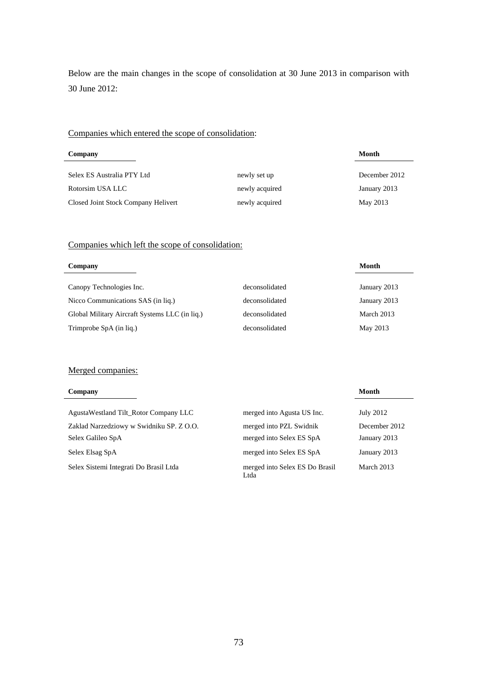Below are the main changes in the scope of consolidation at 30 June 2013 in comparison with 30 June 2012:

### Companies which entered the scope of consolidation:

| Company                             |                | Month         |
|-------------------------------------|----------------|---------------|
| Selex ES Australia PTY Ltd          | newly set up   | December 2012 |
| Rotorsim USA LLC                    | newly acquired | January 2013  |
| Closed Joint Stock Company Helivert | newly acquired | May 2013      |

### Companies which left the scope of consolidation:

| Company                                        |                | Month        |
|------------------------------------------------|----------------|--------------|
| Canopy Technologies Inc.                       | deconsolidated | January 2013 |
| Nicco Communications SAS (in liq.)             | deconsolidated | January 2013 |
| Global Military Aircraft Systems LLC (in liq.) | deconsolidated | March 2013   |
| Trimprobe SpA (in liq.)                        | deconsolidated | May 2013     |

#### Merged companies:

| Company                                  |                                        | Month         |
|------------------------------------------|----------------------------------------|---------------|
| Agusta Westland Tilt Rotor Company LLC   | merged into Agusta US Inc.             | July 2012     |
| Zaklad Narzedziowy w Swidniku SP. Z O.O. | merged into PZL Swidnik                | December 2012 |
| Selex Galileo SpA                        | merged into Selex ES SpA               | January 2013  |
| Selex Elsag SpA                          | merged into Selex ES SpA               | January 2013  |
| Selex Sistemi Integrati Do Brasil Ltda   | merged into Selex ES Do Brasil<br>Ltda | March 2013    |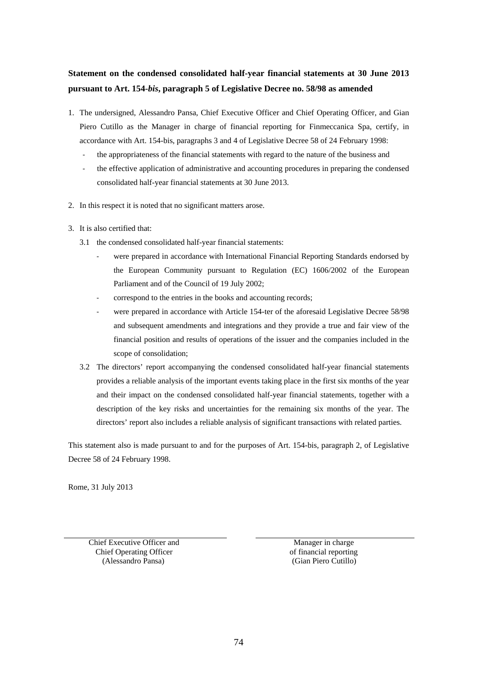## **Statement on the condensed consolidated half-year financial statements at 30 June 2013 pursuant to Art. 154-***bis***, paragraph 5 of Legislative Decree no. 58/98 as amended**

- 1. The undersigned, Alessandro Pansa, Chief Executive Officer and Chief Operating Officer, and Gian Piero Cutillo as the Manager in charge of financial reporting for Finmeccanica Spa, certify, in accordance with Art. 154-bis, paragraphs 3 and 4 of Legislative Decree 58 of 24 February 1998:
	- ‐ the appropriateness of the financial statements with regard to the nature of the business and
	- ‐ the effective application of administrative and accounting procedures in preparing the condensed consolidated half-year financial statements at 30 June 2013.
- 2. In this respect it is noted that no significant matters arose.
- 3. It is also certified that:
	- 3.1 the condensed consolidated half-year financial statements:
		- were prepared in accordance with International Financial Reporting Standards endorsed by the European Community pursuant to Regulation (EC) 1606/2002 of the European Parliament and of the Council of 19 July 2002;
		- ‐ correspond to the entries in the books and accounting records;
		- were prepared in accordance with Article 154-ter of the aforesaid Legislative Decree 58/98 and subsequent amendments and integrations and they provide a true and fair view of the financial position and results of operations of the issuer and the companies included in the scope of consolidation;
	- 3.2 The directors' report accompanying the condensed consolidated half-year financial statements provides a reliable analysis of the important events taking place in the first six months of the year and their impact on the condensed consolidated half-year financial statements, together with a description of the key risks and uncertainties for the remaining six months of the year. The directors' report also includes a reliable analysis of significant transactions with related parties.

This statement also is made pursuant to and for the purposes of Art. 154-bis, paragraph 2, of Legislative Decree 58 of 24 February 1998.

Rome, 31 July 2013

Chief Executive Officer and Chief Operating Officer (Alessandro Pansa)

 Manager in charge of financial reporting (Gian Piero Cutillo)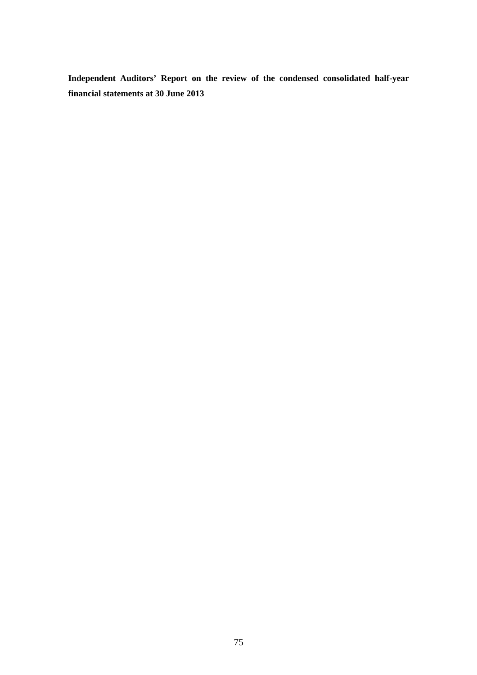**Independent Auditors' Report on the review of the condensed consolidated half-year financial statements at 30 June 2013**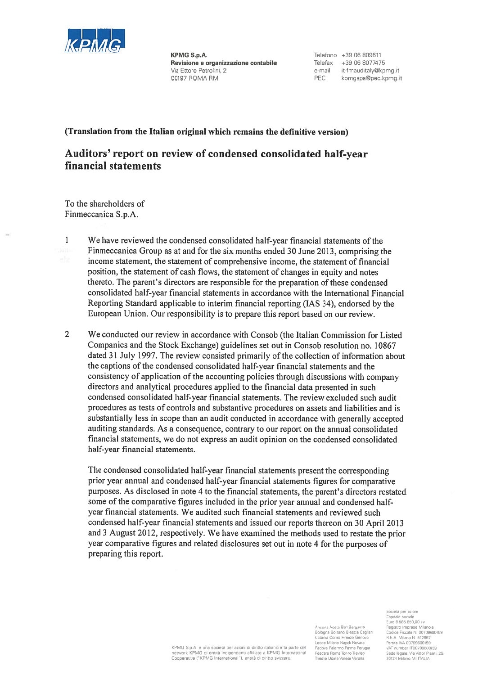

**KPMG S.p.A.** Revisione e organizzazione contabile Via Ettore Petrolini, 2 00197 ROMA RM

Telefono +39.06.809611 Telefax +39 06 8077475 e-mail it-fmauditaly@kpmg.it **PEC** kpmgspa@pec.kpmg.it

#### (Translation from the Italian original which remains the definitive version)

# Auditors' report on review of condensed consolidated half-year financial statements

To the shareholders of Finmeccanica S.p.A.

 $\mathbf{1}$ 

We have reviewed the condensed consolidated half-year financial statements of the Finmeccanica Group as at and for the six months ended 30 June 2013, comprising the income statement, the statement of comprehensive income, the statement of financial position, the statement of cash flows, the statement of changes in equity and notes thereto. The parent's directors are responsible for the preparation of these condensed consolidated half-year financial statements in accordance with the International Financial Reporting Standard applicable to interim financial reporting (IAS 34), endorsed by the European Union. Our responsibility is to prepare this report based on our review.

 $\overline{2}$ We conducted our review in accordance with Consob (the Italian Commission for Listed Companies and the Stock Exchange) guidelines set out in Consob resolution no. 10867 dated 31 July 1997. The review consisted primarily of the collection of information about the captions of the condensed consolidated half-year financial statements and the consistency of application of the accounting policies through discussions with company directors and analytical procedures applied to the financial data presented in such condensed consolidated half-year financial statements. The review excluded such audit procedures as tests of controls and substantive procedures on assets and liabilities and is substantially less in scope than an audit conducted in accordance with generally accepted auditing standards. As a consequence, contrary to our report on the annual consolidated financial statements, we do not express an audit opinion on the condensed consolidated half-year financial statements.

The condensed consolidated half-year financial statements present the corresponding prior year annual and condensed half-year financial statements figures for comparative purposes. As disclosed in note 4 to the financial statements, the parent's directors restated some of the comparative figures included in the prior year annual and condensed halfyear financial statements. We audited such financial statements and reviewed such condensed half-year financial statements and issued our reports thereon on 30 April 2013 and 3 August 2012, respectively. We have examined the methods used to restate the prior year comparative figures and related disclosures set out in note 4 for the purposes of preparing this report.

> Ancona Aosta Bari Bergame Bologna Bolzano Brescia Cagliari Catania Como Firenze Genova Lecce Milano Napoli Novara Padova Palermo Parma Perugia Pescara Roma Torino Treviso Tripeta I Idina Varasa Varona

Società per azioni Capitale sociale<br>Euro 8 585.850.00 i.v Registro Imprese Milano e<br>Codice Fiscale N. 00709600159 R.E.A Milano N 512867 Partita IVA 00709600159 VAT number IT00709600159<br>Sede legale Via Vittor Pisani, 25 20124 Milano MI ITALIA